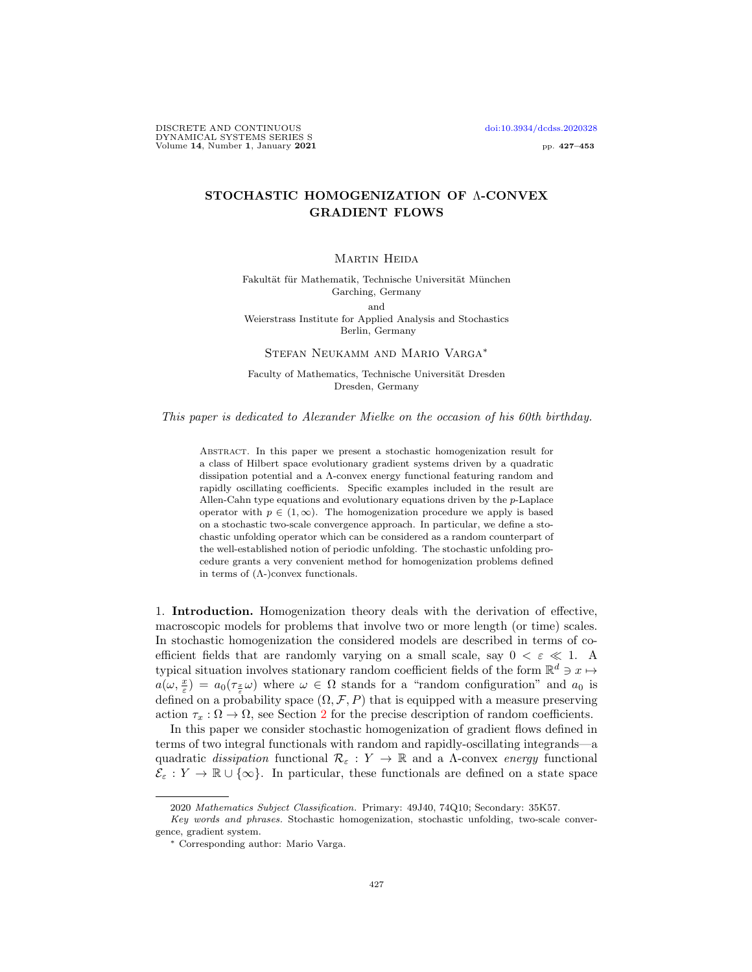DISCRETE AND CONTINUOUS [doi:10.3934/dcdss.2020328](http://dx.doi.org/10.3934/dcdss.2020328) DYNAMICAL SYSTEMS SERIES S Volume  $14$ , Number 1, January  $2021$  pp. 427–453

## STOCHASTIC HOMOGENIZATION OF Λ-CONVEX GRADIENT FLOWS

## MARTIN HEIDA

Fakultät für Mathematik, Technische Universität München Garching, Germany and Weierstrass Institute for Applied Analysis and Stochastics

Berlin, Germany

Stefan Neukamm and Mario Varga<sup>∗</sup>

Faculty of Mathematics, Technische Universität Dresden Dresden, Germany

This paper is dedicated to Alexander Mielke on the occasion of his 60th birthday.

Abstract. In this paper we present a stochastic homogenization result for a class of Hilbert space evolutionary gradient systems driven by a quadratic dissipation potential and a Λ-convex energy functional featuring random and rapidly oscillating coefficients. Specific examples included in the result are Allen-Cahn type equations and evolutionary equations driven by the p-Laplace operator with  $p \in (1,\infty)$ . The homogenization procedure we apply is based on a stochastic two-scale convergence approach. In particular, we define a stochastic unfolding operator which can be considered as a random counterpart of the well-established notion of periodic unfolding. The stochastic unfolding procedure grants a very convenient method for homogenization problems defined in terms of  $($  $\Lambda$ - $)$ convex functionals.

1. Introduction. Homogenization theory deals with the derivation of effective, macroscopic models for problems that involve two or more length (or time) scales. In stochastic homogenization the considered models are described in terms of coefficient fields that are randomly varying on a small scale, say  $0 < \varepsilon \ll 1$ . A typical situation involves stationary random coefficient fields of the form  $\mathbb{R}^d \ni x \mapsto$  $a(\omega, \frac{x}{\varepsilon}) = a_0(\tau_{\frac{x}{\varepsilon}}\omega)$  where  $\omega \in \Omega$  stands for a "random configuration" and  $a_0$  is defined on a probability space  $(\Omega, \mathcal{F}, P)$  that is equipped with a measure preserving action  $\tau_x : \Omega \to \Omega$ , see Section [2](#page-4-0) for the precise description of random coefficients.

In this paper we consider stochastic homogenization of gradient flows defined in terms of two integral functionals with random and rapidly-oscillating integrands—a quadratic dissipation functional  $\mathcal{R}_{\varepsilon}: Y \to \mathbb{R}$  and a  $\Lambda$ -convex energy functional  $\mathcal{E}_{\varepsilon}: Y \to \mathbb{R} \cup {\infty}$ . In particular, these functionals are defined on a state space

<sup>2020</sup> Mathematics Subject Classification. Primary: 49J40, 74Q10; Secondary: 35K57.

Key words and phrases. Stochastic homogenization, stochastic unfolding, two-scale convergence, gradient system.

<sup>∗</sup> Corresponding author: Mario Varga.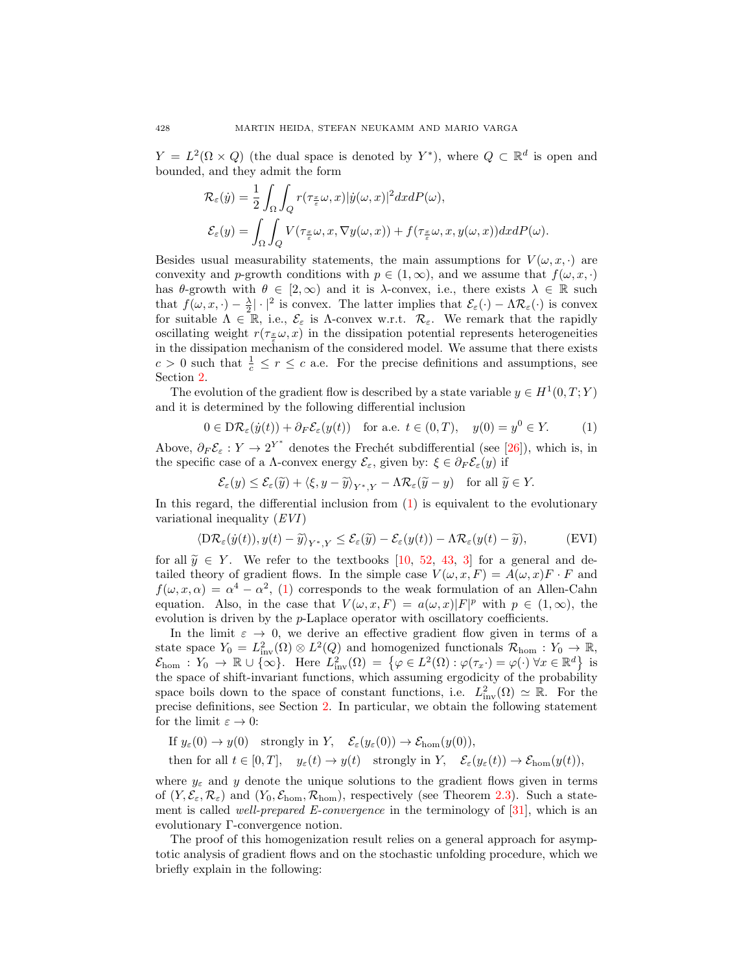$Y = L^2(\Omega \times Q)$  (the dual space is denoted by Y<sup>\*</sup>), where  $Q \subset \mathbb{R}^d$  is open and bounded, and they admit the form

$$
\mathcal{R}_{\varepsilon}(\dot{y}) = \frac{1}{2} \int_{\Omega} \int_{Q} r(\tau_{\frac{x}{\varepsilon}} \omega, x) |\dot{y}(\omega, x)|^2 dx dP(\omega),
$$
  

$$
\mathcal{E}_{\varepsilon}(y) = \int_{\Omega} \int_{Q} V(\tau_{\frac{x}{\varepsilon}} \omega, x, \nabla y(\omega, x)) + f(\tau_{\frac{x}{\varepsilon}} \omega, x, y(\omega, x)) dx dP(\omega).
$$

Besides usual measurability statements, the main assumptions for  $V(\omega, x, \cdot)$  are convexity and p-growth conditions with  $p \in (1,\infty)$ , and we assume that  $f(\omega, x, \cdot)$ has  $\theta$ -growth with  $\theta \in [2,\infty)$  and it is  $\lambda$ -convex, i.e., there exists  $\lambda \in \mathbb{R}$  such that  $f(\omega, x, \cdot) - \frac{\lambda}{2} |\cdot|^2$  is convex. The latter implies that  $\mathcal{E}_{\varepsilon}(\cdot) - \Lambda \mathcal{R}_{\varepsilon}(\cdot)$  is convex for suitable  $\Lambda \in \mathbb{R}$ , i.e.,  $\mathcal{E}_{\varepsilon}$  is  $\Lambda$ -convex w.r.t.  $\mathcal{R}_{\varepsilon}$ . We remark that the rapidly oscillating weight  $r(\tau_{\frac{x}{\epsilon}}\omega, x)$  in the dissipation potential represents heterogeneities in the dissipation mechanism of the considered model. We assume that there exists  $c > 0$  such that  $\frac{1}{c} \leq r \leq c$  a.e. For the precise definitions and assumptions, see Section [2.](#page-4-0)

The evolution of the gradient flow is described by a state variable  $y \in H^1(0,T;Y)$ and it is determined by the following differential inclusion

<span id="page-1-0"></span>
$$
0 \in D\mathcal{R}_{\varepsilon}(y(t)) + \partial_F \mathcal{E}_{\varepsilon}(y(t)) \quad \text{for a.e. } t \in (0, T), \quad y(0) = y^0 \in Y. \tag{1}
$$

Above,  $\partial_F \mathcal{E}_{\varepsilon}: Y \to 2^{Y^*}$  denotes the Frechét subdifferential (see [\[26\]](#page-24-0)), which is, in the specific case of a Λ-convex energy  $\mathcal{E}_{\varepsilon}$ , given by:  $\xi \in \partial_F \mathcal{E}_{\varepsilon}(y)$  if

<span id="page-1-1"></span>
$$
\mathcal{E}_{\varepsilon}(y) \le \mathcal{E}_{\varepsilon}(\widetilde{y}) + \langle \xi, y - \widetilde{y} \rangle_{Y^*,Y} - \Lambda \mathcal{R}_{\varepsilon}(\widetilde{y} - y) \quad \text{for all } \widetilde{y} \in Y.
$$

In this regard, the differential inclusion from  $(1)$  is equivalent to the evolutionary variational inequality (EVI)

<span id="page-1-2"></span>
$$
\langle \mathcal{D}\mathcal{R}_{\varepsilon}(\dot{y}(t)), y(t) - \tilde{y} \rangle_{Y^*,Y} \leq \mathcal{E}_{\varepsilon}(\tilde{y}) - \mathcal{E}_{\varepsilon}(y(t)) - \Lambda \mathcal{R}_{\varepsilon}(y(t) - \tilde{y}), \tag{EVI}
$$

for all  $\tilde{y} \in Y$ . We refer to the textbooks [\[10,](#page-24-1) [52,](#page-25-0) [43,](#page-25-1) [3\]](#page-24-2) for a general and detailed theory of gradient flows. In the simple case  $V(\omega, x, F) = A(\omega, x)F \cdot F$  and  $f(\omega, x, \alpha) = \alpha^4 - \alpha^2$ , [\(1\)](#page-1-0) corresponds to the weak formulation of an Allen-Cahn equation. Also, in the case that  $V(\omega, x, F) = a(\omega, x)|F|^p$  with  $p \in (1, \infty)$ , the evolution is driven by the p-Laplace operator with oscillatory coefficients.

In the limit  $\varepsilon \to 0$ , we derive an effective gradient flow given in terms of a state space  $Y_0 = L^2_{\text{inv}}(\Omega) \otimes L^2(Q)$  and homogenized functionals  $\mathcal{R}_{\text{hom}} : Y_0 \to \mathbb{R}$ ,  $\mathcal{E}_{\text{hom}} : Y_0 \to \mathbb{R} \cup \{ \infty \}.$  Here  $L^2_{\text{inv}}(\Omega) = \{ \varphi \in L^2(\Omega) : \varphi(\tau_x \cdot) = \varphi(\cdot) \ \forall x \in \mathbb{R}^d \}$  is the space of shift-invariant functions, which assuming ergodicity of the probability space boils down to the space of constant functions, i.e.  $L^2_{\text{inv}}(\Omega) \simeq \mathbb{R}$ . For the precise definitions, see Section [2.](#page-4-0) In particular, we obtain the following statement for the limit  $\varepsilon \to 0$ :

If  $y_\varepsilon(0) \to y(0)$  strongly in Y,  $\mathcal{E}_\varepsilon(y_\varepsilon(0)) \to \mathcal{E}_{\text{hom}}(y(0)),$ 

then for all  $t \in [0, T]$ ,  $y_{\varepsilon}(t) \to y(t)$  strongly in Y,  $\mathcal{E}_{\varepsilon}(y_{\varepsilon}(t)) \to \mathcal{E}_{\text{hom}}(y(t)),$ 

where  $y_{\varepsilon}$  and y denote the unique solutions to the gradient flows given in terms of  $(Y, \mathcal{E}_{\varepsilon}, \mathcal{R}_{\varepsilon})$  and  $(Y_0, \mathcal{E}_{\text{hom}}, \mathcal{R}_{\text{hom}})$ , respectively (see Theorem [2.3\)](#page-7-0). Such a statement is called *well-prepared E-convergence* in the terminology of  $[31]$ , which is an evolutionary Γ-convergence notion.

The proof of this homogenization result relies on a general approach for asymptotic analysis of gradient flows and on the stochastic unfolding procedure, which we briefly explain in the following: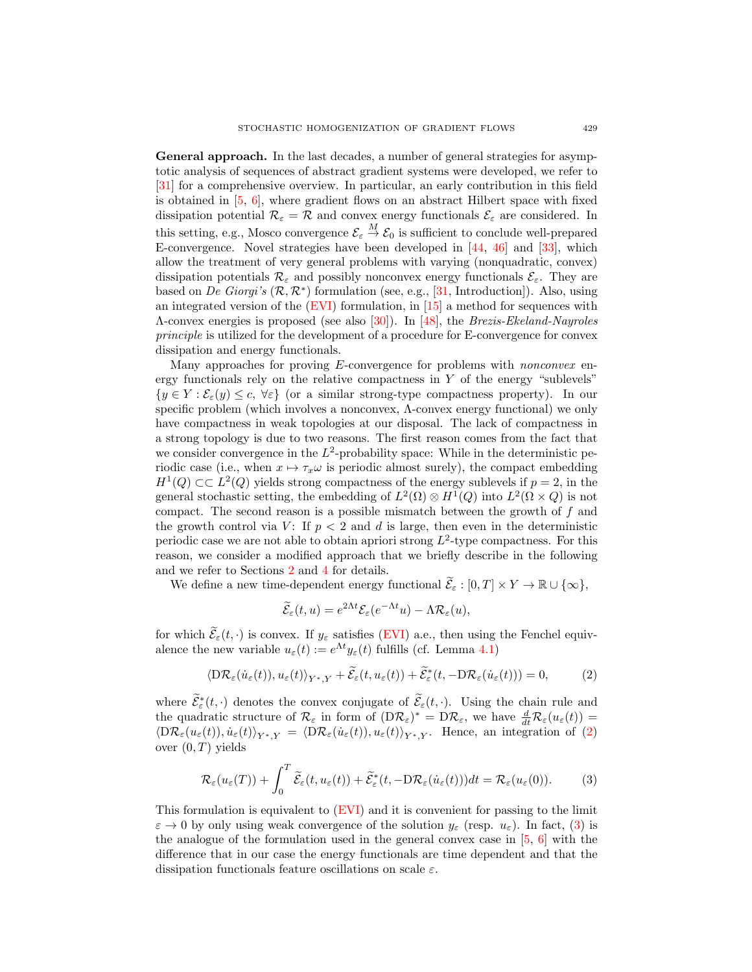General approach. In the last decades, a number of general strategies for asymptotic analysis of sequences of abstract gradient systems were developed, we refer to [\[31\]](#page-25-2) for a comprehensive overview. In particular, an early contribution in this field is obtained in  $[5, 6]$  $[5, 6]$ , where gradient flows on an abstract Hilbert space with fixed dissipation potential  $\mathcal{R}_{\varepsilon} = \mathcal{R}$  and convex energy functionals  $\mathcal{E}_{\varepsilon}$  are considered. In this setting, e.g., Mosco convergence  $\mathcal{E}_{\varepsilon} \stackrel{M}{\to} \mathcal{E}_0$  is sufficient to conclude well-prepared E-convergence. Novel strategies have been developed in [\[44,](#page-25-3) [46\]](#page-25-4) and [\[33\]](#page-25-5), which allow the treatment of very general problems with varying (nonquadratic, convex) dissipation potentials  $\mathcal{R}_{\varepsilon}$  and possibly nonconvex energy functionals  $\mathcal{E}_{\varepsilon}$ . They are based on De Giorgi's  $(\mathcal{R}, \mathcal{R}^*)$  formulation (see, e.g., [\[31,](#page-25-2) Introduction]). Also, using an integrated version of the [\(EVI\)](#page-1-1) formulation, in [\[15\]](#page-24-5) a method for sequences with Λ-convex energies is proposed (see also [\[30\]](#page-25-6)). In [\[48\]](#page-25-7), the Brezis-Ekeland-Nayroles principle is utilized for the development of a procedure for E-convergence for convex dissipation and energy functionals.

Many approaches for proving *E*-convergence for problems with *nonconvex* energy functionals rely on the relative compactness in  $Y$  of the energy "sublevels"  $\{y \in Y : \mathcal{E}_{\varepsilon}(y) \leq c, \forall \varepsilon\}$  (or a similar strong-type compactness property). In our specific problem (which involves a nonconvex, Λ-convex energy functional) we only have compactness in weak topologies at our disposal. The lack of compactness in a strong topology is due to two reasons. The first reason comes from the fact that we consider convergence in the  $L^2$ -probability space: While in the deterministic periodic case (i.e., when  $x \mapsto \tau_x \omega$  is periodic almost surely), the compact embedding  $H^1(Q) \subset L^2(Q)$  yields strong compactness of the energy sublevels if  $p = 2$ , in the general stochastic setting, the embedding of  $L^2(\Omega) \otimes H^1(Q)$  into  $L^2(\Omega \times Q)$  is not compact. The second reason is a possible mismatch between the growth of f and the growth control via V: If  $p < 2$  and d is large, then even in the deterministic periodic case we are not able to obtain apriori strong  $L^2$ -type compactness. For this reason, we consider a modified approach that we briefly describe in the following and we refer to Sections [2](#page-4-0) and [4](#page-15-0) for details.

We define a new time-dependent energy functional  $\widetilde{\mathcal{E}}_{\varepsilon} : [0, T] \times Y \to \mathbb{R} \cup \{\infty\},\$ 

$$
\widetilde{\mathcal{E}}_{\varepsilon}(t,u) = e^{2\Lambda t} \mathcal{E}_{\varepsilon}(e^{-\Lambda t}u) - \Lambda \mathcal{R}_{\varepsilon}(u),
$$

for which  $\widetilde{\mathcal{E}}_{\varepsilon}(t, \cdot)$  is convex. If  $y_{\varepsilon}$  satisfies [\(EVI\)](#page-1-1) a.e., then using the Fenchel equivalence the new variable  $u_{\varepsilon}(t) := e^{\Lambda t} y_{\varepsilon}(t)$  fulfills (cf. Lemma [4.1\)](#page-15-1)

$$
\langle \mathcal{D}\mathcal{R}_{\varepsilon}(\dot{u}_{\varepsilon}(t)), u_{\varepsilon}(t) \rangle_{Y^*,Y} + \widetilde{\mathcal{E}}_{\varepsilon}(t, u_{\varepsilon}(t)) + \widetilde{\mathcal{E}}_{\varepsilon}^*(t, -\mathcal{D}\mathcal{R}_{\varepsilon}(\dot{u}_{\varepsilon}(t))) = 0, \tag{2}
$$

where  $\widetilde{\mathcal{E}}_{\varepsilon}^*(t, \cdot)$  denotes the convex conjugate of  $\widetilde{\mathcal{E}}_{\varepsilon}(t, \cdot)$ . Using the chain rule and where  $\mathcal{E}_{\varepsilon}(t, \cdot)$  denotes the convex conjugate of  $\mathcal{E}_{\varepsilon}(t, \cdot)$ . Using the chain rule and the quadratic structure of  $\mathcal{R}_{\varepsilon}$  in form of  $(D\mathcal{R}_{\varepsilon})^* = D\mathcal{R}_{\varepsilon}$ , we have  $\frac{d}{dt}\mathcal{R}_{\varepsilon}(u_{\varepsilon}(t)) =$  $\langle D\mathcal{R}_{\varepsilon}(u_{\varepsilon}(t)), \dot{u}_{\varepsilon}(t)\rangle_{Y^*,Y} = \langle D\mathcal{R}_{\varepsilon}(\dot{u}_{\varepsilon}(t)), u_{\varepsilon}(t)\rangle_{Y^*,Y}$ . Hence, an integration of [\(2\)](#page-1-2) over  $(0, T)$  yields

<span id="page-2-0"></span>
$$
\mathcal{R}_{\varepsilon}(u_{\varepsilon}(T)) + \int_{0}^{T} \widetilde{\mathcal{E}}_{\varepsilon}(t, u_{\varepsilon}(t)) + \widetilde{\mathcal{E}}_{\varepsilon}^{*}(t, -D\mathcal{R}_{\varepsilon}(\dot{u}_{\varepsilon}(t)))dt = \mathcal{R}_{\varepsilon}(u_{\varepsilon}(0)).
$$
 (3)

This formulation is equivalent to [\(EVI\)](#page-1-1) and it is convenient for passing to the limit  $\varepsilon \to 0$  by only using weak convergence of the solution  $y_{\varepsilon}$  (resp.  $u_{\varepsilon}$ ). In fact, [\(3\)](#page-2-0) is the analogue of the formulation used in the general convex case in  $[5, 6]$  $[5, 6]$  with the difference that in our case the energy functionals are time dependent and that the dissipation functionals feature oscillations on scale  $\varepsilon$ .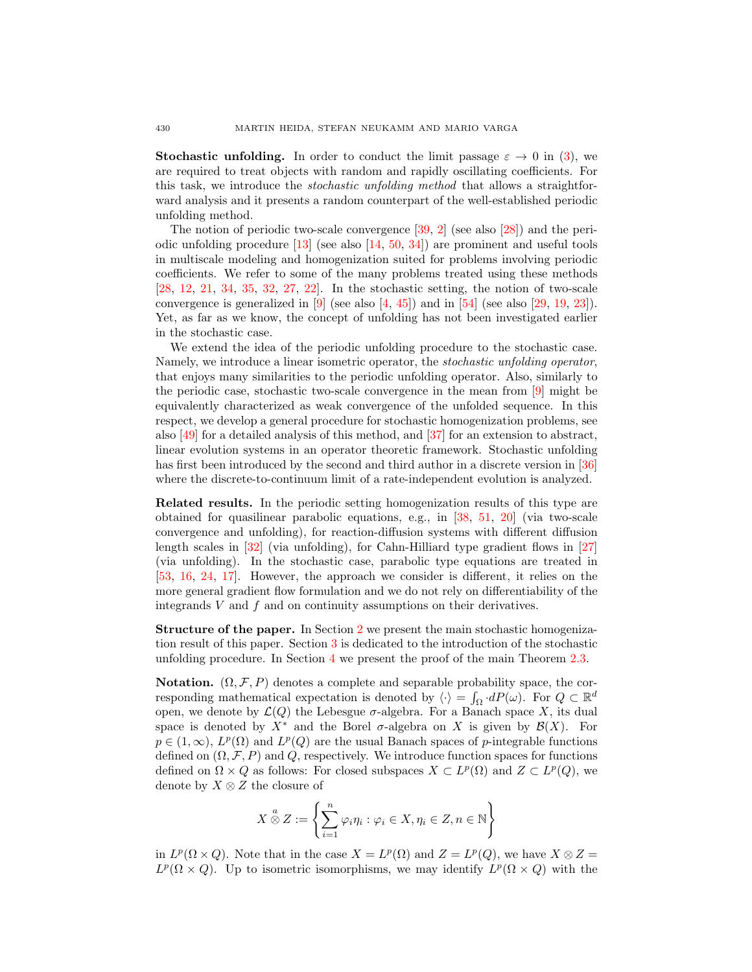**Stochastic unfolding.** In order to conduct the limit passage  $\varepsilon \to 0$  in [\(3\)](#page-2-0), we are required to treat objects with random and rapidly oscillating coefficients. For this task, we introduce the stochastic unfolding method that allows a straightforward analysis and it presents a random counterpart of the well-established periodic unfolding method.

The notion of periodic two-scale convergence [\[39,](#page-25-8) [2\]](#page-24-6) (see also [\[28\]](#page-25-9)) and the periodic unfolding procedure  $[13]$  (see also  $[14, 50, 34]$  $[14, 50, 34]$  $[14, 50, 34]$  $[14, 50, 34]$ ) are prominent and useful tools in multiscale modeling and homogenization suited for problems involving periodic coefficients. We refer to some of the many problems treated using these methods [\[28,](#page-25-9) [12,](#page-24-9) [21,](#page-24-10) [34,](#page-25-11) [35,](#page-25-12) [32,](#page-25-13) [27,](#page-25-14) [22\]](#page-24-11). In the stochastic setting, the notion of two-scale convergence is generalized in  $[9]$  (see also  $[4, 45]$  $[4, 45]$ ) and in  $[54]$  (see also  $[29, 19, 23]$  $[29, 19, 23]$  $[29, 19, 23]$  $[29, 19, 23]$ ). Yet, as far as we know, the concept of unfolding has not been investigated earlier in the stochastic case.

We extend the idea of the periodic unfolding procedure to the stochastic case. Namely, we introduce a linear isometric operator, the stochastic unfolding operator, that enjoys many similarities to the periodic unfolding operator. Also, similarly to the periodic case, stochastic two-scale convergence in the mean from [\[9\]](#page-24-12) might be equivalently characterized as weak convergence of the unfolded sequence. In this respect, we develop a general procedure for stochastic homogenization problems, see also [\[49\]](#page-25-17) for a detailed analysis of this method, and [\[37\]](#page-25-18) for an extension to abstract, linear evolution systems in an operator theoretic framework. Stochastic unfolding has first been introduced by the second and third author in a discrete version in [\[36\]](#page-25-19) where the discrete-to-continuum limit of a rate-independent evolution is analyzed.

Related results. In the periodic setting homogenization results of this type are obtained for quasilinear parabolic equations, e.g., in [\[38,](#page-25-20) [51,](#page-25-21) [20\]](#page-24-16) (via two-scale convergence and unfolding), for reaction-diffusion systems with different diffusion length scales in [\[32\]](#page-25-13) (via unfolding), for Cahn-Hilliard type gradient flows in [\[27\]](#page-25-14) (via unfolding). In the stochastic case, parabolic type equations are treated in [\[53,](#page-26-1) [16,](#page-24-17) [24,](#page-24-18) [17\]](#page-24-19). However, the approach we consider is different, it relies on the more general gradient flow formulation and we do not rely on differentiability of the integrands  $V$  and  $f$  and on continuity assumptions on their derivatives.

Structure of the paper. In Section [2](#page-4-0) we present the main stochastic homogenization result of this paper. Section [3](#page-8-0) is dedicated to the introduction of the stochastic unfolding procedure. In Section [4](#page-15-0) we present the proof of the main Theorem [2.3.](#page-7-0)

Notation.  $(\Omega, \mathcal{F}, P)$  denotes a complete and separable probability space, the corresponding mathematical expectation is denoted by  $\langle \cdot \rangle = \int_{\Omega} dP(\omega)$ . For  $Q \subset \mathbb{R}^d$ open, we denote by  $\mathcal{L}(Q)$  the Lebesgue  $\sigma$ -algebra. For a Banach space X, its dual space is denoted by  $X^*$  and the Borel  $\sigma$ -algebra on X is given by  $\mathcal{B}(X)$ . For  $p \in (1,\infty)$ ,  $L^p(\Omega)$  and  $L^p(Q)$  are the usual Banach spaces of p-integrable functions defined on  $(\Omega, \mathcal{F}, P)$  and Q, respectively. We introduce function spaces for functions defined on  $\Omega \times Q$  as follows: For closed subspaces  $X \subset L^p(\Omega)$  and  $Z \subset L^p(Q)$ , we denote by  $X \otimes Z$  the closure of

$$
X \overset{a}{\otimes} Z := \left\{ \sum_{i=1}^{n} \varphi_i \eta_i : \varphi_i \in X, \eta_i \in Z, n \in \mathbb{N} \right\}
$$

in  $L^p(\Omega \times Q)$ . Note that in the case  $X = L^p(\Omega)$  and  $Z = L^p(Q)$ , we have  $X \otimes Z =$  $L^p(\Omega \times Q)$ . Up to isometric isomorphisms, we may identify  $L^p(\Omega \times Q)$  with the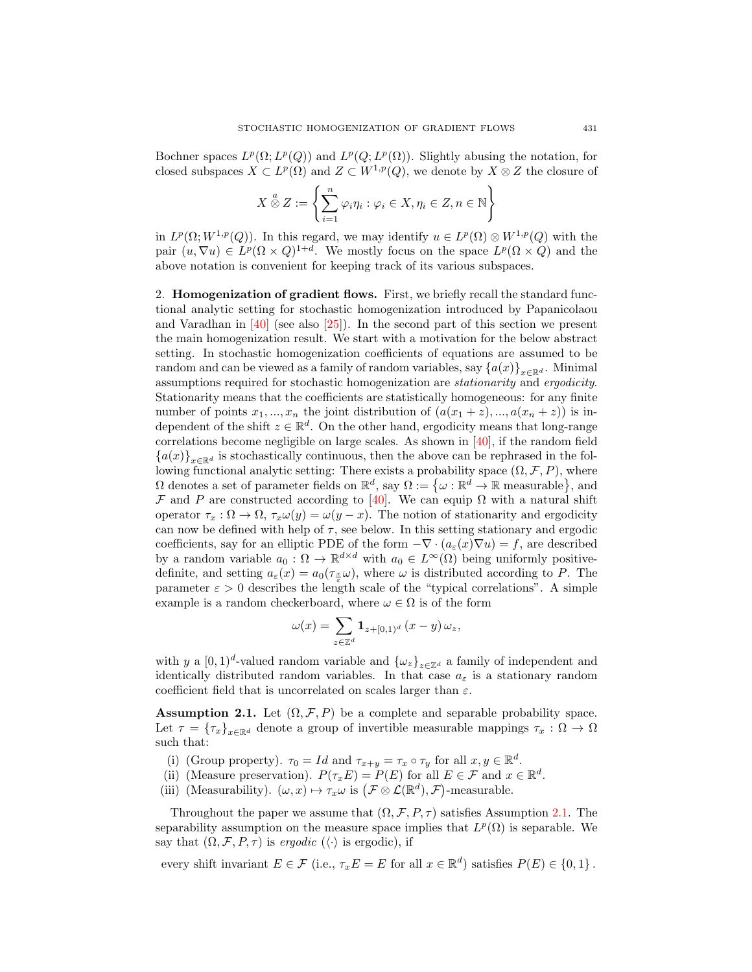Bochner spaces  $L^p(\Omega; L^p(Q))$  and  $L^p(Q; L^p(\Omega))$ . Slightly abusing the notation, for closed subspaces  $X \subset L^p(\Omega)$  and  $Z \subset W^{1,p}(Q)$ , we denote by  $X \otimes Z$  the closure of

$$
X \overset{a}{\otimes} Z := \left\{ \sum_{i=1}^{n} \varphi_i \eta_i : \varphi_i \in X, \eta_i \in Z, n \in \mathbb{N} \right\}
$$

in  $L^p(\Omega; W^{1,p}(Q))$ . In this regard, we may identify  $u \in L^p(\Omega) \otimes W^{1,p}(Q)$  with the pair  $(u, \nabla u) \in L^p(\Omega \times Q)^{1+d}$ . We mostly focus on the space  $L^p(\Omega \times Q)$  and the above notation is convenient for keeping track of its various subspaces.

<span id="page-4-0"></span>2. Homogenization of gradient flows. First, we briefly recall the standard functional analytic setting for stochastic homogenization introduced by Papanicolaou and Varadhan in [\[40\]](#page-25-22) (see also [\[25\]](#page-24-20)). In the second part of this section we present the main homogenization result. We start with a motivation for the below abstract setting. In stochastic homogenization coefficients of equations are assumed to be random and can be viewed as a family of random variables, say  $\{a(x)\}_{x\in\mathbb{R}^d}$ . Minimal assumptions required for stochastic homogenization are stationarity and ergodicity. Stationarity means that the coefficients are statistically homogeneous: for any finite number of points  $x_1, ..., x_n$  the joint distribution of  $(a(x_1 + z), ..., a(x_n + z))$  is independent of the shift  $z \in \mathbb{R}^d$ . On the other hand, ergodicity means that long-range correlations become negligible on large scales. As shown in  $[40]$ , if the random field  ${a(x)}_{x\in\mathbb{R}^d}$  is stochastically continuous, then the above can be rephrased in the following functional analytic setting: There exists a probability space  $(\Omega, \mathcal{F}, P)$ , where  $\Omega$  denotes a set of parameter fields on  $\mathbb{R}^d$ , say  $\Omega := \{ \omega : \mathbb{R}^d \to \mathbb{R}$  measurable, and F and P are constructed according to [\[40\]](#page-25-22). We can equip  $\Omega$  with a natural shift operator  $\tau_x : \Omega \to \Omega$ ,  $\tau_x \omega(y) = \omega(y-x)$ . The notion of stationarity and ergodicity can now be defined with help of  $\tau$ , see below. In this setting stationary and ergodic coefficients, say for an elliptic PDE of the form  $-\nabla \cdot (a_\varepsilon(x)\nabla u) = f$ , are described by a random variable  $a_0$ :  $\Omega \to \mathbb{R}^{d \times d}$  with  $a_0 \in L^{\infty}(\Omega)$  being uniformly positivedefinite, and setting  $a_{\varepsilon}(x) = a_0(\tau_{\frac{x}{\varepsilon}}\omega)$ , where  $\omega$  is distributed according to P. The parameter  $\varepsilon > 0$  describes the length scale of the "typical correlations". A simple example is a random checkerboard, where  $\omega \in \Omega$  is of the form

$$
\omega(x) = \sum_{z \in \mathbb{Z}^d} \mathbf{1}_{z+[0,1)^d} (x-y) \, \omega_z,
$$

with y a  $[0, 1)^d$ -valued random variable and  $\{\omega_z\}_{z \in \mathbb{Z}^d}$  a family of independent and identically distributed random variables. In that case  $a_{\varepsilon}$  is a stationary random coefficient field that is uncorrelated on scales larger than  $\varepsilon$ .

<span id="page-4-1"></span>**Assumption 2.1.** Let  $(\Omega, \mathcal{F}, P)$  be a complete and separable probability space. Let  $\tau = {\{\tau_x\}}_{x \in \mathbb{R}^d}$  denote a group of invertible measurable mappings  $\tau_x : \Omega \to \Omega$ such that:

- (i) (Group property).  $\tau_0 = Id$  and  $\tau_{x+y} = \tau_x \circ \tau_y$  for all  $x, y \in \mathbb{R}^d$ .
- (ii) (Measure preservation).  $P(\tau_x E) = P(E)$  for all  $E \in \mathcal{F}$  and  $x \in \mathbb{R}^d$ .
- (iii) (Measurability).  $(\omega, x) \mapsto \tau_x \omega$  is  $(\mathcal{F} \otimes \mathcal{L}(\mathbb{R}^d), \mathcal{F})$ -measurable.

Throughout the paper we assume that  $(\Omega, \mathcal{F}, P, \tau)$  satisfies Assumption [2.1.](#page-4-1) The separability assumption on the measure space implies that  $L^p(\Omega)$  is separable. We say that  $(\Omega, \mathcal{F}, P, \tau)$  is ergodic  $(\langle \cdot \rangle)$  is ergodic), if

every shift invariant  $E \in \mathcal{F}$  (i.e.,  $\tau_x E = E$  for all  $x \in \mathbb{R}^d$ ) satisfies  $P(E) \in \{0, 1\}$ .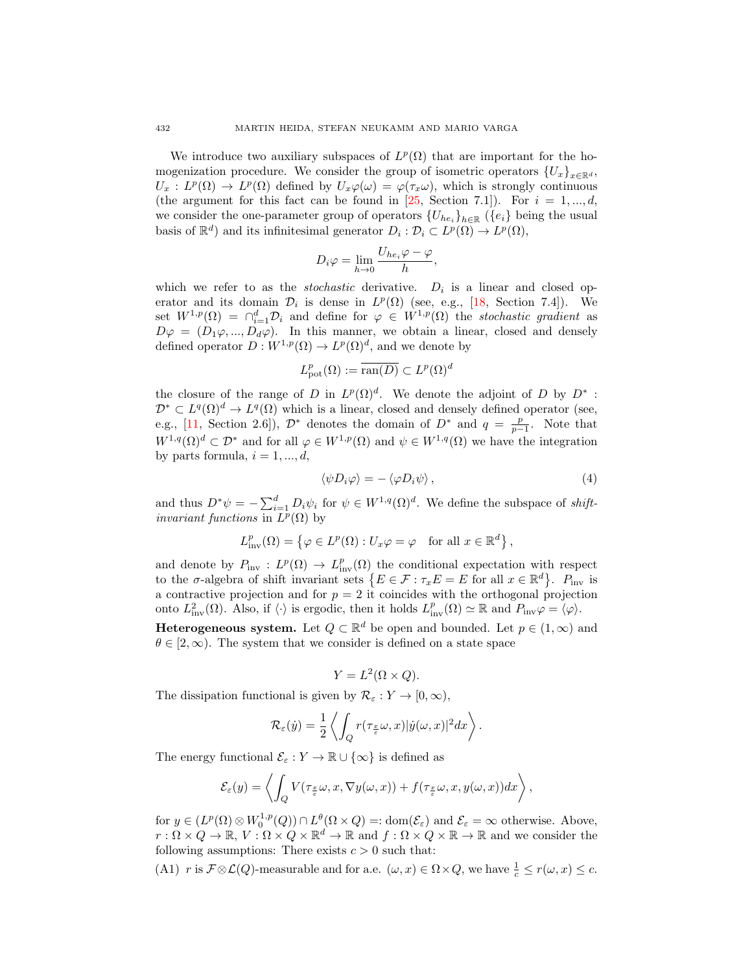We introduce two auxiliary subspaces of  $L^p(\Omega)$  that are important for the homogenization procedure. We consider the group of isometric operators  ${U_x}_{x \in \mathbb{R}^d}$ ,  $U_x: L^p(\Omega) \to L^p(\Omega)$  defined by  $U_x\varphi(\omega) = \varphi(\tau_x\omega)$ , which is strongly continuous (the argument for this fact can be found in [\[25,](#page-24-20) Section 7.1]). For  $i = 1, ..., d$ , we consider the one-parameter group of operators  ${U_{he_i}}_{h \in \mathbb{R}}$  ( ${e_i}$ ) being the usual basis of  $\mathbb{R}^d$  and its infinitesimal generator  $D_i : \mathcal{D}_i \subset L^p(\Omega) \to L^p(\Omega)$ ,

$$
D_i\varphi=\lim_{h\to 0}\frac{U_{he_i}\varphi-\varphi}{h},
$$

which we refer to as the *stochastic* derivative.  $D_i$  is a linear and closed operator and its domain  $\mathcal{D}_i$  is dense in  $L^p(\Omega)$  (see, e.g., [\[18,](#page-24-21) Section 7.4]). We set  $W^{1,p}(\Omega) = \bigcap_{i=1}^d \mathcal{D}_i$  and define for  $\varphi \in W^{1,p}(\Omega)$  the stochastic gradient as  $D\varphi = (D_1\varphi, ..., D_d\varphi)$ . In this manner, we obtain a linear, closed and densely defined operator  $D: W^{1,p}(\Omega) \to L^p(\Omega)^d$ , and we denote by

$$
L^p_{{\mathrm{pot}}}(\Omega):=\overline{{\mathrm{ran}}(D)}\subset L^p(\Omega)^d
$$

the closure of the range of D in  $L^p(\Omega)^d$ . We denote the adjoint of D by  $D^*$ :  $\mathcal{D}^* \subset L^q(\Omega)^d \to L^q(\Omega)$  which is a linear, closed and densely defined operator (see, e.g., [\[11,](#page-24-22) Section 2.6]),  $\mathcal{D}^*$  denotes the domain of  $D^*$  and  $q = \frac{p}{p-1}$ . Note that  $W^{1,q}(\Omega)^d \subset \mathcal{D}^*$  and for all  $\varphi \in W^{1,p}(\Omega)$  and  $\psi \in W^{1,q}(\Omega)$  we have the integration by parts formula,  $i = 1, ..., d$ ,

<span id="page-5-1"></span>
$$
\langle \psi D_i \varphi \rangle = - \langle \varphi D_i \psi \rangle \,, \tag{4}
$$

and thus  $D^*\psi = -\sum_{i=1}^d D_i\psi_i$  for  $\psi \in W^{1,q}(\Omega)^d$ . We define the subspace of *shiftinvariant functions* in  $L^p(\Omega)$  by

$$
L_{\text{inv}}^p(\Omega) = \left\{ \varphi \in L^p(\Omega) : U_x \varphi = \varphi \quad \text{for all } x \in \mathbb{R}^d \right\},\
$$

and denote by  $P_{\text{inv}}: L^p(\Omega) \to L^p_{\text{inv}}(\Omega)$  the conditional expectation with respect to the  $\sigma$ -algebra of shift invariant sets  $\{E \in \mathcal{F} : \tau_x E = E \text{ for all } x \in \mathbb{R}^d\}$ .  $P_{\text{inv}}$  is a contractive projection and for  $p = 2$  it coincides with the orthogonal projection onto  $L^2_{\text{inv}}(\Omega)$ . Also, if  $\langle \cdot \rangle$  is ergodic, then it holds  $L^p_{\text{inv}}(\Omega) \simeq \mathbb{R}$  and  $P_{\text{inv}}\varphi = \langle \varphi \rangle$ .

**Heterogeneous system.** Let  $Q \subset \mathbb{R}^d$  be open and bounded. Let  $p \in (1,\infty)$  and  $\theta \in [2,\infty)$ . The system that we consider is defined on a state space

$$
Y = L^2(\Omega \times Q).
$$

The dissipation functional is given by  $\mathcal{R}_{\varepsilon}: Y \to [0, \infty)$ ,

$$
\mathcal{R}_{\varepsilon}(\dot{y}) = \frac{1}{2} \left\langle \int_Q r(\tau_{\frac{x}{\varepsilon}}\omega, x) |\dot{y}(\omega, x)|^2 dx \right\rangle.
$$

The energy functional  $\mathcal{E}_{\varepsilon}: Y \to \mathbb{R} \cup \{\infty\}$  is defined as

$$
\mathcal{E}_{\varepsilon}(y) = \left\langle \int_{Q} V(\tau_{\frac{x}{\varepsilon}}\omega, x, \nabla y(\omega, x)) + f(\tau_{\frac{x}{\varepsilon}}\omega, x, y(\omega, x))dx \right\rangle,
$$

for  $y \in (L^p(\Omega) \otimes W_0^{1,p}(Q)) \cap L^{\theta}(\Omega \times Q) =: \text{dom}(\mathcal{E}_{\varepsilon})$  and  $\mathcal{E}_{\varepsilon} = \infty$  otherwise. Above,  $r: \Omega \times Q \to \mathbb{R}, V: \Omega \times Q \times \mathbb{R}^d \to \mathbb{R}$  and  $f: \Omega \times Q \times \mathbb{R} \to \mathbb{R}$  and we consider the following assumptions: There exists  $c > 0$  such that:

<span id="page-5-0"></span>(A1) r is  $\mathcal{F} \otimes \mathcal{L}(Q)$ -measurable and for a.e.  $(\omega, x) \in \Omega \times Q$ , we have  $\frac{1}{c} \leq r(\omega, x) \leq c$ .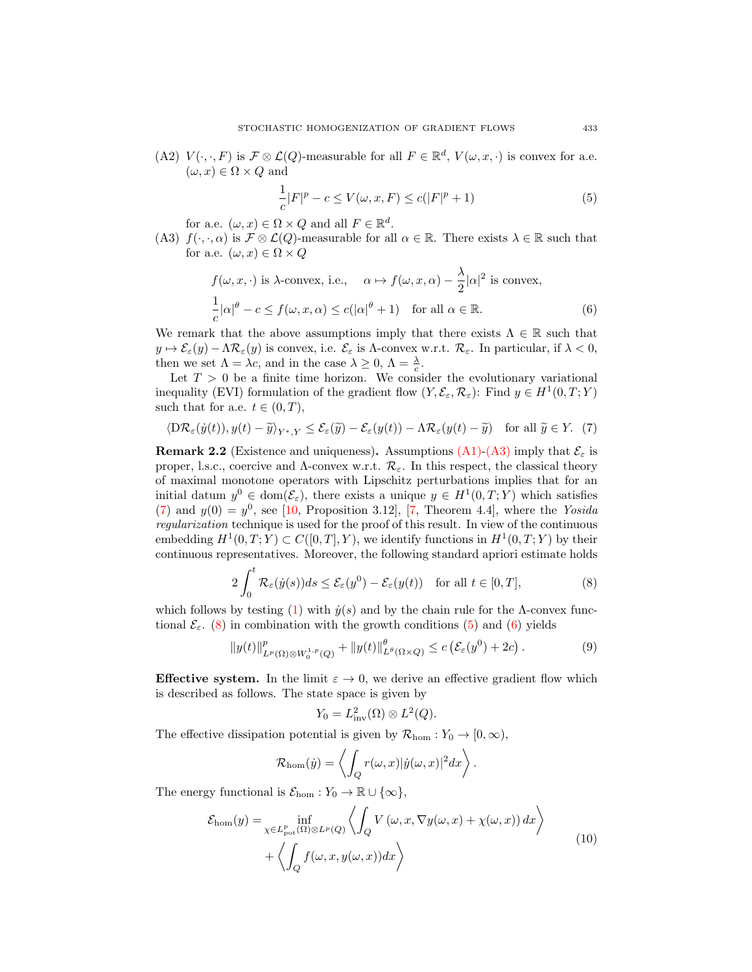(A2)  $V(\cdot, \cdot, F)$  is  $\mathcal{F} \otimes \mathcal{L}(Q)$ -measurable for all  $F \in \mathbb{R}^d$ ,  $V(\omega, x, \cdot)$  is convex for a.e.  $(\omega, x) \in \Omega \times Q$  and

<span id="page-6-4"></span><span id="page-6-3"></span>
$$
\frac{1}{c}|F|^{p} - c \le V(\omega, x, F) \le c(|F|^{p} + 1)
$$
\n(5)

for a.e.  $(\omega, x) \in \Omega \times Q$  and all  $F \in \mathbb{R}^d$ .

<span id="page-6-0"></span>(A3)  $f(\cdot,\cdot,\alpha)$  is  $\mathcal{F} \otimes \mathcal{L}(Q)$ -measurable for all  $\alpha \in \mathbb{R}$ . There exists  $\lambda \in \mathbb{R}$  such that for a.e.  $(\omega, x) \in \Omega \times Q$ 

$$
f(\omega, x, \cdot) \text{ is } \lambda\text{-convex, i.e., } \alpha \mapsto f(\omega, x, \alpha) - \frac{\lambda}{2} |\alpha|^2 \text{ is convex,}
$$
  

$$
\frac{1}{c} |\alpha|^{\theta} - c \le f(\omega, x, \alpha) \le c(|\alpha|^{\theta} + 1) \quad \text{for all } \alpha \in \mathbb{R}.
$$
 (6)

We remark that the above assumptions imply that there exists  $\Lambda \in \mathbb{R}$  such that  $y \mapsto \mathcal{E}_{\varepsilon}(y) - \Lambda \mathcal{R}_{\varepsilon}(y)$  is convex, i.e.  $\mathcal{E}_{\varepsilon}$  is  $\Lambda$ -convex w.r.t.  $\mathcal{R}_{\varepsilon}$ . In particular, if  $\lambda < 0$ , then we set  $\Lambda = \lambda c$ , and in the case  $\lambda \geq 0$ ,  $\Lambda = \frac{\lambda}{c}$ .

Let  $T > 0$  be a finite time horizon. We consider the evolutionary variational inequality (EVI) formulation of the gradient flow  $(Y, \mathcal{E}_{\varepsilon}, \mathcal{R}_{\varepsilon})$ : Find  $y \in H^1(0, T; Y)$ such that for a.e.  $t \in (0, T)$ ,

<span id="page-6-1"></span>
$$
\langle \mathcal{D}\mathcal{R}_{\varepsilon}(\dot{y}(t)), y(t) - \widetilde{y}\rangle_{Y^*,Y} \le \mathcal{E}_{\varepsilon}(\widetilde{y}) - \mathcal{E}_{\varepsilon}(y(t)) - \Lambda \mathcal{R}_{\varepsilon}(y(t) - \widetilde{y}) \quad \text{for all } \widetilde{y} \in Y. \tag{7}
$$

<span id="page-6-5"></span>**Remark 2.2** (Existence and uniqueness). Assumptions [\(A1\)-](#page-5-0)[\(A3\)](#page-6-0) imply that  $\mathcal{E}_{\varepsilon}$  is proper, l.s.c., coercive and  $\Lambda$ -convex w.r.t.  $\mathcal{R}_{\varepsilon}$ . In this respect, the classical theory of maximal monotone operators with Lipschitz perturbations implies that for an initial datum  $y^0 \in \text{dom}(\mathcal{E}_{\varepsilon})$ , there exists a unique  $y \in H^1(0,T;Y)$  which satisfies [\(7\)](#page-6-1) and  $y(0) = y^0$ , see [\[10,](#page-24-1) Proposition 3.12], [\[7,](#page-24-23) Theorem 4.4], where the Yosida regularization technique is used for the proof of this result. In view of the continuous embedding  $H^1(0,T;Y) \subset C([0,T],Y)$ , we identify functions in  $H^1(0,T;Y)$  by their continuous representatives. Moreover, the following standard apriori estimate holds

<span id="page-6-2"></span>
$$
2\int_0^t \mathcal{R}_{\varepsilon}(y(s))ds \le \mathcal{E}_{\varepsilon}(y^0) - \mathcal{E}_{\varepsilon}(y(t)) \quad \text{for all } t \in [0, T],
$$
 (8)

which follows by testing [\(1\)](#page-1-0) with  $\dot{y}(s)$  and by the chain rule for the Λ-convex functional  $\mathcal{E}_{\varepsilon}$ . [\(8\)](#page-6-2) in combination with the growth conditions [\(5\)](#page-6-3) and [\(6\)](#page-6-4) yields

<span id="page-6-6"></span>
$$
||y(t)||^p_{L^p(\Omega)\otimes W_0^{1,p}(Q)} + ||y(t)||^{\theta}_{L^{\theta}(\Omega\times Q)} \leq c \left(\mathcal{E}_\varepsilon(y^0) + 2c\right). \tag{9}
$$

**Effective system.** In the limit  $\varepsilon \to 0$ , we derive an effective gradient flow which is described as follows. The state space is given by

$$
Y_0 = L^2_{\text{inv}}(\Omega) \otimes L^2(Q).
$$

The effective dissipation potential is given by  $\mathcal{R}_{\text{hom}}: Y_0 \to [0, \infty)$ ,

$$
\mathcal{R}_{\text{hom}}(\dot{y}) = \left\langle \int_{Q} r(\omega, x) |\dot{y}(\omega, x)|^{2} dx \right\rangle.
$$

The energy functional is  $\mathcal{E}_{\text{hom}} : Y_0 \to \mathbb{R} \cup \{\infty\},\$ 

$$
\mathcal{E}_{\text{hom}}(y) = \inf_{\chi \in L_{\text{pot}}^{p}(\Omega) \otimes L^{p}(Q)} \left\langle \int_{Q} V(\omega, x, \nabla y(\omega, x) + \chi(\omega, x)) dx \right\rangle + \left\langle \int_{Q} f(\omega, x, y(\omega, x)) dx \right\rangle
$$
\n(10)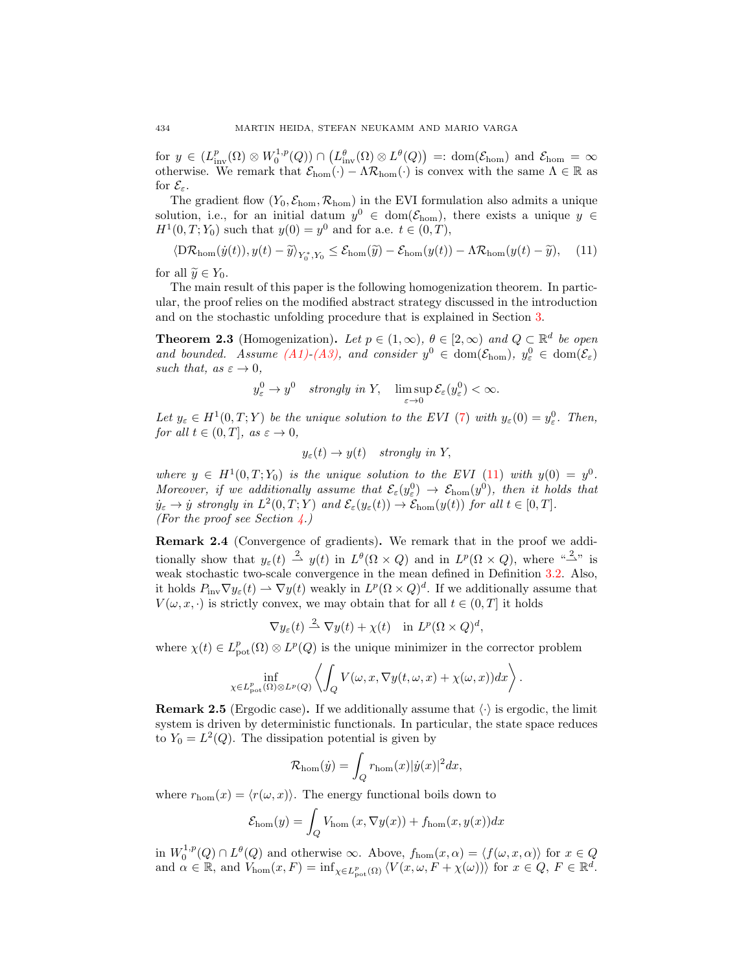for  $y \in (L^p_{\text{inv}}(\Omega) \otimes W_0^{1,p}(Q)) \cap (L^{\theta}_{\text{inv}}(\Omega) \otimes L^{\theta}(Q)) =: \text{dom}(\mathcal{E}_{\text{hom}})$  and  $\mathcal{E}_{\text{hom}} = \infty$ otherwise. We remark that  $\mathcal{E}_{\text{hom}}(\cdot) - \Lambda \mathcal{R}_{\text{hom}}(\cdot)$  is convex with the same  $\Lambda \in \mathbb{R}$  as for  $\mathcal{E}_{\varepsilon}$ .

The gradient flow  $(Y_0, \mathcal{E}_{\text{hom}}, \mathcal{R}_{\text{hom}})$  in the EVI formulation also admits a unique solution, i.e., for an initial datum  $y^0 \in \text{dom}(\mathcal{E}_{\text{hom}})$ , there exists a unique  $y \in$  $H^1(0,T; Y_0)$  such that  $y(0) = y^0$  and for a.e.  $t \in (0,T)$ ,

<span id="page-7-1"></span>
$$
\langle \mathcal{D}\mathcal{R}_{\text{hom}}(\dot{y}(t)), y(t) - \widetilde{y} \rangle_{Y_0^*, Y_0} \le \mathcal{E}_{\text{hom}}(\widetilde{y}) - \mathcal{E}_{\text{hom}}(y(t)) - \Lambda \mathcal{R}_{\text{hom}}(y(t) - \widetilde{y}), \quad (11)
$$

for all  $\widetilde{y} \in Y_0$ .

The main result of this paper is the following homogenization theorem. In particular, the proof relies on the modified abstract strategy discussed in the introduction and on the stochastic unfolding procedure that is explained in Section [3.](#page-8-0)

<span id="page-7-0"></span>**Theorem 2.3** (Homogenization). Let  $p \in (1,\infty)$ ,  $\theta \in [2,\infty)$  and  $Q \subset \mathbb{R}^d$  be open and bounded. Assume  $(A1)-(A3)$  $(A1)-(A3)$ , and consider  $y^0 \in \text{dom}(\mathcal{E}_{\text{hom}})$ ,  $y^0_{\varepsilon} \in \text{dom}(\mathcal{E}_{\varepsilon})$ such that, as  $\varepsilon \to 0$ ,

$$
y_{\varepsilon}^{0} \to y^{0}
$$
 strongly in Y,  $\limsup_{\varepsilon \to 0} \mathcal{E}_{\varepsilon}(y_{\varepsilon}^{0}) < \infty$ .

Let  $y_{\varepsilon} \in H^1(0,T;Y)$  be the unique solution to the EVI [\(7\)](#page-6-1) with  $y_{\varepsilon}(0) = y_{\varepsilon}^0$ . Then, for all  $t \in (0, T]$ , as  $\varepsilon \to 0$ ,

$$
y_{\varepsilon}(t) \to y(t)
$$
 strongly in Y,

where  $y \in H^1(0,T; Y_0)$  is the unique solution to the EVI [\(11\)](#page-7-1) with  $y(0) = y^0$ . Moreover, if we additionally assume that  $\mathcal{E}_{\varepsilon}(y^0_{\varepsilon}) \to \mathcal{E}_{\text{hom}}(y^0)$ , then it holds that  $\dot{y}_{\varepsilon} \to \dot{y}$  strongly in  $L^2(0,T;Y)$  and  $\mathcal{E}_{\varepsilon}(y_{\varepsilon}(t)) \to \mathcal{E}_{\text{hom}}(y(t))$  for all  $t \in [0,T]$ . (For the proof see Section  $\angle$ .)

Remark 2.4 (Convergence of gradients). We remark that in the proof we additionally show that  $y_{\varepsilon}(t) \stackrel{2}{\rightarrow} y(t)$  in  $L^{\theta}(\Omega \times Q)$  and in  $L^p(\Omega \times Q)$ , where " $\stackrel{2}{\rightarrow}$ " is weak stochastic two-scale convergence in the mean defined in Definition [3.2.](#page-8-1) Also, it holds  $P_{\text{inv}} \nabla y_{\varepsilon}(t) \rightharpoonup \nabla y(t)$  weakly in  $L^p(\Omega \times Q)^d$ . If we additionally assume that  $V(\omega, x, \cdot)$  is strictly convex, we may obtain that for all  $t \in (0,T]$  it holds

$$
\nabla y_{\varepsilon}(t) \stackrel{2}{\rightharpoonup} \nabla y(t) + \chi(t) \quad \text{in } L^p(\Omega \times Q)^d,
$$

where  $\chi(t) \in L^p_{\text{pot}}(\Omega) \otimes L^p(Q)$  is the unique minimizer in the corrector problem

$$
\inf_{\chi \in L^p_{\text{pot}}(\Omega) \otimes L^p(Q)} \left\langle \int_Q V(\omega, x, \nabla y(t, \omega, x) + \chi(\omega, x)) dx \right\rangle.
$$

**Remark 2.5** (Ergodic case). If we additionally assume that  $\langle \cdot \rangle$  is ergodic, the limit system is driven by deterministic functionals. In particular, the state space reduces to  $Y_0 = L^2(Q)$ . The dissipation potential is given by

$$
\mathcal{R}_{\text{hom}}(\dot{y}) = \int_{Q} r_{\text{hom}}(x) |\dot{y}(x)|^{2} dx,
$$

where  $r_{\text{hom}}(x) = \langle r(\omega, x) \rangle$ . The energy functional boils down to

$$
\mathcal{E}_{\text{hom}}(y) = \int_{Q} V_{\text{hom}}(x, \nabla y(x)) + f_{\text{hom}}(x, y(x))dx
$$

in  $W_0^{1,p}(Q) \cap L^{\theta}(Q)$  and otherwise  $\infty$ . Above,  $f_{\text{hom}}(x,\alpha) = \langle f(\omega, x, \alpha) \rangle$  for  $x \in Q$ and  $\alpha \in \mathbb{R}$ , and  $V_{\text{hom}}(x, F) = \inf_{\chi \in L^p_{\text{pot}}(\Omega)} \langle V(x, \omega, F + \chi(\omega)) \rangle$  for  $x \in Q, F \in \mathbb{R}^d$ .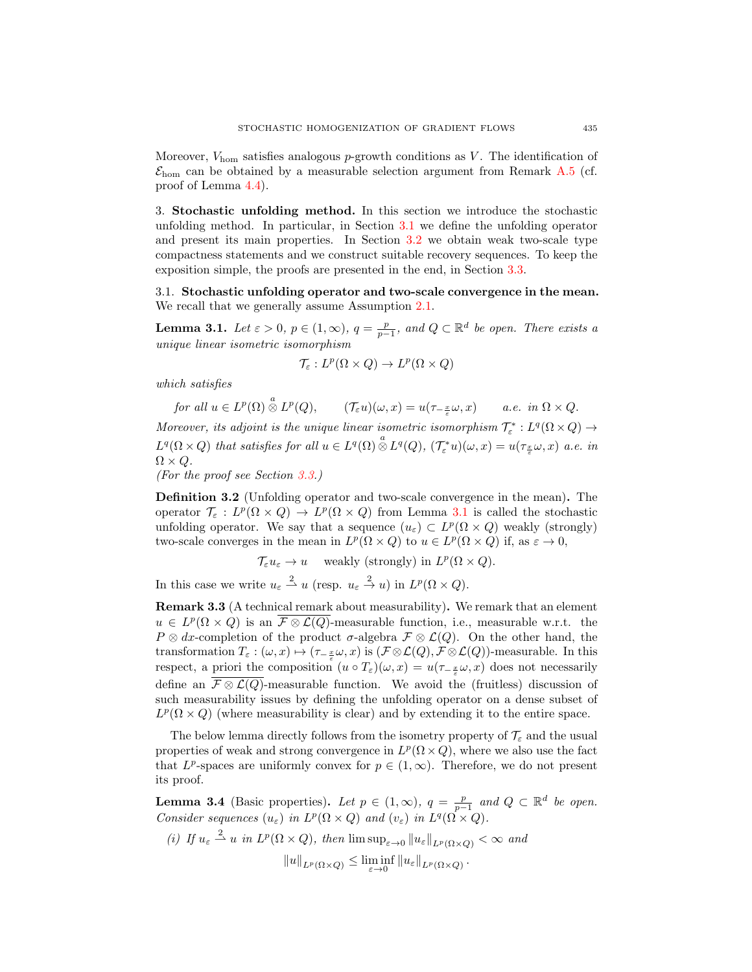Moreover,  $V_{\text{hom}}$  satisfies analogous p-growth conditions as V. The identification of  $\mathcal{E}_{\text{hom}}$  can be obtained by a measurable selection argument from Remark [A.5](#page-23-0) (cf. proof of Lemma [4.4\)](#page-17-0).

<span id="page-8-0"></span>3. Stochastic unfolding method. In this section we introduce the stochastic unfolding method. In particular, in Section [3.1](#page-8-2) we define the unfolding operator and present its main properties. In Section [3.2](#page-10-0) we obtain weak two-scale type compactness statements and we construct suitable recovery sequences. To keep the exposition simple, the proofs are presented in the end, in Section [3.3.](#page-10-1)

<span id="page-8-2"></span>3.1. Stochastic unfolding operator and two-scale convergence in the mean. We recall that we generally assume Assumption [2.1.](#page-4-1)

<span id="page-8-3"></span>**Lemma 3.1.** Let  $\varepsilon > 0$ ,  $p \in (1, \infty)$ ,  $q = \frac{p}{p-1}$ , and  $Q \subset \mathbb{R}^d$  be open. There exists a unique linear isometric isomorphism

$$
\mathcal{T}_{\varepsilon}: L^p(\Omega \times Q) \to L^p(\Omega \times Q)
$$

which satisfies

for all  $u \in L^p(\Omega) \overset{a}{\otimes} L^p(Q)$ ,  $(\mathcal{T}_{\varepsilon} u)(\omega, x) = u(\tau_{-\frac{x}{\varepsilon}} \omega, x)$  a.e. in  $\Omega \times Q$ .

Moreover, its adjoint is the unique linear isometric isomorphism  $\mathcal{T}_{\varepsilon}^{*}:L^{q}(\Omega \times Q) \rightarrow$  $L^q(\Omega\times Q)$  that satisfies for all  $u\in L^q(\Omega)\overset{a}{\otimes}L^q(Q)$ ,  $(\mathcal{T}_{\varepsilon}^*u)(\omega,x)=u(\tau_{\frac{x}{\varepsilon}}\omega,x)$  a.e. in  $\Omega \times Q$ .

(For the proof see Section [3.3.](#page-10-1))

<span id="page-8-1"></span>Definition 3.2 (Unfolding operator and two-scale convergence in the mean). The operator  $\mathcal{T}_{\varepsilon}: L^p(\Omega \times Q) \to L^p(\Omega \times Q)$  from Lemma [3.1](#page-8-3) is called the stochastic unfolding operator. We say that a sequence  $(u_{\varepsilon}) \subset L^p(\Omega \times Q)$  weakly (strongly) two-scale converges in the mean in  $L^p(\Omega \times Q)$  to  $u \in L^p(\Omega \times Q)$  if, as  $\varepsilon \to 0$ ,

 $\mathcal{T}_{\varepsilon} u_{\varepsilon} \to u$  weakly (strongly) in  $L^p(\Omega \times Q)$ .

In this case we write  $u_{\varepsilon} \stackrel{2}{\rightharpoonup} u$  (resp.  $u_{\varepsilon} \stackrel{2}{\rightharpoonup} u$ ) in  $L^p(\Omega \times Q)$ .

Remark 3.3 (A technical remark about measurability). We remark that an element  $u \in L^p(\Omega \times Q)$  is an  $\overline{\mathcal{F} \otimes \mathcal{L}(Q)}$ -measurable function, i.e., measurable w.r.t. the  $P \otimes dx$ -completion of the product  $\sigma$ -algebra  $\mathcal{F} \otimes \mathcal{L}(Q)$ . On the other hand, the transformation  $T_{\varepsilon} : (\omega, x) \mapsto (\tau_{-\frac{x}{\varepsilon}}\omega, x)$  is  $(\mathcal{F} \otimes \mathcal{L}(Q), \mathcal{F} \otimes \mathcal{L}(Q))$ -measurable. In this respect, a priori the composition  $(u \circ T_{\varepsilon})(\omega, x) = u(\tau_{-\frac{x}{\varepsilon}}\omega, x)$  does not necessarily define an  $\mathcal{F} \otimes \mathcal{L}(Q)$ -measurable function. We avoid the (fruitless) discussion of such measurability issues by defining the unfolding operator on a dense subset of  $L^p(\Omega \times Q)$  (where measurability is clear) and by extending it to the entire space.

The below lemma directly follows from the isometry property of  $\mathcal{T}_{\varepsilon}$  and the usual properties of weak and strong convergence in  $L^p(\Omega \times Q)$ , where we also use the fact that  $L^p$ -spaces are uniformly convex for  $p \in (1,\infty)$ . Therefore, we do not present its proof.

<span id="page-8-4"></span>**Lemma 3.4** (Basic properties). Let  $p \in (1,\infty)$ ,  $q = \frac{p}{p-1}$  and  $Q \subset \mathbb{R}^d$  be open. Consider sequences  $(u_{\varepsilon})$  in  $L^p(\Omega \times Q)$  and  $(v_{\varepsilon})$  in  $L^q(\Omega \times Q)$ .

(i) If 
$$
u_{\varepsilon} \stackrel{2}{\longrightarrow} u
$$
 in  $L^p(\Omega \times Q)$ , then  $\limsup_{\varepsilon \to 0} ||u_{\varepsilon}||_{L^p(\Omega \times Q)} < \infty$  and  $||u||_{L^p(\Omega \times Q)} \le \liminf_{\varepsilon \to 0} ||u_{\varepsilon}||_{L^p(\Omega \times Q)}$ .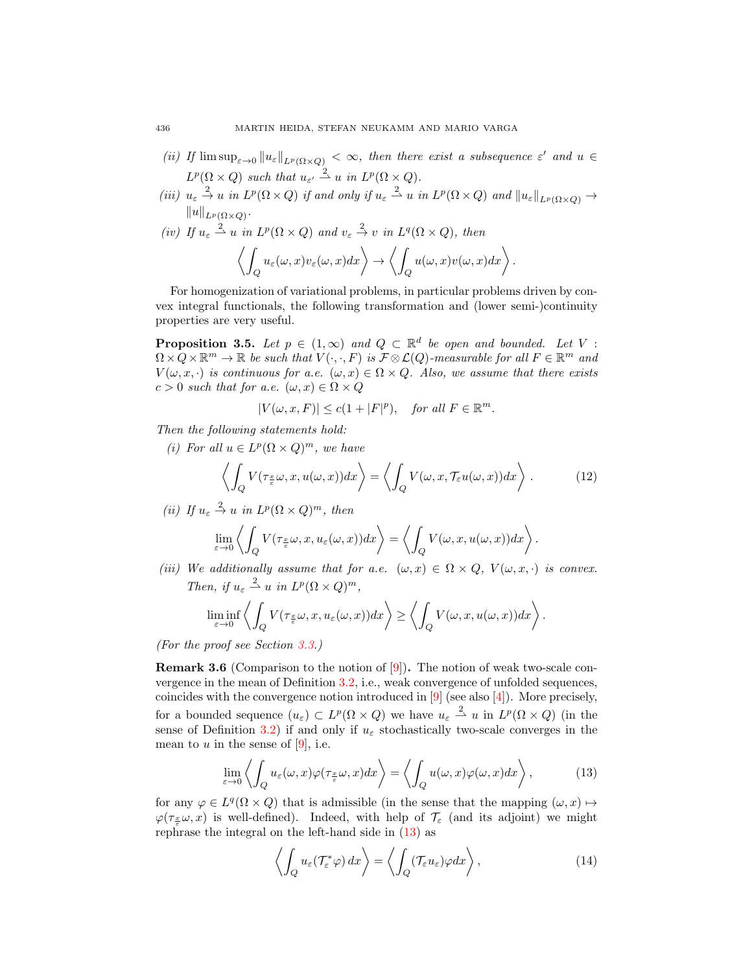- (ii) If  $\limsup_{\varepsilon\to 0}||u_{\varepsilon}||_{L^p(\Omega\times Q)} < \infty$ , then there exist a subsequence  $\varepsilon'$  and  $u \in$  $L^p(\Omega \times Q)$  such that  $u_{\varepsilon'} \stackrel{2}{\rightharpoonup} u$  in  $L^p(\Omega \times Q)$ .
- (iii)  $u_{\varepsilon} \stackrel{2}{\to} u$  in  $L^p(\Omega \times Q)$  if and only if  $u_{\varepsilon} \stackrel{2}{\to} u$  in  $L^p(\Omega \times Q)$  and  $||u_{\varepsilon}||_{L^p(\Omega \times Q)} \to$  $||u||_{L^p(\Omega\times Q)}$ .
- (iv) If  $u_{\varepsilon} \stackrel{2}{\rightharpoonup} u$  in  $L^p(\Omega \times Q)$  and  $v_{\varepsilon} \stackrel{2}{\rightarrow} v$  in  $L^q(\Omega \times Q)$ , then  $\frac{1}{2}$  $\left\langle \begin{array}{l} u_\varepsilon(\omega,x)v_\varepsilon(\omega,x)dx \end{array} \right\rangle \rightarrow \left\langle \begin{array}{l} 0 \end{array} \right\rangle$ Q  $u(\omega, x)v(\omega, x)dx\bigg\rangle$ .

For homogenization of variational problems, in particular problems driven by convex integral functionals, the following transformation and (lower semi-)continuity properties are very useful.

<span id="page-9-1"></span>**Proposition 3.5.** Let  $p \in (1,\infty)$  and  $Q \subset \mathbb{R}^d$  be open and bounded. Let V:  $\Omega \times Q \times \mathbb{R}^m \to \mathbb{R}$  be such that  $V(\cdot, \cdot, F)$  is  $\mathcal{F} \otimes \mathcal{L}(Q)$ -measurable for all  $F \in \mathbb{R}^m$  and  $V(\omega, x, \cdot)$  is continuous for a.e.  $(\omega, x) \in \Omega \times Q$ . Also, we assume that there exists  $c > 0$  such that for a.e.  $(\omega, x) \in \Omega \times Q$ 

$$
|V(\omega, x, F)| \le c(1+|F|^p), \quad \text{for all } F \in \mathbb{R}^m.
$$

Then the following statements hold:

(i) For all  $u \in L^p(\Omega \times Q)^m$ , we have

<span id="page-9-2"></span>
$$
\left\langle \int_{Q} V(\tau_{\frac{x}{\varepsilon}}\omega, x, u(\omega, x)) dx \right\rangle = \left\langle \int_{Q} V(\omega, x, \mathcal{T}_{\varepsilon}u(\omega, x)) dx \right\rangle. \tag{12}
$$

(ii) If  $u_{\varepsilon} \stackrel{2}{\rightarrow} u$  in  $L^p(\Omega \times Q)^m$ , then

$$
\lim_{\varepsilon \to 0} \left\langle \int_Q V(\tau_{\frac{x}{\varepsilon}} \omega, x, u_\varepsilon(\omega, x)) dx \right\rangle = \left\langle \int_Q V(\omega, x, u(\omega, x)) dx \right\rangle.
$$

(iii) We additionally assume that for a.e.  $(\omega, x) \in \Omega \times Q$ ,  $V(\omega, x, \cdot)$  is convex. Then, if  $u_{\varepsilon} \stackrel{2}{\rightharpoonup} u$  in  $L^p(\Omega \times Q)^m$ ,

$$
\liminf_{\varepsilon\to 0}\left\langle\int_Q V(\tau_{\frac{x}{\varepsilon}}\omega,x,u_\varepsilon(\omega,x))dx\right\rangle\geq \left\langle\int_Q V(\omega,x,u(\omega,x))dx\right\rangle.
$$

(For the proof see Section [3.3.](#page-10-1))

**Remark 3.6** (Comparison to the notion of  $[9]$ ). The notion of weak two-scale convergence in the mean of Definition [3.2,](#page-8-1) i.e., weak convergence of unfolded sequences, coincides with the convergence notion introduced in [\[9\]](#page-24-12) (see also [\[4\]](#page-24-13)). More precisely, for a bounded sequence  $(u_{\varepsilon}) \subset L^p(\Omega \times Q)$  we have  $u_{\varepsilon} \stackrel{2}{\rightharpoonup} u$  in  $L^p(\Omega \times Q)$  (in the sense of Definition [3.2\)](#page-8-1) if and only if  $u_{\varepsilon}$  stochastically two-scale converges in the mean to  $u$  in the sense of [\[9\]](#page-24-12), i.e.

<span id="page-9-0"></span>
$$
\lim_{\varepsilon \to 0} \left\langle \int_Q u_\varepsilon(\omega, x) \varphi(\tau_{\frac{x}{\varepsilon}} \omega, x) dx \right\rangle = \left\langle \int_Q u(\omega, x) \varphi(\omega, x) dx \right\rangle, \tag{13}
$$

for any  $\varphi \in L^q(\Omega \times Q)$  that is admissible (in the sense that the mapping  $(\omega, x) \mapsto$  $\varphi(\tau_{\frac{x}{\varepsilon}}\omega, x)$  is well-defined). Indeed, with help of  $\mathcal{T}_{\varepsilon}$  (and its adjoint) we might rephrase the integral on the left-hand side in [\(13\)](#page-9-0) as

$$
\left\langle \int_{Q} u_{\varepsilon}(\mathcal{T}_{\varepsilon}^{*}\varphi) dx \right\rangle = \left\langle \int_{Q} (\mathcal{T}_{\varepsilon}u_{\varepsilon})\varphi dx \right\rangle, \tag{14}
$$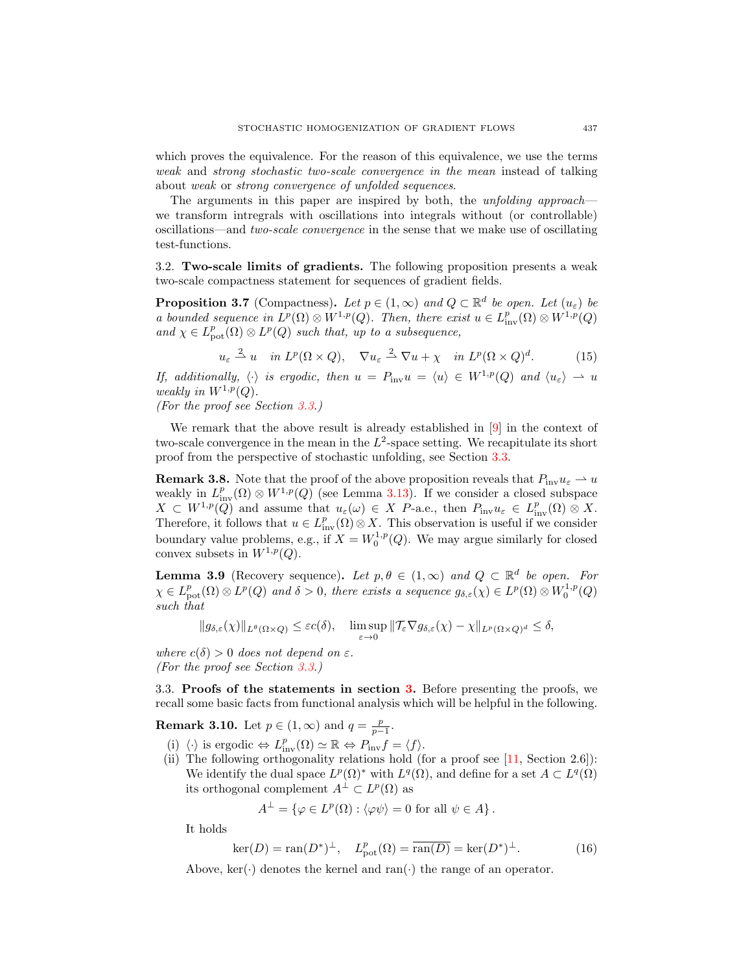which proves the equivalence. For the reason of this equivalence, we use the terms weak and strong stochastic two-scale convergence in the mean instead of talking about weak or strong convergence of unfolded sequences.

The arguments in this paper are inspired by both, the *unfolding approach* we transform intregrals with oscillations into integrals without (or controllable) oscillations—and two-scale convergence in the sense that we make use of oscillating test-functions.

<span id="page-10-0"></span>3.2. Two-scale limits of gradients. The following proposition presents a weak two-scale compactness statement for sequences of gradient fields.

<span id="page-10-2"></span>**Proposition 3.7** (Compactness). Let  $p \in (1,\infty)$  and  $Q \subset \mathbb{R}^d$  be open. Let  $(u_{\varepsilon})$  be a bounded sequence in  $L^p(\Omega) \otimes W^{1,p}(Q)$ . Then, there exist  $u \in L^p_{\text{inv}}(\Omega) \otimes W^{1,p}(Q)$ and  $\chi \in L^p_{\text{pot}}(\Omega) \otimes L^p(Q)$  such that, up to a subsequence,

$$
u_{\varepsilon} \stackrel{2}{\rightharpoonup} u \quad \text{in } L^p(\Omega \times Q), \quad \nabla u_{\varepsilon} \stackrel{2}{\rightharpoonup} \nabla u + \chi \quad \text{in } L^p(\Omega \times Q)^d. \tag{15}
$$

If, additionally,  $\langle \cdot \rangle$  is ergodic, then  $u = P_{\text{inv}}u = \langle u \rangle \in W^{1,p}(Q)$  and  $\langle u_{\varepsilon} \rangle \to u$ weakly in  $W^{1,p}(Q)$ .

(For the proof see Section [3.3.](#page-10-1))

We remark that the above result is already established in [\[9\]](#page-24-12) in the context of two-scale convergence in the mean in the  $L^2$ -space setting. We recapitulate its short proof from the perspective of stochastic unfolding, see Section [3.3.](#page-10-1)

<span id="page-10-5"></span>**Remark 3.8.** Note that the proof of the above proposition reveals that  $P_{\text{inv}}u_{\varepsilon} \to u$ weakly in  $L^p_{\text{inv}}(\Omega) \otimes W^{1,p}(Q)$  (see Lemma [3.13\)](#page-13-0). If we consider a closed subspace  $X \subset W^{1,p}(\mathbb{Q})$  and assume that  $u_{\varepsilon}(\omega) \in X$  P-a.e., then  $P_{\text{inv}}u_{\varepsilon} \in L^p_{\text{inv}}(\Omega) \otimes X$ . Therefore, it follows that  $u \in L^p_{\text{inv}}(\Omega) \otimes X$ . This observation is useful if we consider boundary value problems, e.g., if  $X = W_0^{1,p}(Q)$ . We may argue similarly for closed convex subsets in  $W^{1,p}(Q)$ .

<span id="page-10-4"></span>**Lemma 3.9** (Recovery sequence). Let  $p, \theta \in (1, \infty)$  and  $Q \subset \mathbb{R}^d$  be open. For  $\chi \in L^p_{\text{pot}}(\Omega)\otimes L^p(Q)$  and  $\delta > 0$ , there exists a sequence  $g_{\delta,\varepsilon}(\chi) \in L^p(\Omega)\otimes W_0^{1,p}(Q)$ such that

$$
||g_{\delta,\varepsilon}(\chi)||_{L^{\theta}(\Omega\times Q)} \leq \varepsilon c(\delta), \quad \limsup_{\varepsilon \to 0} ||\mathcal{T}_{\varepsilon} \nabla g_{\delta,\varepsilon}(\chi) - \chi||_{L^p(\Omega\times Q)^d} \leq \delta,
$$

where  $c(\delta) > 0$  does not depend on  $\varepsilon$ . (For the proof see Section [3.3.](#page-10-1))

<span id="page-10-1"></span>3.3. Proofs of the statements in section [3.](#page-8-0) Before presenting the proofs, we recall some basic facts from functional analysis which will be helpful in the following.

**Remark 3.10.** Let  $p \in (1, \infty)$  and  $q = \frac{p}{p-1}$ .

- (i)  $\langle \cdot \rangle$  is ergodic  $\Leftrightarrow L_{\text{inv}}^p(\Omega) \simeq \mathbb{R} \Leftrightarrow P_{\text{inv}}f = \langle f \rangle.$
- (ii) The following orthogonality relations hold (for a proof see [\[11,](#page-24-22) Section 2.6]): We identify the dual space  $L^p(\Omega)$ <sup>\*</sup> with  $L^q(\Omega)$ , and define for a set  $A \subset L^q(\Omega)$ its orthogonal complement  $A^{\perp} \subset L^p(\Omega)$  as

$$
A^{\perp} = \{ \varphi \in L^{p}(\Omega) : \langle \varphi \psi \rangle = 0 \text{ for all } \psi \in A \}.
$$

It holds

<span id="page-10-3"></span>
$$
\ker(D) = \operatorname{ran}(D^*)^{\perp}, \quad L^p_{\text{pot}}(\Omega) = \overline{\operatorname{ran}(D)} = \ker(D^*)^{\perp}.
$$
 (16)

Above,  $\ker(\cdot)$  denotes the kernel and ran $(\cdot)$  the range of an operator.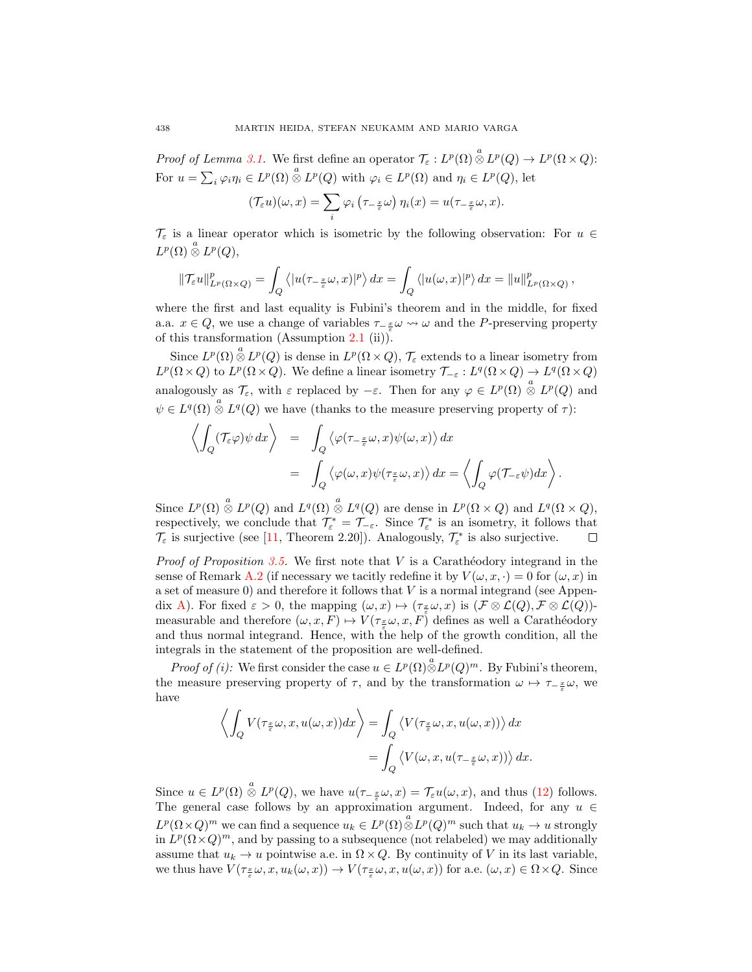Proof of Lemma [3.1.](#page-8-3) We first define an operator  $\mathcal{T}_{\varepsilon}: L^p(\Omega)\overset{a}{\otimes}L^p(Q)\to L^p(\Omega\times Q)$ : For  $u = \sum_i \varphi_i \eta_i \in L^p(\Omega) \overset{a}{\otimes} L^p(Q)$  with  $\varphi_i \in L^p(\Omega)$  and  $\eta_i \in L^p(Q)$ , let

$$
(\mathcal{T}_{\varepsilon} u)(\omega, x) = \sum_{i} \varphi_{i} (\tau_{-\frac{x}{\varepsilon}} \omega) \eta_{i}(x) = u(\tau_{-\frac{x}{\varepsilon}} \omega, x).
$$

 $\mathcal{T}_{\varepsilon}$  is a linear operator which is isometric by the following observation: For  $u \in$  $L^p(\Omega)\overset{a}{\otimes}L^p(Q),$ 

$$
\|\mathcal{T}_{\varepsilon}u\|_{L^{p}(\Omega\times Q)}^{p}=\int_{Q}\left\langle |u(\tau_{-\frac{x}{\varepsilon}}\omega,x)|^{p}\right\rangle dx=\int_{Q}\left\langle |u(\omega,x)|^{p}\right\rangle dx=\|u\|_{L^{p}(\Omega\times Q)}^{p},
$$

where the first and last equality is Fubini's theorem and in the middle, for fixed a.a.  $x \in Q$ , we use a change of variables  $\tau_{-\frac{x}{\varepsilon}} \omega \leadsto \omega$  and the P-preserving property of this transformation (Assumption [2.1](#page-4-1) (ii)).

Since  $L^p(\Omega) \overset{a}{\otimes} L^p(Q)$  is dense in  $L^p(\Omega \times Q)$ ,  $\mathcal{T}_{\varepsilon}$  extends to a linear isometry from  $L^p(\Omega\times Q)$  to  $L^p(\Omega\times Q)$ . We define a linear isometry  $\mathcal{T}_{-\varepsilon}: L^q(\Omega\times Q)\to L^q(\Omega\times Q)$ analogously as  $\mathcal{T}_{\varepsilon}$ , with  $\varepsilon$  replaced by  $-\varepsilon$ . Then for any  $\varphi \in L^p(\Omega) \overset{a}{\otimes} L^p(Q)$  and  $\psi \in L^q(\Omega) \overset{a}{\otimes} L^q(Q)$  we have (thanks to the measure preserving property of  $\tau$ ):

$$
\left\langle \int_Q (\mathcal{T}_{\varepsilon} \varphi) \psi \, dx \right\rangle = \int_Q \left\langle \varphi(\tau_{-\frac{x}{\varepsilon}} \omega, x) \psi(\omega, x) \right\rangle dx
$$
  
= 
$$
\int_Q \left\langle \varphi(\omega, x) \psi(\tau_{\frac{x}{\varepsilon}} \omega, x) \right\rangle dx = \left\langle \int_Q \varphi(\mathcal{T}_{-\varepsilon} \psi) dx \right\rangle.
$$

Since  $L^p(\Omega) \stackrel{a}{\otimes} L^p(Q)$  and  $L^q(\Omega) \stackrel{a}{\otimes} L^q(Q)$  are dense in  $L^p(\Omega \times Q)$  and  $L^q(\Omega \times Q)$ , respectively, we conclude that  $\mathcal{T}_{\varepsilon}^* = \mathcal{T}_{-\varepsilon}$ . Since  $\mathcal{T}_{\varepsilon}^*$  is an isometry, it follows that  $\mathcal{T}_{\varepsilon}$  is surjective (see [\[11,](#page-24-22) Theorem 2.20]). Analogously,  $\mathcal{T}_{\varepsilon}^{*}$  is also surjective.  $\Box$ 

*Proof of Proposition [3.5.](#page-9-1)* We first note that  $V$  is a Carathéodory integrand in the sense of Remark [A.2](#page-23-1) (if necessary we tacitly redefine it by  $V(\omega, x, \cdot) = 0$  for  $(\omega, x)$  in a set of measure  $(0)$  and therefore it follows that V is a normal integrand (see Appen-dix [A\)](#page-22-0). For fixed  $\varepsilon > 0$ , the mapping  $(\omega, x) \mapsto (\tau_{\frac{\varepsilon}{2}} \omega, x)$  is  $(\mathcal{F} \otimes \mathcal{L}(Q), \mathcal{F} \otimes \mathcal{L}(Q))$ measurable and therefore  $(\omega, x, F) \mapsto V(\tau_{\frac{x}{\epsilon}} \omega, x, F)$  defines as well a Carathéodory and thus normal integrand. Hence, with the help of the growth condition, all the integrals in the statement of the proposition are well-defined.

*Proof of (i):* We first consider the case  $u \in L^p(\Omega) \overset{a}{\otimes} L^p(Q)^m$ . By Fubini's theorem, the measure preserving property of  $\tau$ , and by the transformation  $\omega \mapsto \tau_{-\frac{x}{\varepsilon}}\omega$ , we have

$$
\left\langle \int_{Q} V(\tau_{\frac{x}{\varepsilon}} \omega, x, u(\omega, x)) dx \right\rangle = \int_{Q} \left\langle V(\tau_{\frac{x}{\varepsilon}} \omega, x, u(\omega, x)) \right\rangle dx
$$
  
= 
$$
\int_{Q} \left\langle V(\omega, x, u(\tau_{-\frac{x}{\varepsilon}} \omega, x)) \right\rangle dx.
$$

Since  $u \in L^p(\Omega) \overset{a}{\otimes} L^p(Q)$ , we have  $u(\tau_{-\frac{x}{\varepsilon}}\omega, x) = \mathcal{T}_{\varepsilon}u(\omega, x)$ , and thus [\(12\)](#page-9-2) follows. The general case follows by an approximation argument. Indeed, for any  $u \in$  $L^p(\Omega\times Q)^m$  we can find a sequence  $u_k\in L^p(\Omega)\overset{a}{\otimes}L^p(Q)^m$  such that  $u_k\to u$  strongly in  $L^p(\Omega \times Q)^m$ , and by passing to a subsequence (not relabeled) we may additionally assume that  $u_k \to u$  pointwise a.e. in  $\Omega \times Q$ . By continuity of V in its last variable, we thus have  $V(\tau_{\frac{x}{\varepsilon}}\omega, x, u_k(\omega, x)) \to V(\tau_{\frac{x}{\varepsilon}}\omega, x, u(\omega, x))$  for a.e.  $(\omega, x) \in \Omega \times Q$ . Since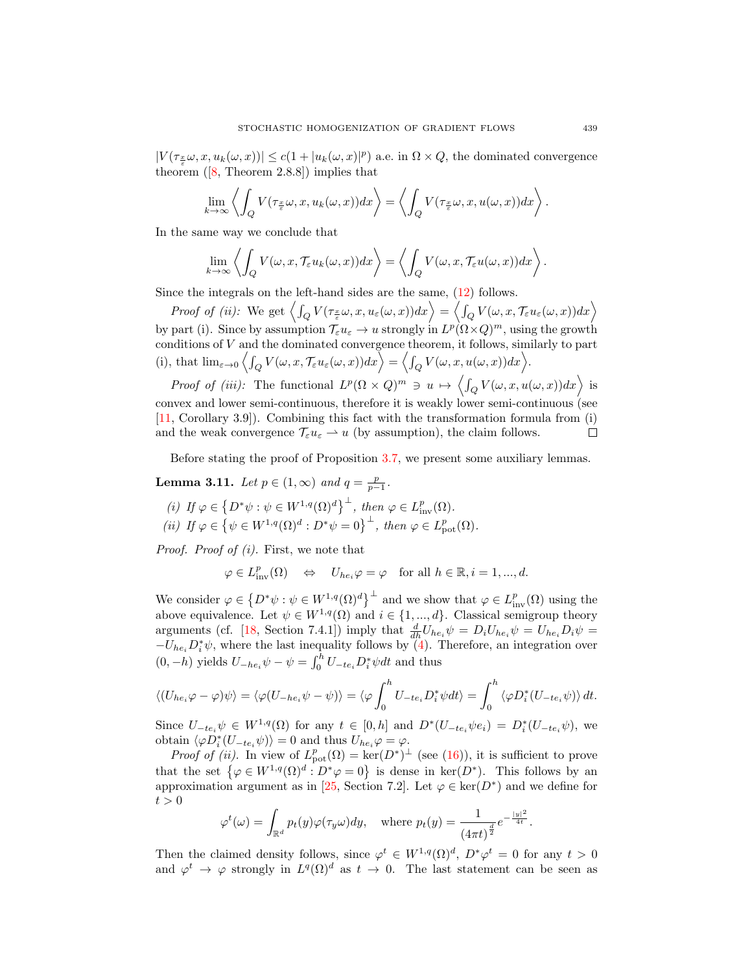$|V(\tau_{\frac{x}{\varepsilon}}\omega, x, u_k(\omega, x))| \leq c(1+|u_k(\omega, x)|^p)$  a.e. in  $\Omega \times Q$ , the dominated convergence theorem $([8, Theorem 2.8.8])$  $([8, Theorem 2.8.8])$  $([8, Theorem 2.8.8])$  implies that

$$
\lim_{k \to \infty} \left\langle \int_Q V(\tau_{\frac{x}{\varepsilon}} \omega, x, u_k(\omega, x)) dx \right\rangle = \left\langle \int_Q V(\tau_{\frac{x}{\varepsilon}} \omega, x, u(\omega, x)) dx \right\rangle.
$$

In the same way we conclude that

$$
\lim_{k\to\infty}\left\langle\int_Q V(\omega,x,\mathcal{T}_{\varepsilon} u_k(\omega,x))dx\right\rangle=\left\langle\int_Q V(\omega,x,\mathcal{T}_{\varepsilon} u(\omega,x))dx\right\rangle.
$$

Since the integrals on the left-hand sides are the same, [\(12\)](#page-9-2) follows.

Proof of (ii): We get  $\left\langle \int_Q V(\tau_{\frac{x}{\varepsilon}}\omega, x, u_\varepsilon(\omega, x))dx\right\rangle = \left\langle \int_Q V(\omega, x, \mathcal{T}_\varepsilon u_\varepsilon(\omega, x))dx\right\rangle$ by part (i). Since by assumption  $\mathcal{T}_{\varepsilon} u_{\varepsilon} \to u$  strongly in  $L^p(\Omega \times Q)^m$ , using the growth conditions of V and the dominated convergence theorem, it follows, similarly to part (i), that  $\lim_{\varepsilon \to 0} \left\langle \int_Q V(\omega, x, \mathcal{T}_{\varepsilon} u_{\varepsilon}(\omega, x)) dx \right\rangle = \left\langle \int_Q V(\omega, x, u(\omega, x)) dx \right\rangle$ .

Proof of (iii): The functional  $L^p(\Omega \times Q)^m \ni u \mapsto \left\langle \int_Q V(\omega, x, u(\omega, x)) dx \right\rangle$  is convex and lower semi-continuous, therefore it is weakly lower semi-continuous (see [\[11,](#page-24-22) Corollary 3.9]). Combining this fact with the transformation formula from (i) and the weak convergence  $\mathcal{T}_{\varepsilon} u_{\varepsilon} \to u$  (by assumption), the claim follows.  $\Box$ 

Before stating the proof of Proposition [3.7,](#page-10-2) we present some auxiliary lemmas.

<span id="page-12-0"></span>**Lemma 3.11.** Let  $p \in (1, \infty)$  and  $q = \frac{p}{p-1}$ .

(i) If 
$$
\varphi \in \{D^*\psi : \psi \in W^{1,q}(\Omega)^d\}^{\perp}
$$
, then  $\varphi \in L^p_{\text{inv}}(\Omega)$ .  
\n(ii) If  $\varphi \in \{\psi \in W^{1,q}(\Omega)^d : D^*\psi = 0\}^{\perp}$ , then  $\varphi \in L^p_{\text{pot}}(\Omega)$ .

Proof. Proof of (i). First, we note that

 $\varphi \in L^p_{\text{inv}}(\Omega) \quad \Leftrightarrow \quad U_{he_i}\varphi = \varphi \quad \text{for all } h \in \mathbb{R}, i = 1, ..., d.$ 

We consider  $\varphi \in \left\{ D^*\psi : \psi \in W^{1,q}(\Omega)^d \right\}^{\perp}$  and we show that  $\varphi \in L^p_{\text{inv}}(\Omega)$  using the above equivalence. Let  $\psi \in W^{1,q}(\Omega)$  and  $i \in \{1, ..., d\}$ . Classical semigroup theory arguments (cf. [\[18,](#page-24-21) Section 7.4.1]) imply that  $\frac{d}{dh}U_{he_i}\psi = D_iU_{he_i}\psi = U_{he_i}D_i\psi =$  $-U_{he_i}D_i^*\psi$ , where the last inequality follows by [\(4\)](#page-5-1). Therefore, an integration over  $(0, -h)$  yields  $U_{-he_i}\psi - \psi = \int_0^h U_{-te_i}D_i^*\psi dt$  and thus

$$
\langle (U_{he_i}\varphi - \varphi)\psi \rangle = \langle \varphi(U_{-he_i}\psi - \psi) \rangle = \langle \varphi \int_0^h U_{-te_i}D_i^*\psi dt \rangle = \int_0^h \langle \varphi D_i^*(U_{-te_i}\psi) \rangle dt.
$$

Since  $U_{-te_i}\psi \in W^{1,q}(\Omega)$  for any  $t \in [0,h]$  and  $D^*(U_{-te_i}\psi e_i) = D_i^*(U_{-te_i}\psi)$ , we obtain  $\langle \varphi D_i^*(U_{-te_i}\psi) \rangle = 0$  and thus  $U_{he_i}\varphi = \varphi$ .

*Proof of (ii)*. In view of  $L_{pot}^p(\Omega) = \ker(D^*)^{\perp}$  (see [\(16\)](#page-10-3)), it is sufficient to prove that the set  $\{\varphi \in W^{1,q}(\Omega)^d : D^*\varphi = 0\}$  is dense in ker $(D^*)$ . This follows by an approximation argument as in [\[25,](#page-24-20) Section 7.2]. Let  $\varphi \in \text{ker}(D^*)$  and we define for  $t > 0$ 

$$
\varphi^t(\omega) = \int_{\mathbb{R}^d} p_t(y)\varphi(\tau_y \omega)dy, \quad \text{where } p_t(y) = \frac{1}{(4\pi t)^{\frac{d}{2}}}e^{-\frac{|y|^2}{4t}}.
$$

Then the claimed density follows, since  $\varphi^t \in W^{1,q}(\Omega)^d$ ,  $D^*\varphi^t = 0$  for any  $t > 0$ and  $\varphi^t \to \varphi$  strongly in  $L^q(\Omega)^d$  as  $t \to 0$ . The last statement can be seen as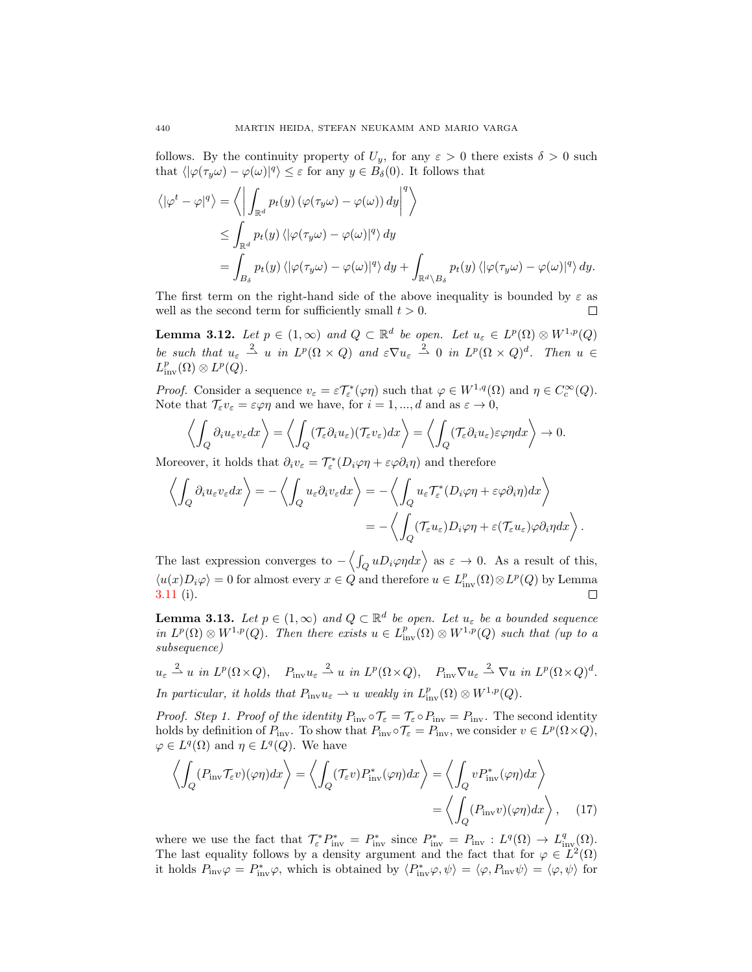follows. By the continuity property of  $U_y$ , for any  $\varepsilon > 0$  there exists  $\delta > 0$  such that  $\langle |\varphi(\tau_y \omega) - \varphi(\omega)|^q \rangle \leq \varepsilon$  for any  $y \in B_\delta(0)$ . It follows that

$$
\langle |\varphi^t - \varphi|^q \rangle = \left\langle \left| \int_{\mathbb{R}^d} p_t(y) \left( \varphi(\tau_y \omega) - \varphi(\omega) \right) dy \right|^q \right\rangle
$$
  
\n
$$
\leq \int_{\mathbb{R}^d} p_t(y) \left\langle |\varphi(\tau_y \omega) - \varphi(\omega)|^q \right\rangle dy
$$
  
\n
$$
= \int_{B_\delta} p_t(y) \left\langle |\varphi(\tau_y \omega) - \varphi(\omega)|^q \right\rangle dy + \int_{\mathbb{R}^d \setminus B_\delta} p_t(y) \left\langle |\varphi(\tau_y \omega) - \varphi(\omega)|^q \right\rangle dy.
$$

The first term on the right-hand side of the above inequality is bounded by  $\varepsilon$  as well as the second term for sufficiently small  $t > 0$ .  $\Box$ 

<span id="page-13-2"></span>**Lemma 3.12.** Let  $p \in (1,\infty)$  and  $Q \subset \mathbb{R}^d$  be open. Let  $u_{\varepsilon} \in L^p(\Omega) \otimes W^{1,p}(Q)$ be such that  $u_{\varepsilon} \stackrel{2}{\rightharpoonup} u$  in  $L^p(\Omega \times Q)$  and  $\varepsilon \nabla u_{\varepsilon} \stackrel{2}{\rightharpoonup} 0$  in  $L^p(\Omega \times Q)^d$ . Then  $u \in$  $L^p_{\text{inv}}(\Omega)\otimes L^p(Q)$ .

*Proof.* Consider a sequence  $v_{\varepsilon} = \varepsilon \mathcal{T}_{\varepsilon}^*(\varphi \eta)$  such that  $\varphi \in W^{1,q}(\Omega)$  and  $\eta \in C_c^{\infty}(Q)$ . Note that  $\mathcal{T}_{\varepsilon}v_{\varepsilon} = \varepsilon\varphi\eta$  and we have, for  $i = 1, ..., d$  and as  $\varepsilon \to 0$ ,

$$
\left\langle \int_Q \partial_i u_\varepsilon v_\varepsilon dx \right\rangle = \left\langle \int_Q (\mathcal{T}_\varepsilon \partial_i u_\varepsilon)(\mathcal{T}_\varepsilon v_\varepsilon) dx \right\rangle = \left\langle \int_Q (\mathcal{T}_\varepsilon \partial_i u_\varepsilon) \varepsilon \varphi \eta dx \right\rangle \to 0.
$$

Moreover, it holds that  $\partial_i v_\varepsilon = \mathcal{T}^*_\varepsilon(D_i \varphi \eta + \varepsilon \varphi \partial_i \eta)$  and therefore

$$
\left\langle \int_{Q} \partial_{i} u_{\varepsilon} v_{\varepsilon} dx \right\rangle = -\left\langle \int_{Q} u_{\varepsilon} \partial_{i} v_{\varepsilon} dx \right\rangle = -\left\langle \int_{Q} u_{\varepsilon} \mathcal{T}_{\varepsilon}^{*} (D_{i} \varphi \eta + \varepsilon \varphi \partial_{i} \eta) dx \right\rangle
$$

$$
= -\left\langle \int_{Q} (\mathcal{T}_{\varepsilon} u_{\varepsilon}) D_{i} \varphi \eta + \varepsilon (\mathcal{T}_{\varepsilon} u_{\varepsilon}) \varphi \partial_{i} \eta dx \right\rangle.
$$

The last expression converges to  $-\langle \int_Q u D_i \varphi \eta dx \rangle$  as  $\varepsilon \to 0$ . As a result of this,  $\langle u(x)D_i\varphi\rangle = 0$  for almost every  $x \in \hat{Q}$  and therefore  $u \in L^p_{\text{inv}}(\Omega) \otimes L^p(Q)$  by Lemma [3.11](#page-12-0) (i).  $\Box$ 

<span id="page-13-0"></span>**Lemma 3.13.** Let  $p \in (1,\infty)$  and  $Q \subset \mathbb{R}^d$  be open. Let  $u_{\varepsilon}$  be a bounded sequence in  $L^p(\Omega) \otimes W^{1,p}(Q)$ . Then there exists  $u \in L^p_{\text{inv}}(\Omega) \otimes W^{1,p}(Q)$  such that (up to a subsequence)

 $u_{\varepsilon} \stackrel{2}{\rightharpoonup} u$  in  $L^p(\Omega \times Q)$ ,  $P_{\text{inv}} u_{\varepsilon} \stackrel{2}{\rightharpoonup} u$  in  $L^p(\Omega \times Q)$ ,  $P_{\text{inv}} \nabla u_{\varepsilon} \stackrel{2}{\rightharpoonup} \nabla u$  in  $L^p(\Omega \times Q)^d$ . In particular, it holds that  $P_{\text{inv}}u_{\varepsilon} \rightharpoonup u$  weakly in  $L^p_{\text{inv}}(\Omega) \otimes W^{1,p}(Q)$ .

*Proof.* Step 1. Proof of the identity  $P_{\text{inv}} \circ T_{\varepsilon} = T_{\varepsilon} \circ P_{\text{inv}} = P_{\text{inv}}$ . The second identity holds by definition of  $P_{\text{inv}}$ . To show that  $P_{\text{inv}} \circ T_{\varepsilon} = P_{\text{inv}}$ , we consider  $v \in L^p(\Omega \times Q)$ ,  $\varphi \in L^q(\Omega)$  and  $\eta \in L^q(Q)$ . We have

<span id="page-13-1"></span>
$$
\left\langle \int_{Q} (P_{\text{inv}} \mathcal{T}_{\varepsilon} v)(\varphi \eta) dx \right\rangle = \left\langle \int_{Q} (\mathcal{T}_{\varepsilon} v) P_{\text{inv}}^{*}(\varphi \eta) dx \right\rangle = \left\langle \int_{Q} v P_{\text{inv}}^{*}(\varphi \eta) dx \right\rangle
$$

$$
= \left\langle \int_{Q} (P_{\text{inv}} v)(\varphi \eta) dx \right\rangle, \quad (17)
$$

where we use the fact that  $\mathcal{T}_{\varepsilon}^* P_{\text{inv}}^* = P_{\text{inv}}^*$  since  $P_{\text{inv}}^* = P_{\text{inv}} : L^q(\Omega) \to L^q_{\text{inv}}(\Omega)$ . The last equality follows by a density argument and the fact that for  $\varphi \in L^2(\Omega)$ it holds  $P_{\text{inv}}\varphi = P_{\text{inv}}^*\varphi$ , which is obtained by  $\langle P_{\text{inv}}^*\varphi, \psi \rangle = \langle \varphi, P_{\text{inv}}\psi \rangle = \langle \varphi, \psi \rangle$  for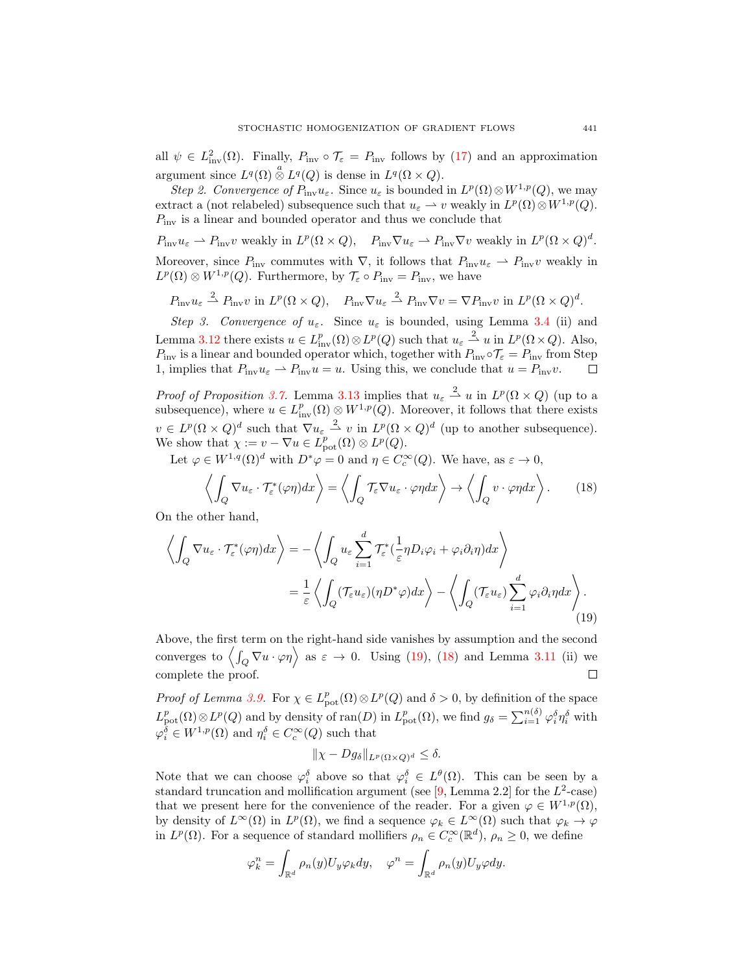all  $\psi \in L^2_{\text{inv}}(\Omega)$ . Finally,  $P_{\text{inv}} \circ \mathcal{T}_{\varepsilon} = P_{\text{inv}}$  follows by [\(17\)](#page-13-1) and an approximation argument since  $L^q(\Omega) \overset{a}{\otimes} L^q(Q)$  is dense in  $L^q(\Omega \times Q)$ .

Step 2. Convergence of  $P_{\text{inv}}u_{\varepsilon}$ . Since  $u_{\varepsilon}$  is bounded in  $L^p(\Omega) \otimes W^{1,p}(Q)$ , we may extract a (not relabeled) subsequence such that  $u_{\varepsilon} \to v$  weakly in  $L^p(\Omega) \otimes W^{1,p}(Q)$ .  $P_{\text{inv}}$  is a linear and bounded operator and thus we conclude that

 $P_{\text{inv}}u_{\varepsilon} \rightharpoonup P_{\text{inv}}v$  weakly in  $L^p(\Omega \times Q)$ ,  $P_{\text{inv}}\nabla u_{\varepsilon} \rightharpoonup P_{\text{inv}}\nabla v$  weakly in  $L^p(\Omega \times Q)^d$ . Moreover, since  $P_{\text{inv}}$  commutes with  $\nabla$ , it follows that  $P_{\text{inv}}u_{\varepsilon} \rightharpoonup P_{\text{inv}}v$  weakly in  $L^p(\Omega) \otimes W^{1,p}(Q)$ . Furthermore, by  $\mathcal{T}_{\varepsilon} \circ P_{\text{inv}} = P_{\text{inv}}$ , we have

 $P_{\text{inv}}u_{\varepsilon} \stackrel{2}{\rightharpoonup} P_{\text{inv}}v$  in  $L^p(\Omega \times Q)$ ,  $P_{\text{inv}}\nabla u_{\varepsilon} \stackrel{2}{\rightharpoonup} P_{\text{inv}}\nabla v = \nabla P_{\text{inv}}v$  in  $L^p(\Omega \times Q)^d$ .

Step 3. Convergence of  $u_{\varepsilon}$ . Since  $u_{\varepsilon}$  is bounded, using Lemma [3.4](#page-8-4) (ii) and Lemma [3.12](#page-13-2) there exists  $u \in L^p_{\text{inv}}(\Omega) \otimes L^p(Q)$  such that  $u_\varepsilon \stackrel{2}{\rightharpoonup} u$  in  $L^p(\Omega \times Q)$ . Also,  $P_{\text{inv}}$  is a linear and bounded operator which, together with  $P_{\text{inv}} \circ T_{\varepsilon} = P_{\text{inv}}$  from Step 1, implies that  $P_{\text{inv}}u_{\varepsilon} \rightharpoonup P_{\text{inv}}u = u$ . Using this, we conclude that  $u = P_{\text{inv}}v$ .  $\Box$ 

*Proof of Proposition [3.7.](#page-10-2)* Lemma [3.13](#page-13-0) implies that  $u_{\varepsilon} \stackrel{2}{\rightharpoonup} u$  in  $L^p(\Omega \times Q)$  (up to a subsequence), where  $u \in L^p_{\text{inv}}(\Omega) \otimes W^{1,p}(Q)$ . Moreover, it follows that there exists  $v \in L^p(\Omega \times Q)^d$  such that  $\nabla u_{\varepsilon} \stackrel{2}{\rightharpoonup} v$  in  $L^p(\Omega \times Q)^d$  (up to another subsequence). We show that  $\chi := v - \nabla u \in L^p_{\text{pot}}(\Omega) \otimes L^p(Q)$ .

Let  $\varphi \in W^{1,q}(\Omega)^d$  with  $D^*\varphi = 0$  and  $\eta \in C_c^{\infty}(Q)$ . We have, as  $\varepsilon \to 0$ ,

<span id="page-14-1"></span>
$$
\left\langle \int_{Q} \nabla u_{\varepsilon} \cdot \mathcal{T}_{\varepsilon}^{*}(\varphi \eta) dx \right\rangle = \left\langle \int_{Q} \mathcal{T}_{\varepsilon} \nabla u_{\varepsilon} \cdot \varphi \eta dx \right\rangle \to \left\langle \int_{Q} v \cdot \varphi \eta dx \right\rangle. \tag{18}
$$

On the other hand,

$$
\left\langle \int_{Q} \nabla u_{\varepsilon} \cdot \mathcal{T}_{\varepsilon}^{*}(\varphi \eta) dx \right\rangle = -\left\langle \int_{Q} u_{\varepsilon} \sum_{i=1}^{d} \mathcal{T}_{\varepsilon}^{*}(\frac{1}{\varepsilon} \eta D_{i} \varphi_{i} + \varphi_{i} \partial_{i} \eta) dx \right\rangle
$$
  

$$
= \frac{1}{\varepsilon} \left\langle \int_{Q} (\mathcal{T}_{\varepsilon} u_{\varepsilon}) (\eta D^{*} \varphi) dx \right\rangle - \left\langle \int_{Q} (\mathcal{T}_{\varepsilon} u_{\varepsilon}) \sum_{i=1}^{d} \varphi_{i} \partial_{i} \eta dx \right\rangle.
$$
 (19)

Above, the first term on the right-hand side vanishes by assumption and the second converges to  $\langle \int_Q \nabla u \cdot \varphi \eta \rangle$  as  $\varepsilon \to 0$ . Using [\(19\)](#page-14-0), [\(18\)](#page-14-1) and Lemma [3.11](#page-12-0) (ii) we complete the proof.  $\Box$ 

*Proof of Lemma [3.9.](#page-10-4)* For  $\chi \in L^p_{\text{pot}}(\Omega) \otimes L^p(Q)$  and  $\delta > 0$ , by definition of the space  $L_{\text{pot}}^p(\Omega)\otimes L^p(Q)$  and by density of ran(D) in  $L_{\text{pot}}^p(\Omega)$ , we find  $g_\delta = \sum_{i=1}^{n(\delta)} \varphi_i^{\delta} \eta_i^{\delta}$  with  $\varphi_i^{\delta} \in W^{1,p}(\Omega)$  and  $\eta_i^{\delta} \in C_c^{\infty}(Q)$  such that

<span id="page-14-0"></span>
$$
\|\chi - Dg_{\delta}\|_{L^p(\Omega \times Q)^d} \le \delta.
$$

Note that we can choose  $\varphi_i^{\delta}$  above so that  $\varphi_i^{\delta} \in L^{\theta}(\Omega)$ . This can be seen by a standard truncation and mollification argument (see  $[9, \text{Lemma } 2.2]$  for the  $L^2$ -case) that we present here for the convenience of the reader. For a given  $\varphi \in W^{1,p}(\Omega)$ , by density of  $L^{\infty}(\Omega)$  in  $L^p(\Omega)$ , we find a sequence  $\varphi_k \in L^{\infty}(\Omega)$  such that  $\varphi_k \to \varphi$ in  $L^p(\Omega)$ . For a sequence of standard mollifiers  $\rho_n \in C_c^{\infty}(\mathbb{R}^d)$ ,  $\rho_n \geq 0$ , we define

$$
\varphi_k^n = \int_{\mathbb{R}^d} \rho_n(y) U_y \varphi_k dy, \quad \varphi^n = \int_{\mathbb{R}^d} \rho_n(y) U_y \varphi dy.
$$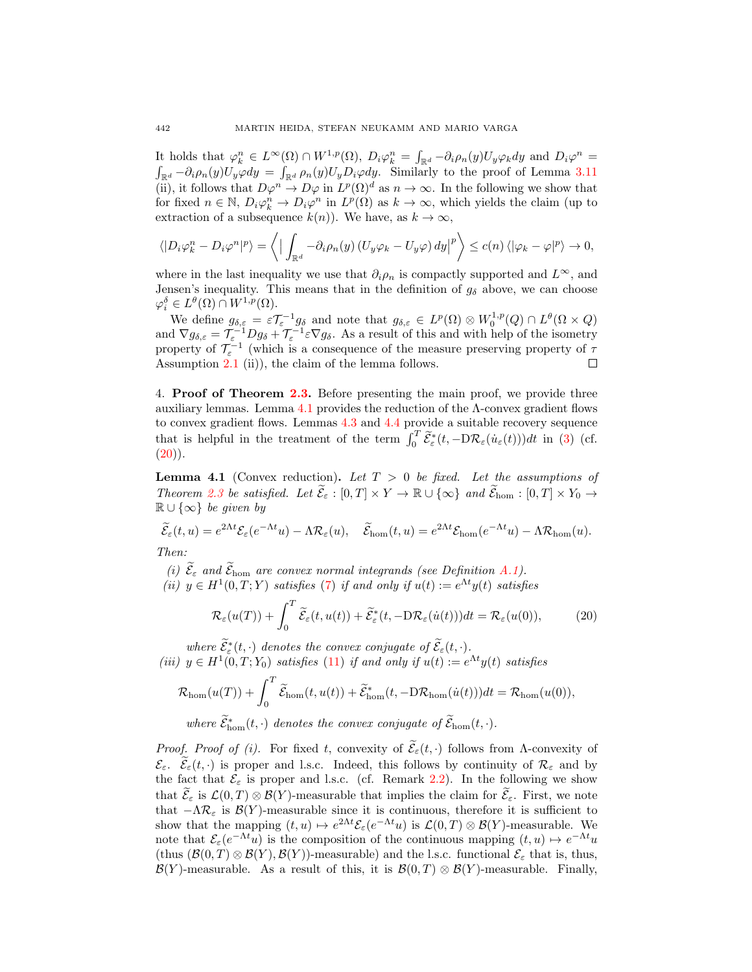It holds that  $\varphi_k^n \in L^{\infty}(\Omega) \cap W^{1,p}(\Omega)$ ,  $D_i \varphi_k^n = \int_{\mathbb{R}^d} -\partial_i \rho_n(y) U_y \varphi_k dy$  and  $D_i \varphi^n =$  $\int_{\mathbb{R}^d} -\partial_i \rho_n(y) U_y \varphi dy = \int_{\mathbb{R}^d} \rho_n(y) U_y D_i \varphi dy$ . Similarly to the proof of Lemma [3.11](#page-12-0) (ii), it follows that  $D\varphi^n \to D\varphi$  in  $L^p(\Omega)^d$  as  $n \to \infty$ . In the following we show that for fixed  $n \in \mathbb{N}$ ,  $D_i \varphi_k^n \to D_i \varphi^n$  in  $L^p(\Omega)$  as  $k \to \infty$ , which yields the claim (up to extraction of a subsequence  $k(n)$ ). We have, as  $k \to \infty$ ,

$$
\langle |D_i \varphi_k^n - D_i \varphi^n|^p \rangle = \langle | \int_{\mathbb{R}^d} -\partial_i \rho_n(y) (U_y \varphi_k - U_y \varphi) dy |^p \rangle \le c(n) \langle | \varphi_k - \varphi |^p \rangle \to 0,
$$

where in the last inequality we use that  $\partial_i \rho_n$  is compactly supported and  $L^{\infty}$ , and Jensen's inequality. This means that in the definition of  $g_{\delta}$  above, we can choose  $\varphi_i^{\delta} \in L^{\theta}(\Omega) \cap W^{1,p}(\Omega).$ 

We define  $g_{\delta,\varepsilon} = \varepsilon \mathcal{T}_{\varepsilon}^{-1} g_{\delta}$  and note that  $g_{\delta,\varepsilon} \in L^p(\Omega) \otimes W_0^{1,p}(Q) \cap L^{\theta}(\Omega \times Q)$ and  $\nabla g_{\delta,\varepsilon} = \mathcal{T}_{\varepsilon}^{-1} D g_{\delta} + \mathcal{T}_{\varepsilon}^{-1} \varepsilon \nabla g_{\delta}$ . As a result of this and with help of the isometry property of  $\mathcal{T}_{\varepsilon}^{-1}$  (which is a consequence of the measure preserving property of  $\tau$ Assumption [2.1](#page-4-1) (ii)), the claim of the lemma follows.  $\Box$ 

<span id="page-15-0"></span>4. Proof of Theorem [2.3.](#page-7-0) Before presenting the main proof, we provide three auxiliary lemmas. Lemma [4.1](#page-15-1) provides the reduction of the Λ-convex gradient flows to convex gradient flows. Lemmas [4.3](#page-16-0) and [4.4](#page-17-0) provide a suitable recovery sequence that is helpful in the treatment of the term  $\int_0^T \widetilde{\mathcal{E}}_{\varepsilon}^*(t, -D\mathcal{R}_{\varepsilon}(\dot{u}_{\varepsilon}(t)))dt$  in [\(3\)](#page-2-0) (cf.  $(20)$ .

<span id="page-15-1"></span>**Lemma 4.1** (Convex reduction). Let  $T > 0$  be fixed. Let the assumptions of Theorem [2.3](#page-7-0) be satisfied. Let  $\widetilde{\mathcal{E}}_{\varepsilon} : [0,T] \times Y \to \mathbb{R} \cup {\infty}$  and  $\widetilde{\mathcal{E}}_{\text{hom}} : [0,T] \times Y_0 \to$  $\mathbb{R} \cup \{\infty\}$  be given by

$$
\widetilde{\mathcal{E}}_{\varepsilon}(t,u) = e^{2\Lambda t} \mathcal{E}_{\varepsilon}(e^{-\Lambda t}u) - \Lambda \mathcal{R}_{\varepsilon}(u), \quad \widetilde{\mathcal{E}}_{\text{hom}}(t,u) = e^{2\Lambda t} \mathcal{E}_{\text{hom}}(e^{-\Lambda t}u) - \Lambda \mathcal{R}_{\text{hom}}(u).
$$

Then:

(i)  $\widetilde{\mathcal{E}}_{\varepsilon}$  and  $\widetilde{\mathcal{E}}_{\text{hom}}$  are convex normal integrands (see Definition [A.1\)](#page-22-1).

(ii)  $y \in H^1(0,T;Y)$  satisfies [\(7\)](#page-6-1) if and only if  $u(t) := e^{\Lambda t}y(t)$  satisfies

<span id="page-15-2"></span>
$$
\mathcal{R}_{\varepsilon}(u(T)) + \int_0^T \widetilde{\mathcal{E}}_{\varepsilon}(t, u(t)) + \widetilde{\mathcal{E}}_{\varepsilon}^*(t, -D\mathcal{R}_{\varepsilon}(\dot{u}(t)))dt = \mathcal{R}_{\varepsilon}(u(0)),\tag{20}
$$

where  $\widetilde{\mathcal{E}}_{\varepsilon}^*(t,\cdot)$  denotes the convex conjugate of  $\widetilde{\mathcal{E}}_{\varepsilon}(t,\cdot)$ . (iii)  $y \in H^1(0,T; Y_0)$  satisfies [\(11\)](#page-7-1) if and only if  $u(t) := e^{\Lambda t} y(t)$  satisfies

$$
\mathcal{R}_{\text{hom}}(u(T)) + \int_0^T \widetilde{\mathcal{E}}_{\text{hom}}(t,u(t)) + \widetilde{\mathcal{E}}_{\text{hom}}^*(t,-\mathrm{D} \mathcal{R}_{\text{hom}}(\dot{u}(t))) dt = \mathcal{R}_{\text{hom}}(u(0)),
$$

where  $\tilde{\mathcal{E}}_{\text{hom}}^*(t, \cdot)$  denotes the convex conjugate of  $\tilde{\mathcal{E}}_{\text{hom}}(t, \cdot)$ .

*Proof. Proof of (i).* For fixed t, convexity of  $\widetilde{\mathcal{E}}_{\varepsilon}(t, \cdot)$  follows from Λ-convexity of  $\mathcal{E}_{\varepsilon}$ .  $\widetilde{\mathcal{E}}_{\varepsilon}(t,\cdot)$  is proper and l.s.c. Indeed, this follows by continuity of  $\mathcal{R}_{\varepsilon}$  and by the fact that  $\mathcal{E}_{\varepsilon}$  is proper and l.s.c. (cf. Remark [2.2\)](#page-6-5). In the following we show that  $\mathcal{E}_{\varepsilon}$  is  $\mathcal{L}(0,T) \otimes \mathcal{B}(Y)$ -measurable that implies the claim for  $\mathcal{E}_{\varepsilon}$ . First, we note that  $-\Lambda\mathcal{R}_{\varepsilon}$  is  $\mathcal{B}(Y)$ -measurable since it is continuous, therefore it is sufficient to show that the mapping  $(t, u) \mapsto e^{2\Lambda t} \mathcal{E}_{\varepsilon}(e^{-\Lambda t} u)$  is  $\mathcal{L}(0, T) \otimes \mathcal{B}(Y)$ -measurable. We note that  $\mathcal{E}_{\varepsilon}(e^{-\Lambda t}u)$  is the composition of the continuous mapping  $(t, u) \mapsto e^{-\Lambda t}u$ (thus  $(\mathcal{B}(0,T) \otimes \mathcal{B}(Y), \mathcal{B}(Y))$ -measurable) and the l.s.c. functional  $\mathcal{E}_{\varepsilon}$  that is, thus,  $\mathcal{B}(Y)$ -measurable. As a result of this, it is  $\mathcal{B}(0,T) \otimes \mathcal{B}(Y)$ -measurable. Finally,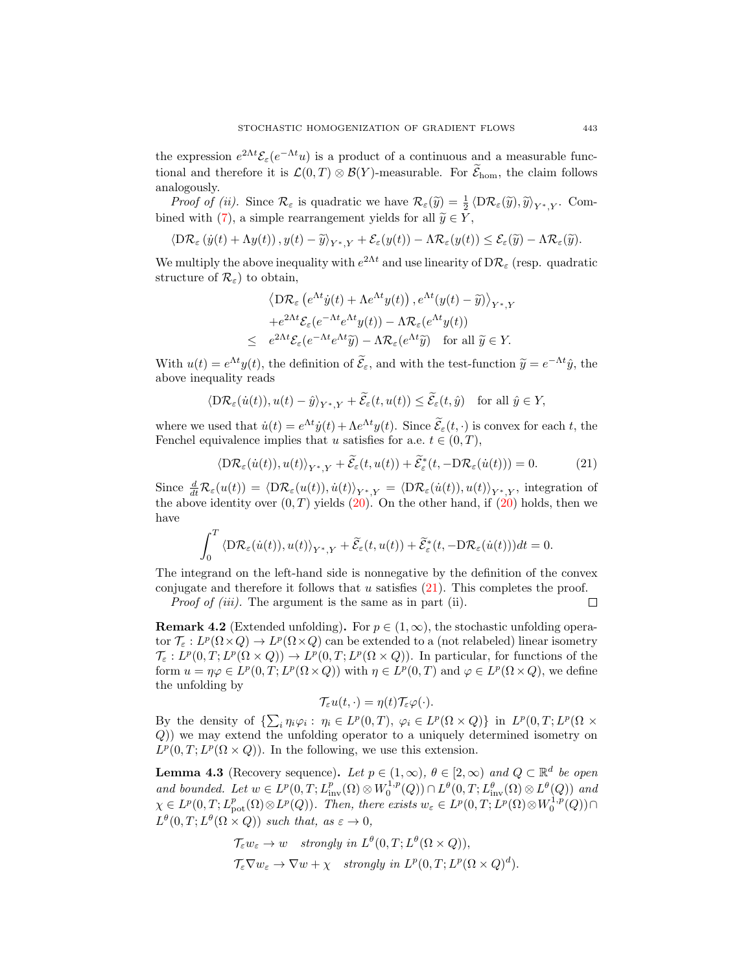the expression  $e^{2\Lambda t} \mathcal{E}_{\varepsilon} (e^{-\Lambda t} u)$  is a product of a continuous and a measurable functional and therefore it is  $\mathcal{L}(0,T) \otimes \mathcal{B}(Y)$ -measurable. For  $\mathcal{E}_{\text{hom}}$ , the claim follows analogously.

*Proof of (ii).* Since  $\mathcal{R}_{\varepsilon}$  is quadratic we have  $\mathcal{R}_{\varepsilon}(\widetilde{y}) = \frac{1}{2} \langle D\mathcal{R}_{\varepsilon}(\widetilde{y}), \widetilde{y} \rangle_{Y^*,Y}$ . Com-bined with [\(7\)](#page-6-1), a simple rearrangement yields for all  $\widetilde{y} \in Y$ ,

$$
\langle \mathcal{D}\mathcal{R}_{\varepsilon}\left(\dot{y}(t)+\Lambda y(t)\right), y(t)-\widetilde{y}\rangle_{Y^*,Y}+\mathcal{E}_{\varepsilon}(y(t))-\Lambda \mathcal{R}_{\varepsilon}(y(t))\leq \mathcal{E}_{\varepsilon}(\widetilde{y})-\Lambda \mathcal{R}_{\varepsilon}(\widetilde{y}).
$$

We multiply the above inequality with  $e^{2\Lambda t}$  and use linearity of  $D\mathcal{R}_{\varepsilon}$  (resp. quadratic structure of  $\mathcal{R}_{\varepsilon}$ ) to obtain,

$$
\langle \mathcal{D}\mathcal{R}_{\varepsilon} \left( e^{\Lambda t} \dot{y}(t) + \Lambda e^{\Lambda t} y(t) \right), e^{\Lambda t} (y(t) - \widetilde{y}) \rangle_{Y^*,Y}
$$
  
+ 
$$
e^{2\Lambda t} \mathcal{E}_{\varepsilon} (e^{-\Lambda t} e^{\Lambda t} y(t)) - \Lambda \mathcal{R}_{\varepsilon} (e^{\Lambda t} y(t))
$$
  

$$
\leq e^{2\Lambda t} \mathcal{E}_{\varepsilon} (e^{-\Lambda t} e^{\Lambda t} \widetilde{y}) - \Lambda \mathcal{R}_{\varepsilon} (e^{\Lambda t} \widetilde{y}) \quad \text{for all } \widetilde{y} \in Y.
$$

With  $u(t) = e^{\Lambda t} y(t)$ , the definition of  $\tilde{\mathcal{E}}_{\varepsilon}$ , and with the test-function  $\tilde{y} = e^{-\Lambda t} \hat{y}$ , the above inequality reads

$$
\langle \mathcal{D}\mathcal{R}_{\varepsilon}(\dot{u}(t)), u(t) - \hat{y} \rangle_{Y^*,Y} + \widetilde{\mathcal{E}}_{\varepsilon}(t, u(t)) \le \widetilde{\mathcal{E}}_{\varepsilon}(t, \hat{y}) \quad \text{for all } \hat{y} \in Y,
$$

where we used that  $\dot{u}(t) = e^{\Lambda t} \dot{y}(t) + \Lambda e^{\Lambda t} y(t)$ . Since  $\tilde{\mathcal{E}}_{\varepsilon}(t, \cdot)$  is convex for each t, the Fenchel equivalence implies that u satisfies for a.e.  $t \in (0, T)$ ,

<span id="page-16-1"></span>
$$
\langle \mathcal{D}\mathcal{R}_{\varepsilon}(\dot{u}(t)), u(t) \rangle_{Y^*,Y} + \widetilde{\mathcal{E}}_{\varepsilon}(t, u(t)) + \widetilde{\mathcal{E}}_{\varepsilon}^*(t, -\mathcal{D}\mathcal{R}_{\varepsilon}(\dot{u}(t))) = 0. \tag{21}
$$

Since  $\frac{d}{dt}R_{\varepsilon}(u(t)) = \langle DR_{\varepsilon}(u(t)), \dot{u}(t)\rangle_{Y^*,Y} = \langle DR_{\varepsilon}(\dot{u}(t)), u(t)\rangle_{Y^*,Y}$ , integration of the above identity over  $(0, T)$  yields  $(20)$ . On the other hand, if  $(20)$  holds, then we have

$$
\int_0^T \langle \mathrm{D} \mathcal{R}_{\varepsilon}(\dot{u}(t)), u(t) \rangle_{Y^*,Y} + \widetilde{\mathcal{E}}_{\varepsilon}(t, u(t)) + \widetilde{\mathcal{E}}_{\varepsilon}^*(t, -\mathrm{D} \mathcal{R}_{\varepsilon}(\dot{u}(t))) dt = 0.
$$

The integrand on the left-hand side is nonnegative by the definition of the convex conjugate and therefore it follows that  $u$  satisfies  $(21)$ . This completes the proof.  $\Box$ 

Proof of (iii). The argument is the same as in part (ii).

**Remark 4.2** (Extended unfolding). For  $p \in (1,\infty)$ , the stochastic unfolding operator  $\mathcal{T}_{\varepsilon}: L^p(\Omega \times Q) \to L^p(\Omega \times Q)$  can be extended to a (not relabeled) linear isometry  $\mathcal{T}_{\varepsilon}: L^p(0,T; L^p(\Omega \times Q)) \to L^p(0,T; L^p(\Omega \times Q)).$  In particular, for functions of the form  $u = \eta \varphi \in L^p(0,T; L^p(\Omega \times Q))$  with  $\eta \in L^p(0,T)$  and  $\varphi \in L^p(\Omega \times Q)$ , we define the unfolding by

$$
\mathcal{T}_{\varepsilon}u(t,\cdot)=\eta(t)\mathcal{T}_{\varepsilon}\varphi(\cdot).
$$

By the density of  $\{\sum_i \eta_i \varphi_i : \eta_i \in L^p(0,T), \varphi_i \in L^p(\Omega \times Q)\}\$ in  $L^p(0,T; L^p(\Omega \times$ Q)) we may extend the unfolding operator to a uniquely determined isometry on  $L^p(0,T; L^p(\Omega \times Q))$ . In the following, we use this extension.

<span id="page-16-0"></span>**Lemma 4.3** (Recovery sequence). Let  $p \in (1,\infty)$ ,  $\theta \in [2,\infty)$  and  $Q \subset \mathbb{R}^d$  be open and bounded. Let  $w \in L^p(0,T; L^p_{inv}(\Omega) \otimes W_0^{1,p}(Q)) \cap L^{\theta}(0,T; L^{\theta}_{inv}(\Omega) \otimes L^{\theta}(Q))$  and  $\chi \in L^p(0,T; L^p_{\text{pot}}(\Omega)\otimes L^p(Q))$ . Then, there exists  $w_{\varepsilon} \in L^p(0,T; L^p(\Omega)\otimes W_0^{1,p}(Q))\cap$  $L^{\theta}(0,T; L^{\theta}(\Omega \times Q))$  such that, as  $\varepsilon \to 0$ ,

$$
\mathcal{T}_{\varepsilon} w_{\varepsilon} \to w \quad strongly \ in \ L^{\theta}(0,T; L^{\theta}(\Omega \times Q)),
$$
  

$$
\mathcal{T}_{\varepsilon} \nabla w_{\varepsilon} \to \nabla w + \chi \quad strongly \ in \ L^{p}(0,T; L^{p}(\Omega \times Q)^{d}).
$$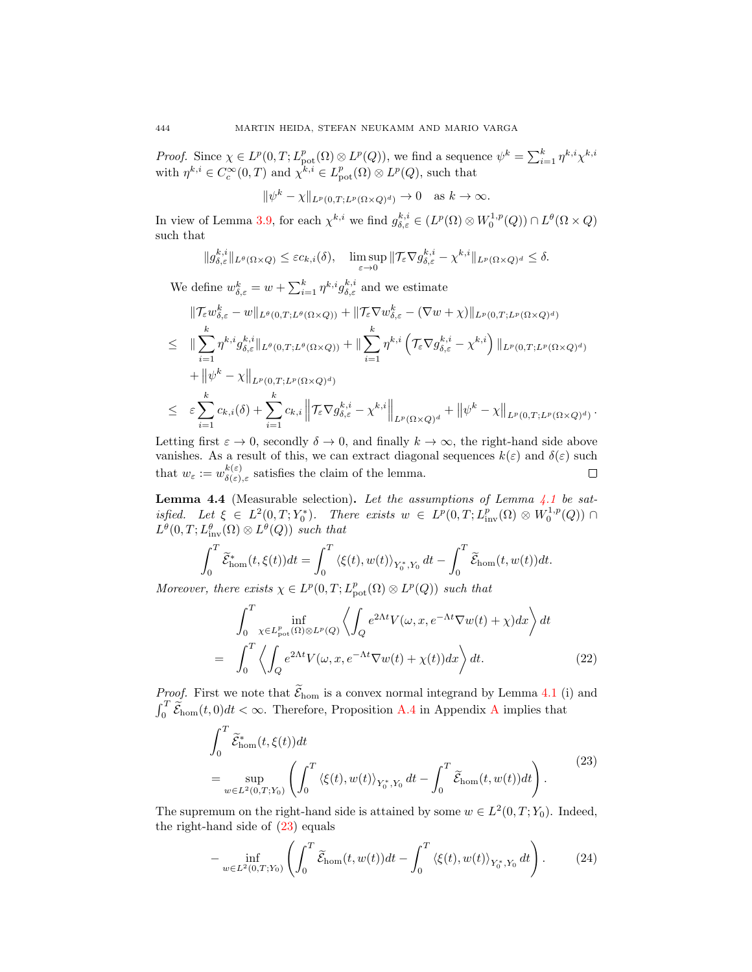*Proof.* Since  $\chi \in L^p(0,T; L^p_{pot}(\Omega) \otimes L^p(Q))$ , we find a sequence  $\psi^k = \sum_{i=1}^k \eta^{k,i} \chi^{k,i}$ with  $\eta^{k,i} \in C_c^{\infty}(0,T)$  and  $\chi^{k,i} \in L_{\text{pot}}^p(\Omega) \otimes L^p(Q)$ , such that

$$
\|\psi^k - \chi\|_{L^p(0,T;L^p(\Omega \times Q)^d)} \to 0 \quad \text{as } k \to \infty.
$$

In view of Lemma [3.9,](#page-10-4) for each  $\chi^{k,i}$  we find  $g_{\delta,\varepsilon}^{k,i} \in (L^p(\Omega)\otimes W_0^{1,p}(Q))\cap L^{\theta}(\Omega\times Q)$ such that

$$
||g_{\delta,\varepsilon}^{k,i}||_{L^{\theta}(\Omega\times Q)} \leq \varepsilon c_{k,i}(\delta), \quad \limsup_{\varepsilon\to 0} ||\mathcal{T}_{\varepsilon}\nabla g_{\delta,\varepsilon}^{k,i} - \chi^{k,i}||_{L^{p}(\Omega\times Q)^{d}} \leq \delta.
$$

We define  $w_{\delta,\varepsilon}^k = w + \sum_{i=1}^k \eta^{k,i} g_{\delta,\varepsilon}^{k,i}$  and we estimate

$$
\|\mathcal{T}_{\varepsilon}w_{\delta,\varepsilon}^{k}-w\|_{L^{\theta}(0,T;L^{\theta}(\Omega\times Q))}+\|\mathcal{T}_{\varepsilon}\nabla w_{\delta,\varepsilon}^{k}-(\nabla w+\chi)\|_{L^{p}(0,T;L^{p}(\Omega\times Q)^{d})}
$$
\n
$$
\leq \|\sum_{i=1}^{k}\eta^{k,i}g_{\delta,\varepsilon}^{k,i}\|_{L^{\theta}(0,T;L^{\theta}(\Omega\times Q))}+\|\sum_{i=1}^{k}\eta^{k,i}\left(\mathcal{T}_{\varepsilon}\nabla g_{\delta,\varepsilon}^{k,i}-\chi^{k,i}\right)\|_{L^{p}(0,T;L^{p}(\Omega\times Q)^{d})}
$$
\n
$$
+\|\psi^{k}-\chi\|_{L^{p}(0,T;L^{p}(\Omega\times Q)^{d})}
$$
\n
$$
\leq \varepsilon\sum_{i=1}^{k}c_{k,i}(\delta)+\sum_{i=1}^{k}c_{k,i}\left\|\mathcal{T}_{\varepsilon}\nabla g_{\delta,\varepsilon}^{k,i}-\chi^{k,i}\right\|_{L^{p}(\Omega\times Q)^{d}}+\|\psi^{k}-\chi\|_{L^{p}(0,T;L^{p}(\Omega\times Q)^{d})}
$$

.

Letting first  $\varepsilon \to 0$ , secondly  $\delta \to 0$ , and finally  $k \to \infty$ , the right-hand side above vanishes. As a result of this, we can extract diagonal sequences  $k(\varepsilon)$  and  $\delta(\varepsilon)$  such that  $w_{\varepsilon} := w_{\delta(\varepsilon)}^{k(\varepsilon)}$  $\Box$  $\frac{\kappa(\varepsilon)}{\delta(\varepsilon),\varepsilon}$  satisfies the claim of the lemma.

<span id="page-17-0"></span>**Lemma 4.4** (Measurable selection). Let the assumptions of Lemma  $4.1$  be satisfied. Let  $\xi \in L^2(0,T;Y_0^*)$ . There exists  $w \in L^p(0,T;L^p_{inv}(\Omega) \otimes W_0^{1,p}(Q))$  $L^{\theta}(0,T; L^{\theta}_{\text{inv}}(\Omega) \otimes L^{\theta}(Q))$  such that

$$
\int_0^T \widetilde{\mathcal{E}}^*_{\text{hom}}(t,\xi(t))dt = \int_0^T \left\langle \xi(t),w(t) \right\rangle_{Y_0^*,Y_0} dt - \int_0^T \widetilde{\mathcal{E}}_{\text{hom}}(t,w(t))dt.
$$

Moreover, there exists  $\chi \in L^p(0,T; L^p_{pot}(\Omega) \otimes L^p(Q))$  such that

<span id="page-17-3"></span>
$$
\int_{0}^{T} \inf_{\chi \in L_{\text{pot}}^{p}(\Omega) \otimes L^{p}(Q)} \left\langle \int_{Q} e^{2\Lambda t} V(\omega, x, e^{-\Lambda t} \nabla w(t) + \chi) dx \right\rangle dt
$$
\n
$$
= \int_{0}^{T} \left\langle \int_{Q} e^{2\Lambda t} V(\omega, x, e^{-\Lambda t} \nabla w(t) + \chi(t)) dx \right\rangle dt. \tag{22}
$$

*Proof.* First we note that  $\widetilde{\mathcal{E}}_{\text{hom}}$  is a convex normal integrand by Lemma [4.1](#page-15-1) (i) and  $\int_0^T \widetilde{\mathcal{E}}_{\text{hom}}(t,0)dt < \infty$ . Therefore, Proposition [A.4](#page-23-2) in [A](#page-22-0)ppendix A implies that

<span id="page-17-1"></span>
$$
\int_0^T \widetilde{\mathcal{E}}_{\text{hom}}^*(t,\xi(t))dt
$$
\n
$$
= \sup_{w \in L^2(0,T;Y_0)} \left( \int_0^T \langle \xi(t), w(t) \rangle_{Y_0^*,Y_0} dt - \int_0^T \widetilde{\mathcal{E}}_{\text{hom}}(t, w(t))dt \right). \tag{23}
$$

The supremum on the right-hand side is attained by some  $w \in L^2(0,T;Y_0)$ . Indeed, the right-hand side of [\(23\)](#page-17-1) equals

<span id="page-17-2"></span>
$$
-\inf_{w\in L^2(0,T;Y_0)} \left(\int_0^T \widetilde{\mathcal{E}}_{\text{hom}}(t,w(t))dt - \int_0^T \langle \xi(t), w(t) \rangle_{Y_0^*,Y_0} dt\right).
$$
 (24)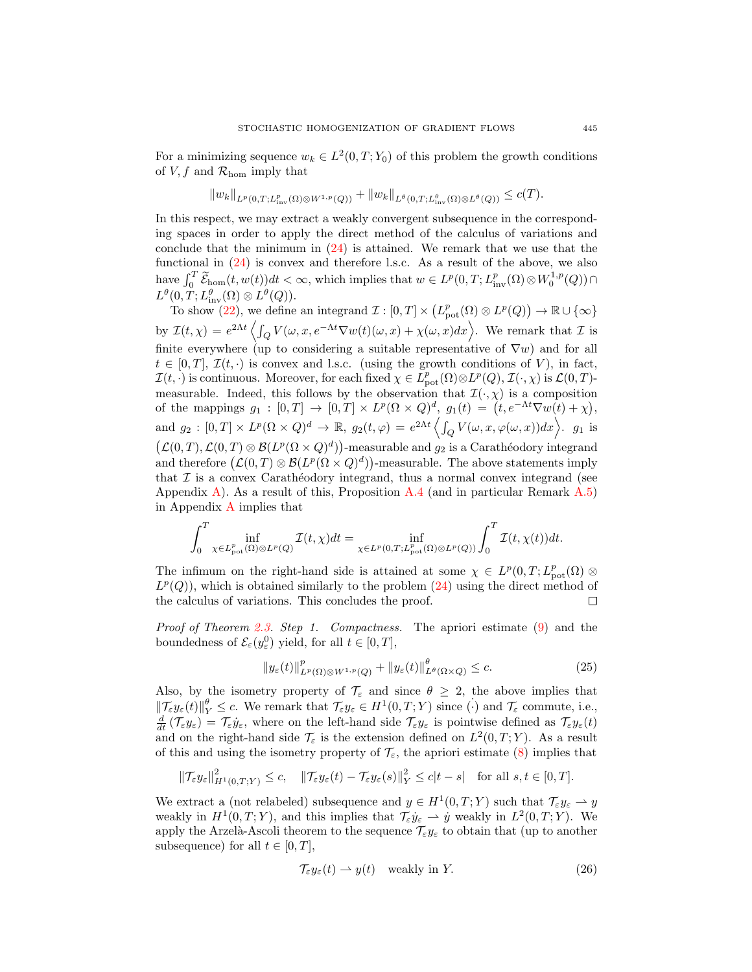For a minimizing sequence  $w_k \in L^2(0,T;Y_0)$  of this problem the growth conditions of V, f and  $\mathcal{R}_{\text{hom}}$  imply that

$$
||w_k||_{L^p(0,T;L^p_{\text{inv}}(\Omega)\otimes W^{1,p}(Q))} + ||w_k||_{L^{\theta}(0,T;L^{\theta}_{\text{inv}}(\Omega)\otimes L^{\theta}(Q))} \leq c(T).
$$

In this respect, we may extract a weakly convergent subsequence in the corresponding spaces in order to apply the direct method of the calculus of variations and conclude that the minimum in [\(24\)](#page-17-2) is attained. We remark that we use that the functional in [\(24\)](#page-17-2) is convex and therefore l.s.c. As a result of the above, we also have  $\int_0^T \widetilde{\mathcal{E}}_{\text{hom}}(t, w(t))dt < \infty$ , which implies that  $w \in L^p(0,T; L^p_{\text{inv}}(\Omega) \otimes W_0^{1,p}(Q)) \cap$  $L^{\theta}(0,T;L^{\theta}_{\text{inv}}(\Omega)\otimes L^{\theta}(Q)).$ 

To show [\(22\)](#page-17-3), we define an integrand  $\mathcal{I}: [0,T] \times (L^p_{\text{pot}}(\Omega) \otimes L^p(Q)) \to \mathbb{R} \cup \{\infty\}$ by  $\mathcal{I}(t,\chi) = e^{2\Lambda t} \left\langle \int_Q V(\omega, x, e^{-\Lambda t} \nabla w(t)(\omega, x) + \chi(\omega, x) dx \right\rangle$ . We remark that  $\mathcal{I}$  is finite everywhere (up to considering a suitable representative of  $\nabla w$ ) and for all  $t \in [0, T], \mathcal{I}(t, \cdot)$  is convex and l.s.c. (using the growth conditions of V), in fact,  $\mathcal{I}(t, \cdot)$  is continuous. Moreover, for each fixed  $\chi \in L^p_{\text{pot}}(\Omega) \otimes L^p(Q), \mathcal{I}(\cdot, \chi)$  is  $\mathcal{L}(0, T)$ measurable. Indeed, this follows by the observation that  $\mathcal{I}(\cdot,\chi)$  is a composition of the mappings  $g_1 : [0,T] \to [0,T] \times L^p(\Omega \times Q)^d$ ,  $g_1(t) = (t, e^{-\Lambda t} \nabla w(t) + \chi)$ , and  $g_2: [0,T] \times L^p(\Omega \times Q)^d \to \mathbb{R}$ ,  $g_2(t,\varphi) = e^{2\Lambda t} \left\langle \int_Q V(\omega, x, \varphi(\omega, x)) dx \right\rangle$ .  $g_1$  is  $(\mathcal{L}(0,T), \mathcal{L}(0,T) \otimes \mathcal{B}(L^p(\Omega \times Q)^d))$ -measurable and  $g_2$  is a Carathéodory integrand and therefore  $(\mathcal{L}(0,T) \otimes \mathcal{B}(L^p(\Omega \times Q)^d))$ -measurable. The above statements imply that  $\mathcal I$  is a convex Carathéodory integrand, thus a normal convex integrand (see Appendix [A\)](#page-22-0). As a result of this, Proposition [A.4](#page-23-2) (and in particular Remark  $A.5$ ) in Appendix [A](#page-22-0) implies that

$$
\int_0^T \inf_{\chi \in L^p_{\text{pot}}(\Omega) \otimes L^p(Q)} \mathcal{I}(t,\chi) dt = \inf_{\chi \in L^p(0,T;L^p_{\text{pot}}(\Omega) \otimes L^p(Q))} \int_0^T \mathcal{I}(t,\chi(t)) dt.
$$

The infimum on the right-hand side is attained at some  $\chi \in L^p(0,T; L^p_{pot}(\Omega) \otimes$  $L^p(Q)$ , which is obtained similarly to the problem  $(24)$  using the direct method of the calculus of variations. This concludes the proof. □

Proof of Theorem [2.3.](#page-7-0) Step 1. Compactness. The apriori estimate [\(9\)](#page-6-6) and the boundedness of  $\mathcal{E}_{\varepsilon}(y_{\varepsilon}^0)$  yield, for all  $t \in [0, T]$ ,

<span id="page-18-0"></span>
$$
||y_{\varepsilon}(t)||_{L^{p}(\Omega)\otimes W^{1,p}(Q)}^{p} + ||y_{\varepsilon}(t)||_{L^{\theta}(\Omega\times Q)}^{\theta} \leq c.
$$
\n(25)

Also, by the isometry property of  $\mathcal{T}_{\varepsilon}$  and since  $\theta \geq 2$ , the above implies that  $\|\mathcal{T}_{\varepsilon}y_{\varepsilon}(t)\|_{Y}^{\theta} \leq c.$  We remark that  $\mathcal{T}_{\varepsilon}y_{\varepsilon} \in H^1(0,T;Y)$  since  $(\cdot)$  and  $\mathcal{T}_{\varepsilon}$  commute, i.e.,  $\frac{d}{dt}(\mathcal{T}_{\varepsilon}y_{\varepsilon})=\mathcal{T}_{\varepsilon}\dot{y}_{\varepsilon}$ , where on the left-hand side  $\mathcal{T}_{\varepsilon}y_{\varepsilon}$  is pointwise defined as  $\mathcal{T}_{\varepsilon}y_{\varepsilon}(t)$ and on the right-hand side  $\mathcal{T}_{\varepsilon}$  is the extension defined on  $L^2(0,T;Y)$ . As a result of this and using the isometry property of  $\mathcal{T}_{\varepsilon}$ , the apriori estimate [\(8\)](#page-6-2) implies that

$$
\|\mathcal{T}_{\varepsilon}y_{\varepsilon}\|_{H^1(0,T;Y)}^2 \leq c, \quad \|\mathcal{T}_{\varepsilon}y_{\varepsilon}(t) - \mathcal{T}_{\varepsilon}y_{\varepsilon}(s)\|_{Y}^2 \leq c|t-s| \quad \text{for all } s,t \in [0,T].
$$

We extract a (not relabeled) subsequence and  $y \in H^1(0,T;Y)$  such that  $\mathcal{T}_{\varepsilon} y_{\varepsilon} \to y$ weakly in  $H^1(0,T;Y)$ , and this implies that  $\mathcal{T}_{\varepsilon}\dot{y}_{\varepsilon} \rightharpoonup \dot{y}$  weakly in  $L^2(0,T;Y)$ . We apply the Arzelà-Ascoli theorem to the sequence  $\mathcal{T}_{\varepsilon}y_{\varepsilon}$  to obtain that (up to another subsequence) for all  $t \in [0, T]$ ,

<span id="page-18-1"></span>
$$
\mathcal{T}_{\varepsilon} y_{\varepsilon}(t) \rightharpoonup y(t) \quad \text{weakly in } Y. \tag{26}
$$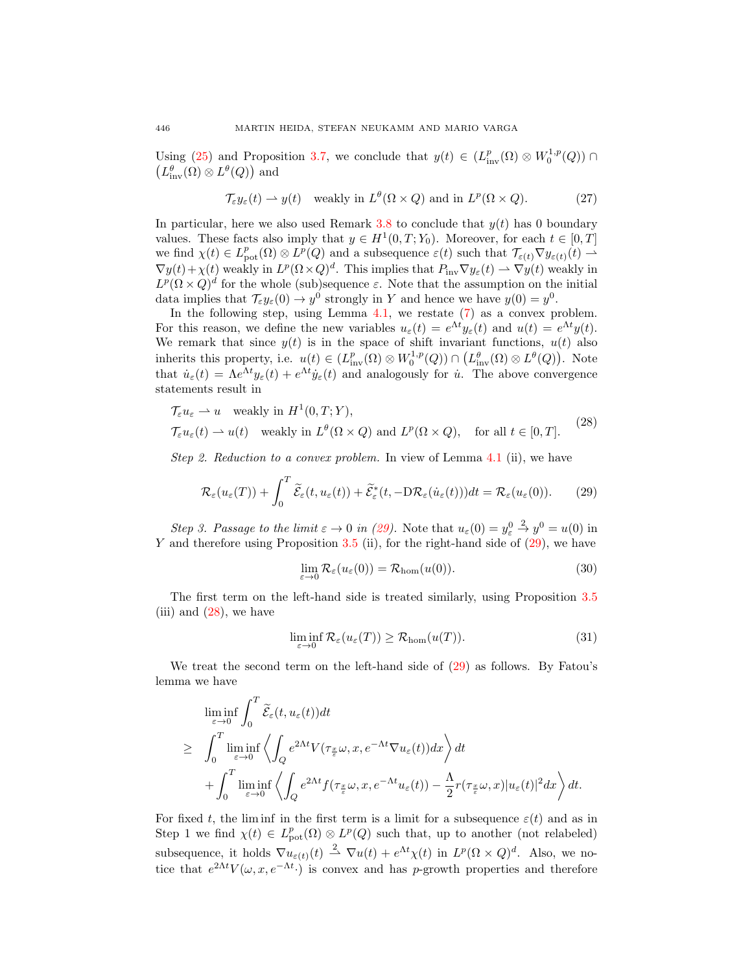Using [\(25\)](#page-18-0) and Proposition [3.7,](#page-10-2) we conclude that  $y(t) \in (L^p_{\text{inv}}(\Omega) \otimes W_0^{1,p}(Q))$  $\left(L_{\text{inv}}^{\theta}(\Omega) \otimes L^{\theta}(Q)\right)$  and

<span id="page-19-4"></span>
$$
\mathcal{T}_{\varepsilon} y_{\varepsilon}(t) \rightharpoonup y(t) \quad \text{weakly in } L^{\theta}(\Omega \times Q) \text{ and in } L^{p}(\Omega \times Q). \tag{27}
$$

In particular, here we also used Remark [3.8](#page-10-5) to conclude that  $y(t)$  has 0 boundary values. These facts also imply that  $y \in H^1(0,T; Y_0)$ . Moreover, for each  $t \in [0,T]$ we find  $\chi(t) \in L^p_{\text{pot}}(\Omega) \otimes L^p(Q)$  and a subsequence  $\varepsilon(t)$  such that  $\mathcal{T}_{\varepsilon(t)} \nabla y_{\varepsilon(t)}(t) \to$  $\nabla y(t) + \chi(t)$  weakly in  $L^p(\Omega \times Q)^d$ . This implies that  $P_{\text{inv}} \nabla y_\varepsilon(t) \rightharpoonup \nabla y(t)$  weakly in  $L^p(\Omega \times Q)^d$  for the whole (sub)sequence  $\varepsilon$ . Note that the assumption on the initial data implies that  $\mathcal{T}_{\varepsilon}y_{\varepsilon}(0) \to y^0$  strongly in Y and hence we have  $y(0) = y^0$ .

In the following step, using Lemma  $4.1$ , we restate  $(7)$  as a convex problem. For this reason, we define the new variables  $u_{\varepsilon}(t) = e^{\Lambda t} y_{\varepsilon}(t)$  and  $u(t) = e^{\Lambda t} y(t)$ . We remark that since  $y(t)$  is in the space of shift invariant functions,  $u(t)$  also inherits this property, i.e.  $u(t) \in (L^p_{inv}(\Omega) \otimes W_0^{1,p}(Q)) \cap (L^{\theta}_{inv}(\Omega) \otimes L^{\theta}(Q)).$  Note that  $\dot{u}_{\varepsilon}(t) = \Lambda e^{\Lambda t} y_{\varepsilon}(t) + e^{\Lambda t} \dot{y}_{\varepsilon}(t)$  and analogously for  $\dot{u}$ . The above convergence statements result in

$$
\mathcal{T}_{\varepsilon} u_{\varepsilon} \rightharpoonup u \quad \text{weakly in } H^{1}(0, T; Y),
$$
  

$$
\mathcal{T}_{\varepsilon} u_{\varepsilon}(t) \rightharpoonup u(t) \quad \text{weakly in } L^{\theta}(\Omega \times Q) \text{ and } L^{p}(\Omega \times Q), \quad \text{for all } t \in [0, T].
$$
 (28)

Step 2. Reduction to a convex problem. In view of Lemma [4.1](#page-15-1) (ii), we have

<span id="page-19-0"></span>
$$
\mathcal{R}_{\varepsilon}(u_{\varepsilon}(T)) + \int_{0}^{T} \widetilde{\mathcal{E}}_{\varepsilon}(t, u_{\varepsilon}(t)) + \widetilde{\mathcal{E}}_{\varepsilon}^{*}(t, -D\mathcal{R}_{\varepsilon}(\dot{u}_{\varepsilon}(t)))dt = \mathcal{R}_{\varepsilon}(u_{\varepsilon}(0)).
$$
 (29)

Step 3. Passage to the limit  $\varepsilon \to 0$  in [\(29\)](#page-19-0). Note that  $u_{\varepsilon}(0) = y_{\varepsilon}^0$  $\stackrel{2}{\rightarrow} y^0 = u(0)$  in Y and therefore using Proposition [3.5](#page-9-1) (ii), for the right-hand side of  $(29)$ , we have

<span id="page-19-2"></span><span id="page-19-1"></span>
$$
\lim_{\varepsilon \to 0} \mathcal{R}_{\varepsilon}(u_{\varepsilon}(0)) = \mathcal{R}_{\text{hom}}(u(0)). \tag{30}
$$

The first term on the left-hand side is treated similarly, using Proposition [3.5](#page-9-1) (iii) and  $(28)$ , we have

<span id="page-19-3"></span>
$$
\liminf_{\varepsilon \to 0} \mathcal{R}_{\varepsilon}(u_{\varepsilon}(T)) \ge \mathcal{R}_{\text{hom}}(u(T)). \tag{31}
$$

We treat the second term on the left-hand side of [\(29\)](#page-19-0) as follows. By Fatou's lemma we have

$$
\liminf_{\varepsilon \to 0} \int_0^T \widetilde{\mathcal{E}}_{\varepsilon}(t, u_{\varepsilon}(t)) dt
$$
\n
$$
\geq \int_0^T \liminf_{\varepsilon \to 0} \left\langle \int_Q e^{2\Lambda t} V(\tau_{\frac{x}{\varepsilon}} \omega, x, e^{-\Lambda t} \nabla u_{\varepsilon}(t)) dx \right\rangle dt
$$
\n
$$
+ \int_0^T \liminf_{\varepsilon \to 0} \left\langle \int_Q e^{2\Lambda t} f(\tau_{\frac{x}{\varepsilon}} \omega, x, e^{-\Lambda t} u_{\varepsilon}(t)) - \frac{\Lambda}{2} r(\tau_{\frac{x}{\varepsilon}} \omega, x) |u_{\varepsilon}(t)|^2 dx \right\rangle dt.
$$

For fixed t, the limin in the first term is a limit for a subsequence  $\varepsilon(t)$  and as in Step 1 we find  $\chi(t) \in L^p_{\text{pot}}(\Omega) \otimes L^p(Q)$  such that, up to another (not relabeled) subsequence, it holds  $\nabla u_{\varepsilon(t)}(t) \stackrel{2}{\rightharpoonup} \nabla u(t) + e^{\Lambda t} \chi(t)$  in  $L^p(\Omega \times Q)^d$ . Also, we notice that  $e^{2\Lambda t}V(\omega, x, e^{-\Lambda t})$  is convex and has p-growth properties and therefore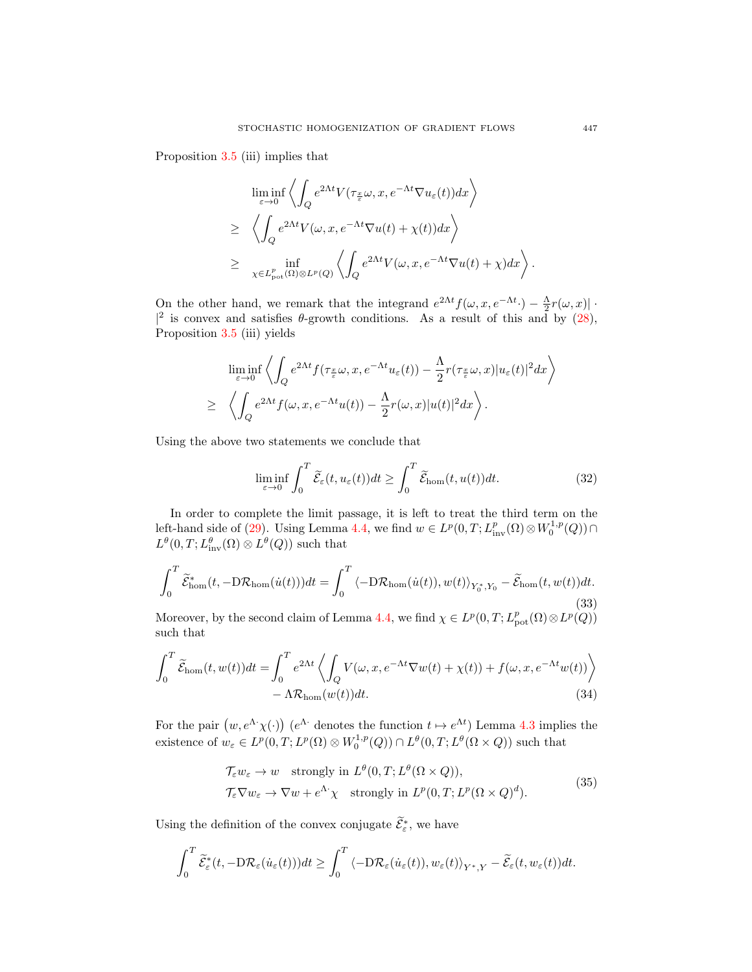Proposition [3.5](#page-9-1) (iii) implies that

$$
\liminf_{\varepsilon \to 0} \left\langle \int_Q e^{2\Lambda t} V(\tau_{\frac{x}{\varepsilon}} \omega, x, e^{-\Lambda t} \nabla u_{\varepsilon}(t)) dx \right\rangle
$$
\n
$$
\geq \left\langle \int_Q e^{2\Lambda t} V(\omega, x, e^{-\Lambda t} \nabla u(t) + \chi(t)) dx \right\rangle
$$
\n
$$
\geq \inf_{\chi \in L^p_{pot}(\Omega) \otimes L^p(Q)} \left\langle \int_Q e^{2\Lambda t} V(\omega, x, e^{-\Lambda t} \nabla u(t) + \chi) dx \right\rangle
$$

On the other hand, we remark that the integrand  $e^{2\Lambda t} f(\omega, x, e^{-\Lambda t}) - \frac{\Lambda}{2} r(\omega, x)$ . |<sup>2</sup> is convex and satisfies  $\theta$ -growth conditions. As a result of this and by [\(28\)](#page-19-1), Proposition [3.5](#page-9-1) (iii) yields

$$
\liminf_{\varepsilon \to 0} \left\langle \int_Q e^{2\Lambda t} f(\tau_{\frac{x}{\varepsilon}} \omega, x, e^{-\Lambda t} u_{\varepsilon}(t)) - \frac{\Lambda}{2} r(\tau_{\frac{x}{\varepsilon}} \omega, x) |u_{\varepsilon}(t)|^2 dx \right\rangle
$$
  
\n
$$
\geq \left\langle \int_Q e^{2\Lambda t} f(\omega, x, e^{-\Lambda t} u(t)) - \frac{\Lambda}{2} r(\omega, x) |u(t)|^2 dx \right\rangle.
$$

Using the above two statements we conclude that

<span id="page-20-3"></span>
$$
\liminf_{\varepsilon \to 0} \int_0^T \widetilde{\mathcal{E}}_{\varepsilon}(t, u_{\varepsilon}(t)) dt \ge \int_0^T \widetilde{\mathcal{E}}_{\text{hom}}(t, u(t)) dt.
$$
 (32)

In order to complete the limit passage, it is left to treat the third term on the left-hand side of [\(29\)](#page-19-0). Using Lemma [4.4,](#page-17-0) we find  $w \in L^p(0,T; L^p_{\text{inv}}(\Omega) \otimes W_0^{1,p}(Q)) \cap$  $L^{\theta}(0,T; L^{\theta}_{\text{inv}}(\Omega) \otimes L^{\theta}(Q))$  such that

<span id="page-20-2"></span>
$$
\int_0^T \widetilde{\mathcal{E}}_{\text{hom}}^*(t, -D\mathcal{R}_{\text{hom}}(\dot{u}(t)))dt = \int_0^T \langle -D\mathcal{R}_{\text{hom}}(\dot{u}(t)), w(t) \rangle_{Y_0^*, Y_0} - \widetilde{\mathcal{E}}_{\text{hom}}(t, w(t))dt.
$$
\n(33)

Moreover, by the second claim of Lemma [4.4,](#page-17-0) we find  $\chi \in L^p(0,T; L^p_{pot}(\Omega) \otimes L^p(Q))$ such that

$$
\int_0^T \widetilde{\mathcal{E}}_{\text{hom}}(t, w(t))dt = \int_0^T e^{2\Lambda t} \left\langle \int_Q V(\omega, x, e^{-\Lambda t} \nabla w(t) + \chi(t)) + f(\omega, x, e^{-\Lambda t} w(t)) \right\rangle - \Lambda \mathcal{R}_{\text{hom}}(w(t))dt.
$$
\n(34)

For the pair  $(w, e^{\Lambda} \chi(\cdot))$   $(e^{\Lambda} \cdot$  denotes the function  $t \mapsto e^{\Lambda t}$ ) Lemma [4.3](#page-16-0) implies the existence of  $w_{\varepsilon} \in L^p(0,T; L^p(\Omega) \otimes W_0^{1,p}(Q)) \cap L^{\theta}(0,T; L^{\theta}(\Omega \times Q))$  such that

<span id="page-20-1"></span><span id="page-20-0"></span>
$$
\mathcal{T}_{\varepsilon} w_{\varepsilon} \to w \quad \text{strongly in } L^{\theta}(0, T; L^{\theta}(\Omega \times Q)), \n\mathcal{T}_{\varepsilon} \nabla w_{\varepsilon} \to \nabla w + e^{\Lambda} \chi \quad \text{strongly in } L^{p}(0, T; L^{p}(\Omega \times Q)^{d}).
$$
\n(35)

Using the definition of the convex conjugate  $\widetilde{\mathcal{E}}_{\varepsilon}^*$ , we have

$$
\int_0^T \widetilde{\mathcal{E}}^*_{\varepsilon}(t, -D\mathcal{R}_{\varepsilon}(\dot{u}_{\varepsilon}(t)))dt \geq \int_0^T \langle -D\mathcal{R}_{\varepsilon}(\dot{u}_{\varepsilon}(t)), w_{\varepsilon}(t) \rangle_{Y^*,Y} - \widetilde{\mathcal{E}}_{\varepsilon}(t, w_{\varepsilon}(t))dt.
$$

.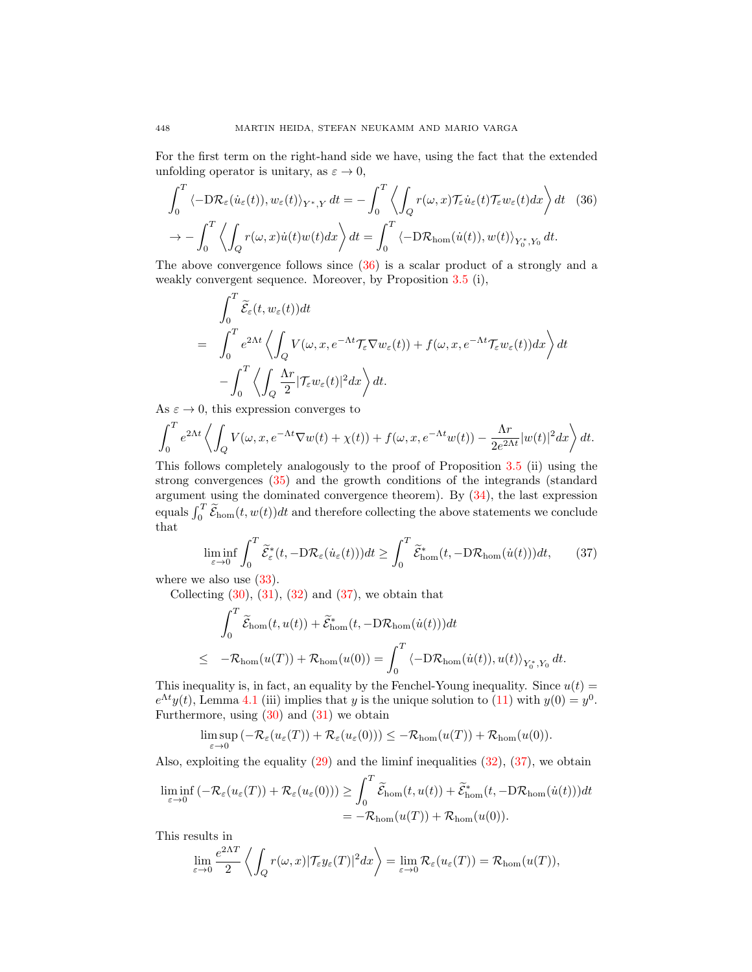For the first term on the right-hand side we have, using the fact that the extended unfolding operator is unitary, as  $\varepsilon \to 0$ ,

$$
\int_0^T \langle -D\mathcal{R}_{\varepsilon}(\dot{u}_{\varepsilon}(t)), w_{\varepsilon}(t) \rangle_{Y^*,Y} dt = -\int_0^T \left\langle \int_Q r(\omega, x) \mathcal{T}_{\varepsilon} \dot{u}_{\varepsilon}(t) \mathcal{T}_{\varepsilon} w_{\varepsilon}(t) dx \right\rangle dt \quad (36)
$$

$$
\to -\int_0^T \left\langle \int_Q r(\omega, x) \dot{u}(t) w(t) dx \right\rangle dt = \int_0^T \left\langle -D\mathcal{R}_{\text{hom}}(\dot{u}(t)), w(t) \right\rangle_{Y_0^*,Y_0} dt.
$$

The above convergence follows since [\(36\)](#page-21-0) is a scalar product of a strongly and a weakly convergent sequence. Moreover, by Proposition [3.5](#page-9-1) (i),

<span id="page-21-0"></span>
$$
\int_0^T \widetilde{\mathcal{E}}_{\varepsilon}(t, w_{\varepsilon}(t)) dt
$$
\n
$$
= \int_0^T e^{2\Lambda t} \left\langle \int_Q V(\omega, x, e^{-\Lambda t} \mathcal{T}_{\varepsilon} \nabla w_{\varepsilon}(t)) + f(\omega, x, e^{-\Lambda t} \mathcal{T}_{\varepsilon} w_{\varepsilon}(t)) dx \right\rangle dt
$$
\n
$$
- \int_0^T \left\langle \int_Q \frac{\Lambda r}{2} |\mathcal{T}_{\varepsilon} w_{\varepsilon}(t)|^2 dx \right\rangle dt.
$$

As  $\varepsilon \to 0$ , this expression converges to

$$
\int_0^T e^{2\Lambda t} \left\langle \int_Q V(\omega, x, e^{-\Lambda t} \nabla w(t) + \chi(t)) + f(\omega, x, e^{-\Lambda t} w(t)) - \frac{\Lambda r}{2e^{2\Lambda t}} |w(t)|^2 dx \right\rangle dt.
$$

This follows completely analogously to the proof of Proposition [3.5](#page-9-1) (ii) using the strong convergences [\(35\)](#page-20-0) and the growth conditions of the integrands (standard argument using the dominated convergence theorem). By [\(34\)](#page-20-1), the last expression equals  $\int_0^T \widetilde{\mathcal{E}}_{\text{hom}}(t, w(t))dt$  and therefore collecting the above statements we conclude that

<span id="page-21-1"></span>
$$
\liminf_{\varepsilon \to 0} \int_0^T \widetilde{\mathcal{E}}_{\varepsilon}^*(t, -D\mathcal{R}_{\varepsilon}(\dot{u}_{\varepsilon}(t)))dt \ge \int_0^T \widetilde{\mathcal{E}}_{\text{hom}}^*(t, -D\mathcal{R}_{\text{hom}}(\dot{u}(t)))dt, \qquad (37)
$$

where we also use  $(33)$ .

Collecting  $(30)$ ,  $(31)$ ,  $(32)$  and  $(37)$ , we obtain that

$$
\int_0^T \widetilde{\mathcal{E}}_{\text{hom}}(t, u(t)) + \widetilde{\mathcal{E}}_{\text{hom}}^*(t, -D\mathcal{R}_{\text{hom}}(\dot{u}(t)))dt
$$
\n
$$
\leq -\mathcal{R}_{\text{hom}}(u(T)) + \mathcal{R}_{\text{hom}}(u(0)) = \int_0^T \langle -D\mathcal{R}_{\text{hom}}(\dot{u}(t)), u(t) \rangle_{Y_0^*, Y_0} dt.
$$

This inequality is, in fact, an equality by the Fenchel-Young inequality. Since  $u(t) =$  $e^{\Lambda t}y(t)$ , Lemma [4.1](#page-15-1) (iii) implies that y is the unique solution to [\(11\)](#page-7-1) with  $y(0) = y^0$ . Furthermore, using  $(30)$  and  $(31)$  we obtain

$$
\limsup_{\varepsilon \to 0} \left( -\mathcal{R}_{\varepsilon}(u_{\varepsilon}(T)) + \mathcal{R}_{\varepsilon}(u_{\varepsilon}(0)) \right) \leq -\mathcal{R}_{\text{hom}}(u(T)) + \mathcal{R}_{\text{hom}}(u(0)).
$$

Also, exploiting the equality [\(29\)](#page-19-0) and the liminf inequalities [\(32\)](#page-20-3), [\(37\)](#page-21-1), we obtain

$$
\liminf_{\varepsilon \to 0} \left( -\mathcal{R}_{\varepsilon}(u_{\varepsilon}(T)) + \mathcal{R}_{\varepsilon}(u_{\varepsilon}(0)) \right) \ge \int_{0}^{T} \widetilde{\mathcal{E}}_{\text{hom}}(t, u(t)) + \widetilde{\mathcal{E}}_{\text{hom}}^{*}(t, -D\mathcal{R}_{\text{hom}}(\dot{u}(t)))dt
$$
\n
$$
= -\mathcal{R}_{\text{hom}}(u(T)) + \mathcal{R}_{\text{hom}}(u(0)).
$$

This results in

$$
\lim_{\varepsilon \to 0} \frac{e^{2\Lambda T}}{2} \left\langle \int_Q r(\omega, x) |\mathcal{T}_{\varepsilon} y_{\varepsilon}(T)|^2 dx \right\rangle = \lim_{\varepsilon \to 0} \mathcal{R}_{\varepsilon}(u_{\varepsilon}(T)) = \mathcal{R}_{\text{hom}}(u(T)),
$$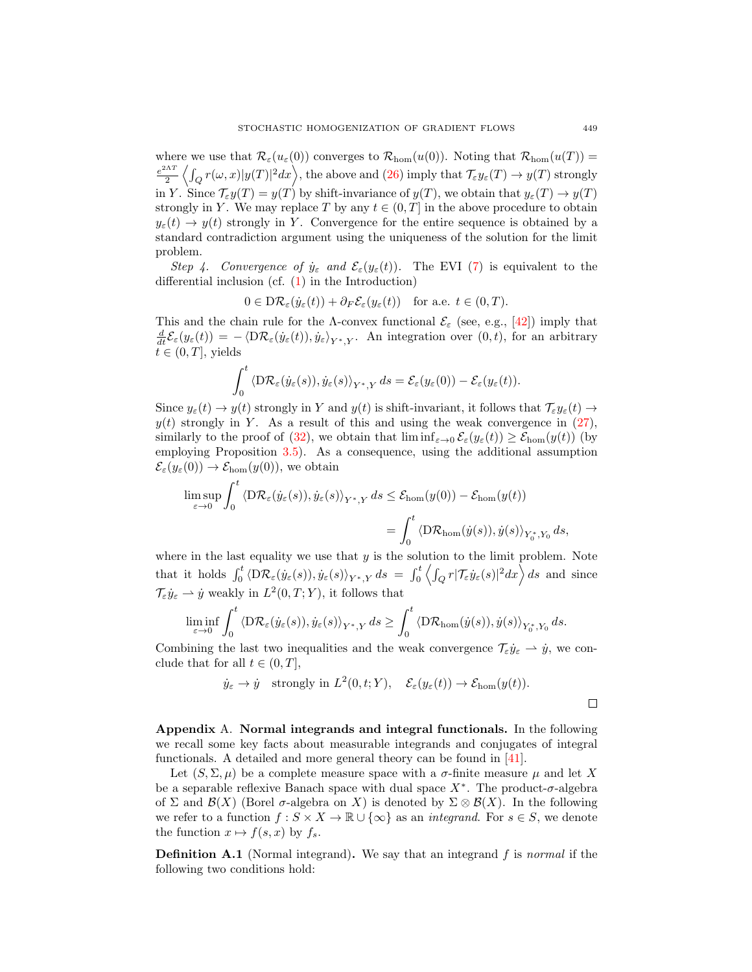where we use that  $\mathcal{R}_{\varepsilon}(u_{\varepsilon}(0))$  converges to  $\mathcal{R}_{\text{hom}}(u(0))$ . Noting that  $\mathcal{R}_{\text{hom}}(u(T))$  =  $e^{2\Lambda T}$  $\frac{d\Delta T}{d^2}\left\langle \int_Q r(\omega,x) |y(T)|^2 dx \right\rangle$ , the above and  $(26)$  imply that  $\mathcal{T}_\varepsilon y_\varepsilon(T) \to y(T)$  strongly in Y. Since  $\mathcal{T}_{\varepsilon}y(T) = y(T)$  by shift-invariance of  $y(T)$ , we obtain that  $y_{\varepsilon}(T) \to y(T)$ strongly in Y. We may replace T by any  $t \in (0, T]$  in the above procedure to obtain  $y_{\varepsilon}(t) \to y(t)$  strongly in Y. Convergence for the entire sequence is obtained by a standard contradiction argument using the uniqueness of the solution for the limit problem.

Step 4. Convergence of  $\dot{y}_{\varepsilon}$  and  $\mathcal{E}_{\varepsilon}(y_{\varepsilon}(t))$ . The EVI [\(7\)](#page-6-1) is equivalent to the differential inclusion (cf. [\(1\)](#page-1-0) in the Introduction)

$$
0 \in D\mathcal{R}_{\varepsilon}(\dot{y}_{\varepsilon}(t)) + \partial_F \mathcal{E}_{\varepsilon}(y_{\varepsilon}(t)) \quad \text{for a.e. } t \in (0, T).
$$

This and the chain rule for the Λ-convex functional  $\mathcal{E}_{\varepsilon}$  (see, e.g., [\[42\]](#page-25-23)) imply that  $\frac{d}{dt}\mathcal{E}_{\varepsilon}(y_{\varepsilon}(t)) = -\langle \mathrm{D}\mathcal{R}_{\varepsilon}(\dot{y}_{\varepsilon}(t)), \dot{y}_{\varepsilon} \rangle_{Y^*,Y}$ . An integration over  $(0, t)$ , for an arbitrary  $t \in (0, T]$ , yields

$$
\int_0^t \left\langle \mathrm{D} \mathcal{R}_{\varepsilon}(\dot{y}_{\varepsilon}(s)), \dot{y}_{\varepsilon}(s) \right\rangle_{Y^*,Y} ds = \mathcal{E}_{\varepsilon}(y_{\varepsilon}(0)) - \mathcal{E}_{\varepsilon}(y_{\varepsilon}(t)).
$$

Since  $y_{\varepsilon}(t) \to y(t)$  strongly in Y and  $y(t)$  is shift-invariant, it follows that  $\mathcal{T}_{\varepsilon} y_{\varepsilon}(t) \to$  $y(t)$  strongly in Y. As a result of this and using the weak convergence in  $(27)$ , similarly to the proof of [\(32\)](#page-20-3), we obtain that  $\liminf_{\varepsilon\to 0} \mathcal{E}_{\varepsilon}(y_{\varepsilon}(t)) \geq \mathcal{E}_{\text{hom}}(y(t))$  (by employing Proposition [3.5\)](#page-9-1). As a consequence, using the additional assumption  $\mathcal{E}_{\varepsilon}(y_{\varepsilon}(0)) \to \mathcal{E}_{\text{hom}}(y(0)),$  we obtain

$$
\limsup_{\varepsilon \to 0} \int_0^t \left\langle \mathrm{D} \mathcal{R}_{\varepsilon}(\dot{y}_{\varepsilon}(s)), \dot{y}_{\varepsilon}(s) \right\rangle_{Y^*,Y} ds \leq \mathcal{E}_{\mathrm{hom}}(y(0)) - \mathcal{E}_{\mathrm{hom}}(y(t))
$$
\n
$$
= \int_0^t \left\langle \mathrm{D} \mathcal{R}_{\mathrm{hom}}(\dot{y}(s)), \dot{y}(s) \right\rangle_{Y_0^*,Y_0} ds,
$$

where in the last equality we use that  $y$  is the solution to the limit problem. Note that it holds  $\int_0^t \langle D\mathcal{R}_{\varepsilon}(\dot{y}_{\varepsilon}(s)), \dot{y}_{\varepsilon}(s) \rangle_{Y^*,Y} ds = \int_0^t \left\langle \int_Q r |\mathcal{T}_{\varepsilon} \dot{y}_{\varepsilon}(s)|^2 dx \right\rangle ds$  and since  $\mathcal{T}_{\varepsilon}\dot{y}_{\varepsilon} \rightharpoonup \dot{y}$  weakly in  $L^2(0,T;Y)$ , it follows that

$$
\liminf_{\varepsilon\to 0}\int_0^t\left\langle \mathrm{D} \mathcal{R}_\varepsilon(y_\varepsilon(s)), \dot{y}_\varepsilon(s)\right\rangle_{Y^*,Y}ds\geq \int_0^t\left\langle \mathrm{D} \mathcal{R}_{\rm hom}(\dot{y}(s)), \dot{y}(s)\right\rangle_{Y_0^*,Y_0}ds.
$$

Combining the last two inequalities and the weak convergence  $\mathcal{T}_{\varepsilon}\dot{y}_{\varepsilon} \rightharpoonup \dot{y}$ , we conclude that for all  $t \in (0, T]$ ,

$$
\dot{y}_{\varepsilon} \to \dot{y}
$$
 strongly in  $L^2(0, t; Y)$ ,  $\mathcal{E}_{\varepsilon}(y_{\varepsilon}(t)) \to \mathcal{E}_{\text{hom}}(y(t))$ .

<span id="page-22-0"></span>Appendix A. Normal integrands and integral functionals. In the following we recall some key facts about measurable integrands and conjugates of integral functionals. A detailed and more general theory can be found in [\[41\]](#page-25-24).

Let  $(S, \Sigma, \mu)$  be a complete measure space with a  $\sigma$ -finite measure  $\mu$  and let X be a separable reflexive Banach space with dual space  $X^*$ . The product- $\sigma$ -algebra of  $\Sigma$  and  $\mathcal{B}(X)$  (Borel  $\sigma$ -algebra on X) is denoted by  $\Sigma \otimes \mathcal{B}(X)$ . In the following we refer to a function  $f : S \times X \to \mathbb{R} \cup \{\infty\}$  as an *integrand*. For  $s \in S$ , we denote the function  $x \mapsto f(s, x)$  by  $f_s$ .

<span id="page-22-1"></span>**Definition A.1** (Normal integrand). We say that an integrand f is normal if the following two conditions hold: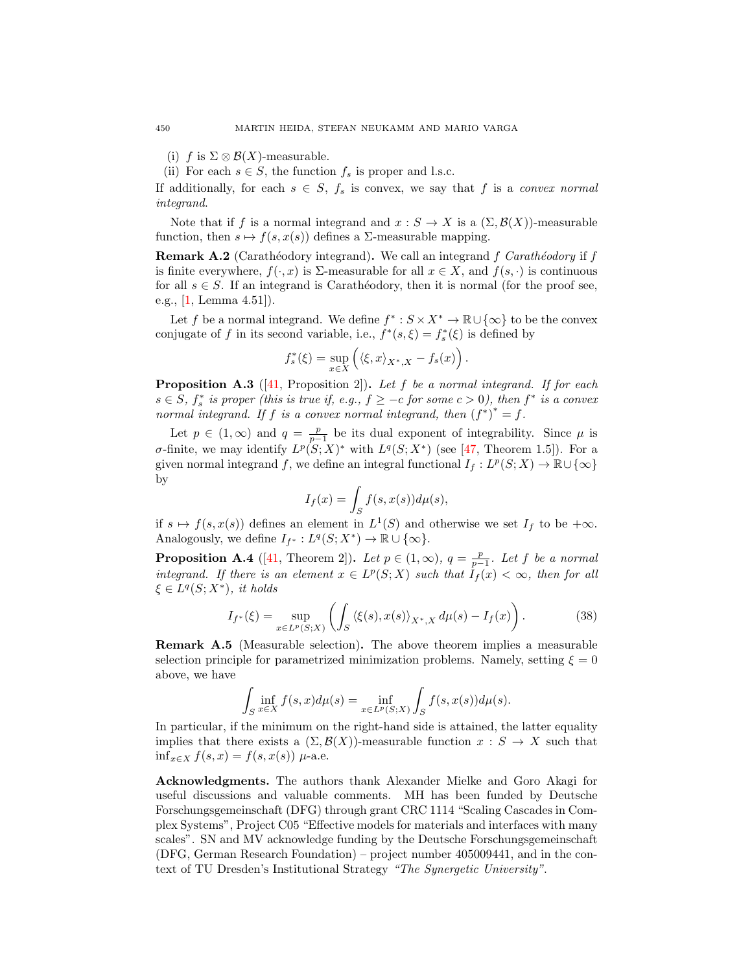- (i) f is  $\Sigma \otimes \mathcal{B}(X)$ -measurable.
- (ii) For each  $s \in S$ , the function  $f_s$  is proper and l.s.c.

If additionally, for each  $s \in S$ ,  $f_s$  is convex, we say that f is a convex normal integrand.

Note that if f is a normal integrand and  $x : S \to X$  is a  $(\Sigma, \mathcal{B}(X))$ -measurable function, then  $s \mapsto f(s, x(s))$  defines a  $\Sigma$ -measurable mapping.

<span id="page-23-1"></span>**Remark A.2** (Carathéodory integrand). We call an integrand f Carathéodory if f is finite everywhere,  $f(\cdot, x)$  is  $\Sigma$ -measurable for all  $x \in X$ , and  $f(s, \cdot)$  is continuous for all  $s \in S$ . If an integrand is Carathéodory, then it is normal (for the proof see, e.g., [\[1,](#page-24-25) Lemma 4.51]).

Let f be a normal integrand. We define  $f^* : S \times X^* \to \mathbb{R} \cup {\infty}$  to be the convex conjugate of f in its second variable, i.e.,  $f^*(s, \xi) = f_s^*(\xi)$  is defined by

$$
f_s^*(\xi) = \sup_{x \in X} \left( \langle \xi, x \rangle_{X^*, X} - f_s(x) \right).
$$

**Proposition A.3** ([\[41,](#page-25-24) Proposition 2]). Let f be a normal integrand. If for each  $s \in S$ ,  $f_s^*$  is proper (this is true if, e.g.,  $f \ge -c$  for some  $c > 0$ ), then  $f^*$  is a convex normal integrand. If f is a convex normal integrand, then  $(f^*)^* = f$ .

Let  $p \in (1,\infty)$  and  $q = \frac{p}{p-1}$  be its dual exponent of integrability. Since  $\mu$  is σ-finite, we may identify  $L^p(S;X)^*$  with  $L^q(S;X^*)$  (see [\[47,](#page-25-25) Theorem 1.5]). For a given normal integrand f, we define an integral functional  $I_f: L^p(S;X) \to \mathbb{R} \cup {\infty}$ by

$$
I_f(x) = \int_S f(s, x(s)) d\mu(s),
$$

if  $s \mapsto f(s, x(s))$  defines an element in  $L^1(S)$  and otherwise we set  $I_f$  to be  $+\infty$ . Analogously, we define  $I_{f^*}: L^q(S;X^*) \to \mathbb{R} \cup {\infty}.$ 

<span id="page-23-2"></span>**Proposition A.4** ([\[41,](#page-25-24) Theorem 2]). Let  $p \in (1,\infty)$ ,  $q = \frac{p}{p-1}$ . Let f be a normal integrand. If there is an element  $x \in L^p(S;X)$  such that  $\tilde{I}_f(x) < \infty$ , then for all  $\xi \in L^q(S;X^*)$ , it holds

$$
I_{f^*}(\xi) = \sup_{x \in L^p(S;X)} \left( \int_S \left\langle \xi(s), x(s) \right\rangle_{X^*,X} d\mu(s) - I_f(x) \right). \tag{38}
$$

<span id="page-23-0"></span>Remark A.5 (Measurable selection). The above theorem implies a measurable selection principle for parametrized minimization problems. Namely, setting  $\xi = 0$ above, we have

$$
\int_{S} \inf_{x \in X} f(s, x) d\mu(s) = \inf_{x \in L^{p}(S;X)} \int_{S} f(s, x(s)) d\mu(s).
$$

In particular, if the minimum on the right-hand side is attained, the latter equality implies that there exists a  $(\Sigma, \mathcal{B}(X))$ -measurable function  $x : S \to X$  such that  $\inf_{x \in X} f(s, x) = f(s, x(s))$  µ-a.e.

Acknowledgments. The authors thank Alexander Mielke and Goro Akagi for useful discussions and valuable comments. MH has been funded by Deutsche Forschungsgemeinschaft (DFG) through grant CRC 1114 "Scaling Cascades in Complex Systems", Project C05 "Effective models for materials and interfaces with many scales". SN and MV acknowledge funding by the Deutsche Forschungsgemeinschaft (DFG, German Research Foundation) – project number 405009441, and in the context of TU Dresden's Institutional Strategy "The Synergetic University".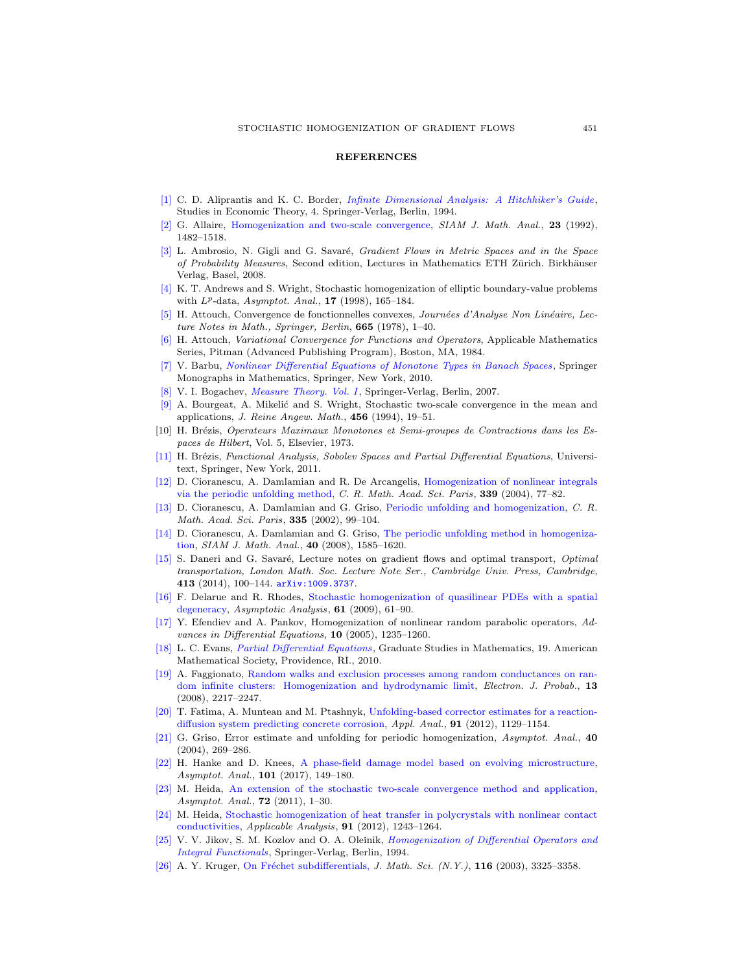## **REFERENCES**

- <span id="page-24-25"></span>[\[1\]](http://www.ams.org/mathscinet-getitem?mr=MR1321140&return=pdf) C. D. Aliprantis and K. C. Border, [Infinite Dimensional Analysis: A Hitchhiker's Guide](http://dx.doi.org/10.1007/978-3-662-03004-2), Studies in Economic Theory, 4. Springer-Verlag, Berlin, 1994.
- <span id="page-24-6"></span>[\[2\]](http://www.ams.org/mathscinet-getitem?mr=MR1185639&return=pdf) G. Allaire, [Homogenization and two-scale convergence,](http://dx.doi.org/10.1137/0523084) SIAM J. Math. Anal., 23 (1992), 1482–1518.
- <span id="page-24-2"></span>[\[3\]](http://www.ams.org/mathscinet-getitem?mr=MR2401600&return=pdf) L. Ambrosio, N. Gigli and G. Savaré, Gradient Flows in Metric Spaces and in the Space of Probability Measures, Second edition, Lectures in Mathematics ETH Zürich. Birkhäuser Verlag, Basel, 2008.
- <span id="page-24-13"></span>[\[4\]](http://www.ams.org/mathscinet-getitem?mr=MR1633112&return=pdf) K. T. Andrews and S. Wright, Stochastic homogenization of elliptic boundary-value problems with  $L^p$ -data,  $Asymptot.$  Anal., 17 (1998), 165-184.
- <span id="page-24-3"></span>[\[5\]](http://www.ams.org/mathscinet-getitem?mr=MR519420&return=pdf) H. Attouch, Convergence de fonctionnelles convexes, Journées d'Analyse Non Linéaire, Lecture Notes in Math., Springer, Berlin, 665 (1978), 1–40.
- <span id="page-24-4"></span>[\[6\]](http://www.ams.org/mathscinet-getitem?mr=MR773850&return=pdf) H. Attouch, Variational Convergence for Functions and Operators, Applicable Mathematics Series, Pitman (Advanced Publishing Program), Boston, MA, 1984.
- <span id="page-24-23"></span>[\[7\]](http://www.ams.org/mathscinet-getitem?mr=MR2582280&return=pdf) V. Barbu, [Nonlinear Differential Equations of Monotone Types in Banach Spaces](http://dx.doi.org/10.1007/978-1-4419-5542-5), Springer Monographs in Mathematics, Springer, New York, 2010.
- <span id="page-24-24"></span>[\[8\]](http://www.ams.org/mathscinet-getitem?mr=MR2267655&return=pdf) V. I. Bogachev, *[Measure Theory. Vol. I](http://dx.doi.org/10.1007/978-3-540-34514-5)*, Springer-Verlag, Berlin, 2007.
- <span id="page-24-12"></span>[\[9\]](http://www.ams.org/mathscinet-getitem?mr=MR1301450&return=pdf) A. Bourgeat, A. Mikelić and S. Wright, Stochastic two-scale convergence in the mean and applications, J. Reine Angew. Math., 456 (1994), 19–51.
- <span id="page-24-1"></span>[10] H. Brézis, Operateurs Maximaux Monotones et Semi-groupes de Contractions dans les Espaces de Hilbert, Vol. 5, Elsevier, 1973.
- <span id="page-24-22"></span>[\[11\]](http://www.ams.org/mathscinet-getitem?mr=MR2759829&return=pdf) H. Brézis, Functional Analysis, Sobolev Spaces and Partial Differential Equations, Universitext, Springer, New York, 2011.
- <span id="page-24-9"></span>[\[12\]](http://www.ams.org/mathscinet-getitem?mr=MR2075237&return=pdf) D. Cioranescu, A. Damlamian and R. De Arcangelis, [Homogenization of nonlinear integrals](http://dx.doi.org/10.1016/j.crma.2004.03.028) [via the periodic unfolding method,](http://dx.doi.org/10.1016/j.crma.2004.03.028) C. R. Math. Acad. Sci. Paris, 339 (2004), 77–82.
- <span id="page-24-7"></span>[\[13\]](http://www.ams.org/mathscinet-getitem?mr=MR1921004&return=pdf) D. Cioranescu, A. Damlamian and G. Griso, [Periodic unfolding and homogenization,](http://dx.doi.org/10.1016/S1631-073X(02)02429-9) C. R. Math. Acad. Sci. Paris, 335 (2002), 99–104.
- <span id="page-24-8"></span>[\[14\]](http://www.ams.org/mathscinet-getitem?mr=MR2466168&return=pdf) D. Cioranescu, A. Damlamian and G. Griso, [The periodic unfolding method in homogeniza](http://dx.doi.org/10.1137/080713148)[tion,](http://dx.doi.org/10.1137/080713148) SIAM J. Math. Anal., 40 (2008), 1585–1620.
- <span id="page-24-5"></span>[\[15\]](http://www.ams.org/mathscinet-getitem?mr=MR3328994&return=pdf) S. Daneri and G. Savaré, Lecture notes on gradient flows and optimal transport, Optimal transportation, London Math. Soc. Lecture Note Ser., Cambridge Univ. Press, Cambridge, 413 (2014), 100–144. [arXiv:1009.3737](http://arxiv.org/pdf/1009.3737).
- <span id="page-24-17"></span>[\[16\]](http://www.ams.org/mathscinet-getitem?mr=MR2499193&return=pdf) F. Delarue and R. Rhodes, [Stochastic homogenization of quasilinear PDEs with a spatial](http://dx.doi.org/10.3233/ASY-2008-0925) [degeneracy,](http://dx.doi.org/10.3233/ASY-2008-0925) Asymptotic Analysis, 61 (2009), 61–90.
- <span id="page-24-19"></span>[\[17\]](http://www.ams.org/mathscinet-getitem?mr=MR2175335&return=pdf) Y. Efendiev and A. Pankov, Homogenization of nonlinear random parabolic operators, Advances in Differential Equations, 10 (2005), 1235–1260.
- <span id="page-24-21"></span>[\[18\]](http://www.ams.org/mathscinet-getitem?mr=MR2597943&return=pdf) L. C. Evans, [Partial Differential Equations](http://dx.doi.org/10.1090/gsm/019), Graduate Studies in Mathematics, 19. American Mathematical Society, Providence, RI., 2010.
- <span id="page-24-14"></span>[\[19\]](http://www.ams.org/mathscinet-getitem?mr=MR2469609&return=pdf) A. Faggionato, [Random walks and exclusion processes among random conductances on ran](http://dx.doi.org/10.1214/EJP.v13-591)[dom infinite clusters: Homogenization and hydrodynamic limit,](http://dx.doi.org/10.1214/EJP.v13-591) Electron. J. Probab., 13 (2008), 2217–2247.
- <span id="page-24-16"></span>[\[20\]](http://www.ams.org/mathscinet-getitem?mr=MR2926708&return=pdf) T. Fatima, A. Muntean and M. Ptashnyk, [Unfolding-based corrector estimates for a reaction](http://dx.doi.org/10.1080/00036811.2011.625016)[diffusion system predicting concrete corrosion,](http://dx.doi.org/10.1080/00036811.2011.625016) Appl. Anal., 91 (2012), 1129–1154.
- <span id="page-24-10"></span>[\[21\]](http://www.ams.org/mathscinet-getitem?mr=MR2107633&return=pdf) G. Griso, Error estimate and unfolding for periodic homogenization, Asymptot. Anal., 40 (2004), 269–286.
- <span id="page-24-11"></span>[\[22\]](http://www.ams.org/mathscinet-getitem?mr=MR3607094&return=pdf) H. Hanke and D. Knees, [A phase-field damage model based on evolving microstructure,](http://dx.doi.org/10.3233/ASY-161396) Asymptot. Anal., 101 (2017), 149–180.
- <span id="page-24-15"></span>[\[23\]](http://www.ams.org/mathscinet-getitem?mr=MR2919870&return=pdf) M. Heida, [An extension of the stochastic two-scale convergence method and application,](http://dx.doi.org/10.3233/ASY-2010-1022) Asymptot. Anal., **72** (2011), 1-30.
- <span id="page-24-18"></span>[\[24\]](http://www.ams.org/mathscinet-getitem?mr=MR2946064&return=pdf) M. Heida, [Stochastic homogenization of heat transfer in polycrystals with nonlinear contact](http://dx.doi.org/10.1080/00036811.2011.567191) [conductivities,](http://dx.doi.org/10.1080/00036811.2011.567191) Applicable Analysis, 91 (2012), 1243–1264.
- <span id="page-24-20"></span>[\[25\]](http://www.ams.org/mathscinet-getitem?mr=MR1329546&return=pdf) V. V. Jikov, S. M. Kozlov and O. A. Oleinik, *[Homogenization of Differential Operators and](http://dx.doi.org/10.1007/978-3-642-84659-5)* [Integral Functionals](http://dx.doi.org/10.1007/978-3-642-84659-5), Springer-Verlag, Berlin, 1994.
- <span id="page-24-0"></span>[\[26\]](http://www.ams.org/mathscinet-getitem?mr=MR1995438&return=pdf) A. Y. Kruger, On Fréchet subdifferentials, *J. Math. Sci.*  $(N.Y.)$ , **116** (2003), 3325–3358.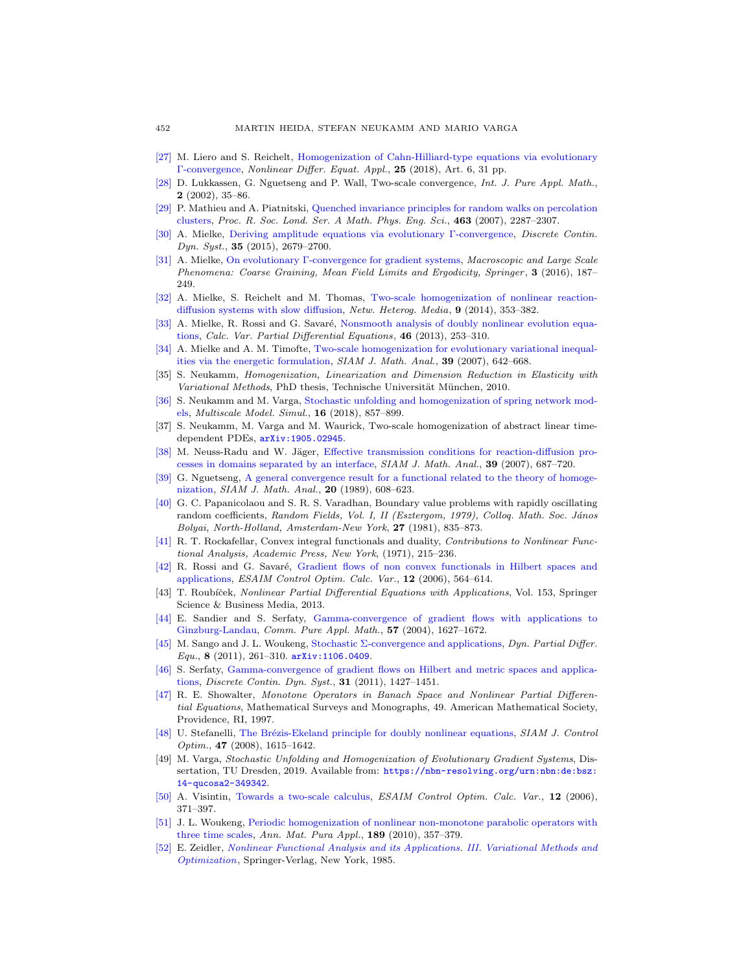- <span id="page-25-14"></span>[\[27\]](http://www.ams.org/mathscinet-getitem?mr=MR3755697&return=pdf) M. Liero and S. Reichelt, [Homogenization of Cahn-Hilliard-type equations via evolutionary](http://dx.doi.org/10.1007/s00030-018-0495-9) [Γ-convergence,](http://dx.doi.org/10.1007/s00030-018-0495-9) Nonlinear Differ. Equat. Appl., 25 (2018), Art. 6, 31 pp.
- <span id="page-25-9"></span>[\[28\]](http://www.ams.org/mathscinet-getitem?mr=MR1912819&return=pdf) D. Lukkassen, G. Nguetseng and P. Wall, Two-scale convergence, Int. J. Pure Appl. Math., 2 (2002), 35–86.
- <span id="page-25-16"></span>[\[29\]](http://www.ams.org/mathscinet-getitem?mr=MR2345229&return=pdf) P. Mathieu and A. Piatnitski, [Quenched invariance principles for random walks on percolation](http://dx.doi.org/10.1098/rspa.2007.1876) [clusters,](http://dx.doi.org/10.1098/rspa.2007.1876) Proc. R. Soc. Lond. Ser. A Math. Phys. Eng. Sci., 463 (2007), 2287–2307.
- <span id="page-25-6"></span>[\[30\]](http://www.ams.org/mathscinet-getitem?mr=MR3299017&return=pdf) A. Mielke, [Deriving amplitude equations via evolutionary Γ-convergence,](http://dx.doi.org/10.3934/dcds.2015.35.2679) Discrete Contin.  $Dyn. Syst., 35 (2015), 2679-2700.$
- <span id="page-25-2"></span>[\[31\]](http://www.ams.org/mathscinet-getitem?mr=MR3468299&return=pdf) A. Mielke, [On evolutionary Γ-convergence for gradient systems,](http://dx.doi.org/10.1007/978-3-319-26883-5_3) Macroscopic and Large Scale Phenomena: Coarse Graining, Mean Field Limits and Ergodicity, Springer , 3 (2016), 187– 249.
- <span id="page-25-13"></span>[\[32\]](http://www.ams.org/mathscinet-getitem?mr=MR3231196&return=pdf) A. Mielke, S. Reichelt and M. Thomas, [Two-scale homogenization of nonlinear reaction](http://dx.doi.org/10.3934/nhm.2014.9.353)[diffusion systems with slow diffusion,](http://dx.doi.org/10.3934/nhm.2014.9.353) Netw. Heterog. Media, 9 (2014), 353–382.
- <span id="page-25-5"></span>[\[33\]](http://www.ams.org/mathscinet-getitem?mr=MR3016509&return=pdf) A. Mielke, R. Rossi and G. Savar´e, [Nonsmooth analysis of doubly nonlinear evolution equa](http://dx.doi.org/10.1007/s00526-011-0482-z)[tions,](http://dx.doi.org/10.1007/s00526-011-0482-z) Calc. Var. Partial Differential Equations, 46 (2013), 253–310.
- <span id="page-25-11"></span>[\[34\]](http://www.ams.org/mathscinet-getitem?mr=MR2338425&return=pdf) A. Mielke and A. M. Timofte, [Two-scale homogenization for evolutionary variational inequal](http://dx.doi.org/10.1137/060672790)[ities via the energetic formulation,](http://dx.doi.org/10.1137/060672790) SIAM J. Math. Anal., 39 (2007), 642–668.
- <span id="page-25-12"></span>[35] S. Neukamm, Homogenization, Linearization and Dimension Reduction in Elasticity with Variational Methods, PhD thesis, Technische Universität München, 2010.
- <span id="page-25-19"></span>[\[36\]](http://www.ams.org/mathscinet-getitem?mr=MR3802264&return=pdf) S. Neukamm and M. Varga, [Stochastic unfolding and homogenization of spring network mod](http://dx.doi.org/10.1137/17M1141230)[els,](http://dx.doi.org/10.1137/17M1141230) Multiscale Model. Simul., 16 (2018), 857–899.
- <span id="page-25-18"></span>[37] S. Neukamm, M. Varga and M. Waurick, Two-scale homogenization of abstract linear timedependent PDEs, [arXiv:1905.02945](http://arxiv.org/pdf/1905.02945).
- <span id="page-25-20"></span>[\[38\]](http://www.ams.org/mathscinet-getitem?mr=MR2349863&return=pdf) M. Neuss-Radu and W. Jäger, [Effective transmission conditions for reaction-diffusion pro](http://dx.doi.org/10.1137/060665452)[cesses in domains separated by an interface,](http://dx.doi.org/10.1137/060665452) SIAM J. Math. Anal., 39 (2007), 687-720.
- <span id="page-25-8"></span>[\[39\]](http://www.ams.org/mathscinet-getitem?mr=MR990867&return=pdf) G. Nguetseng, [A general convergence result for a functional related to the theory of homoge](http://dx.doi.org/10.1137/0520043)[nization,](http://dx.doi.org/10.1137/0520043) SIAM J. Math. Anal., 20 (1989), 608–623.
- <span id="page-25-22"></span>[\[40\]](http://www.ams.org/mathscinet-getitem?mr=MR712714&return=pdf) G. C. Papanicolaou and S. R. S. Varadhan, Boundary value problems with rapidly oscillating random coefficients, Random Fields, Vol. I, II (Esztergom, 1979), Colloq. Math. Soc. János Bolyai, North-Holland, Amsterdam-New York, 27 (1981), 835–873.
- <span id="page-25-24"></span>[\[41\]](http://www.ams.org/mathscinet-getitem?mr=MR0390870&return=pdf) R. T. Rockafellar, Convex integral functionals and duality, Contributions to Nonlinear Functional Analysis, Academic Press, New York, (1971), 215–236.
- <span id="page-25-23"></span>[\[42\]](http://www.ams.org/mathscinet-getitem?mr=MR2224826&return=pdf) R. Rossi and G. Savaré, [Gradient flows of non convex functionals in Hilbert spaces and](http://dx.doi.org/10.1051/cocv:2006013) [applications,](http://dx.doi.org/10.1051/cocv:2006013) ESAIM Control Optim. Calc. Var., 12 (2006), 564–614.
- <span id="page-25-1"></span>[43] T. Roubíček, Nonlinear Partial Differential Equations with Applications, Vol. 153, Springer Science & Business Media, 2013.
- <span id="page-25-3"></span>[\[44\]](http://www.ams.org/mathscinet-getitem?mr=MR2082242&return=pdf) E. Sandier and S. Serfaty, [Gamma-convergence of gradient flows with applications to](http://dx.doi.org/10.1002/cpa.20046) [Ginzburg-Landau,](http://dx.doi.org/10.1002/cpa.20046) Comm. Pure Appl. Math., 57 (2004), 1627–1672.
- <span id="page-25-15"></span>[\[45\]](http://www.ams.org/mathscinet-getitem?mr=MR2901606&return=pdf) M. Sango and J. L. Woukeng, [Stochastic Σ-convergence and applications,](http://dx.doi.org/10.4310/DPDE.2011.v8.n4.a1) Dyn. Partial Differ.  $Equ., 8 (2011), 261-310.$   $arXiv:1106.0409.$  $arXiv:1106.0409.$
- <span id="page-25-4"></span>[\[46\]](http://www.ams.org/mathscinet-getitem?mr=MR2836361&return=pdf) S. Serfaty, [Gamma-convergence of gradient flows on Hilbert and metric spaces and applica](http://dx.doi.org/10.3934/dcds.2011.31.1427)[tions,](http://dx.doi.org/10.3934/dcds.2011.31.1427) Discrete Contin. Dyn. Syst., 31 (2011), 1427–1451.
- <span id="page-25-25"></span>[\[47\]](http://www.ams.org/mathscinet-getitem?mr=MR1422252&return=pdf) R. E. Showalter, Monotone Operators in Banach Space and Nonlinear Partial Differential Equations, Mathematical Surveys and Monographs, 49. American Mathematical Society, Providence, RI, 1997.
- <span id="page-25-7"></span>[\[48\]](http://www.ams.org/mathscinet-getitem?mr=MR2425653&return=pdf) U. Stefanelli, The Brézis-Ekeland principle for doubly nonlinear equations, SIAM J. Control Optim., 47 (2008), 1615–1642.
- <span id="page-25-17"></span>[49] M. Varga, Stochastic Unfolding and Homogenization of Evolutionary Gradient Systems, Dissertation, TU Dresden, 2019. Available from: [https://nbn-resolving.org/urn:nbn:de:bsz:](https://nbn-resolving.org/urn:nbn:de:bsz:14-qucosa2-349342) [14-qucosa2-349342](https://nbn-resolving.org/urn:nbn:de:bsz:14-qucosa2-349342).
- <span id="page-25-10"></span>[\[50\]](http://www.ams.org/mathscinet-getitem?mr=MR2224819&return=pdf) A. Visintin, [Towards a two-scale calculus,](http://dx.doi.org/10.1051/cocv:2006012) ESAIM Control Optim. Calc. Var., 12 (2006), 371–397.
- <span id="page-25-21"></span>[\[51\]](http://www.ams.org/mathscinet-getitem?mr=MR2657414&return=pdf) J. L. Woukeng, [Periodic homogenization of nonlinear non-monotone parabolic operators with](http://dx.doi.org/10.1007/s10231-009-0112-y) [three time scales,](http://dx.doi.org/10.1007/s10231-009-0112-y) Ann. Mat. Pura Appl., 189 (2010), 357–379.
- <span id="page-25-0"></span>[\[52\]](http://www.ams.org/mathscinet-getitem?mr=MR768749&return=pdf) E. Zeidler, [Nonlinear Functional Analysis and its Applications. III. Variational Methods and](http://dx.doi.org/10.1007/978-1-4612-5020-3) [Optimization](http://dx.doi.org/10.1007/978-1-4612-5020-3), Springer-Verlag, New York, 1985.